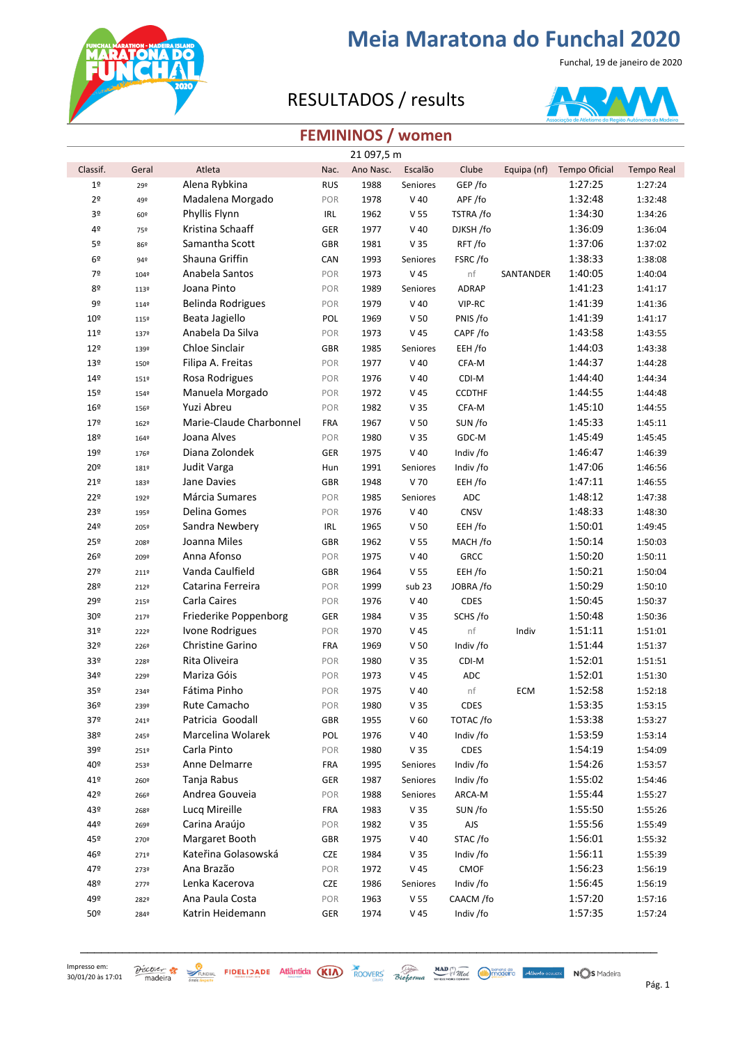

Funchal, 19 de janeiro de 2020

### RESULTADOS / results



### **FEMININOS / women**

|                 |       |                          |            | 21 097,5 m |                 |               |             |                      |                   |
|-----------------|-------|--------------------------|------------|------------|-----------------|---------------|-------------|----------------------|-------------------|
| Classif.        | Geral | Atleta                   | Nac.       | Ano Nasc.  | Escalão         | Clube         | Equipa (nf) | <b>Tempo Oficial</b> | <b>Tempo Real</b> |
| $1^{\sf o}$     | 29º   | Alena Rybkina            | <b>RUS</b> | 1988       | Seniores        | GEP/fo        |             | 1:27:25              | 1:27:24           |
| 2 <sup>o</sup>  | 49º   | Madalena Morgado         | POR        | 1978       | $V$ 40          | APF/fo        |             | 1:32:48              | 1:32:48           |
| 3º              | 60º   | Phyllis Flynn            | IRL        | 1962       | V <sub>55</sub> | TSTRA /fo     |             | 1:34:30              | 1:34:26           |
| 4º              | 75º   | Kristina Schaaff         | GER        | 1977       | $V$ 40          | DJKSH /fo     |             | 1:36:09              | 1:36:04           |
| 5º              | 86º   | Samantha Scott           | <b>GBR</b> | 1981       | V 35            | RFT/fo        |             | 1:37:06              | 1:37:02           |
| 6º              | 94º   | Shauna Griffin           | CAN        | 1993       | Seniores        | FSRC/fo       |             | 1:38:33              | 1:38:08           |
| 7º              | 104º  | Anabela Santos           | POR        | 1973       | V 45            | nf            | SANTANDER   | 1:40:05              | 1:40:04           |
| 80              | 113º  | Joana Pinto              | POR        | 1989       | Seniores        | ADRAP         |             | 1:41:23              | 1:41:17           |
| 9º              | 114º  | <b>Belinda Rodrigues</b> | POR        | 1979       | $V$ 40          | VIP-RC        |             | 1:41:39              | 1:41:36           |
| 10 <sup>°</sup> | 115º  | Beata Jagiello           | POL        | 1969       | V <sub>50</sub> | PNIS /fo      |             | 1:41:39              | 1:41:17           |
| 11 <sup>°</sup> | 137º  | Anabela Da Silva         | POR        | 1973       | V <sub>45</sub> | CAPF/fo       |             | 1:43:58              | 1:43:55           |
| 12º             | 139º  | Chloe Sinclair           | <b>GBR</b> | 1985       | Seniores        | EEH /fo       |             | 1:44:03              | 1:43:38           |
| 13º             | 150º  | Filipa A. Freitas        | POR        | 1977       | $V$ 40          | CFA-M         |             | 1:44:37              | 1:44:28           |
| 14º             | 151º  | Rosa Rodrigues           | POR        | 1976       | $V$ 40          | CDI-M         |             | 1:44:40              | 1:44:34           |
| 15º             | 1549  | Manuela Morgado          | POR        | 1972       | V 45            | <b>CCDTHF</b> |             | 1:44:55              | 1:44:48           |
| 16º             | 156º  | Yuzi Abreu               | POR        | 1982       | V <sub>35</sub> | CFA-M         |             | 1:45:10              | 1:44:55           |
| 179             | 162º  | Marie-Claude Charbonnel  | <b>FRA</b> | 1967       | V <sub>50</sub> | SUN /fo       |             | 1:45:33              | 1:45:11           |
| 18º             | 164º  | Joana Alves              | POR        | 1980       | V <sub>35</sub> | GDC-M         |             | 1:45:49              | 1:45:45           |
| 19º             | 176º  | Diana Zolondek           | GER        | 1975       | $V$ 40          | Indiv /fo     |             | 1:46:47              | 1:46:39           |
| 20º             | 181º  | Judit Varga              | Hun        | 1991       | Seniores        | Indiv /fo     |             | 1:47:06              | 1:46:56           |
| 21°             | 183º  | Jane Davies              | GBR        | 1948       | V 70            | EEH /fo       |             | 1:47:11              | 1:46:55           |
| 22º             | 192º  | Márcia Sumares           | POR        | 1985       | Seniores        | ADC           |             | 1:48:12              | 1:47:38           |
| 23º             | 195º  | Delina Gomes             | POR        | 1976       | $V$ 40          | CNSV          |             | 1:48:33              | 1:48:30           |
| 24º             | 205º  | Sandra Newbery           | IRL        | 1965       | V <sub>50</sub> | EEH /fo       |             | 1:50:01              | 1:49:45           |
| 25º             | 208º  | Joanna Miles             | <b>GBR</b> | 1962       | V <sub>55</sub> | MACH /fo      |             | 1:50:14              | 1:50:03           |
| 26º             | 209º  | Anna Afonso              | POR        | 1975       | $V$ 40          | <b>GRCC</b>   |             | 1:50:20              | 1:50:11           |
| 27º             | 211º  | Vanda Caulfield          | <b>GBR</b> | 1964       | V <sub>55</sub> | EEH /fo       |             | 1:50:21              | 1:50:04           |
| 28º             | 212º  | Catarina Ferreira        | POR        | 1999       | sub 23          | JOBRA /fo     |             | 1:50:29              | 1:50:10           |
| 29º             | 215º  | Carla Caires             | POR        | 1976       | $V$ 40          | <b>CDES</b>   |             | 1:50:45              | 1:50:37           |
| 30º             | 2179  | Friederike Poppenborg    | GER        | 1984       | V <sub>35</sub> | SCHS /fo      |             | 1:50:48              | 1:50:36           |
| 31 <sup>°</sup> | 222º  | Ivone Rodrigues          | POR        | 1970       | V 45            | nf            | Indiv       | 1:51:11              | 1:51:01           |
| 32º             | 2269  | Christine Garino         | <b>FRA</b> | 1969       | V <sub>50</sub> | Indiv /fo     |             | 1:51:44              | 1:51:37           |
| 33º             | 228º  | Rita Oliveira            | POR        | 1980       | V <sub>35</sub> | CDI-M         |             | 1:52:01              | 1:51:51           |
| 34º             | 229º  | Mariza Góis              | POR        | 1973       | V 45            | <b>ADC</b>    |             | 1:52:01              | 1:51:30           |
| 35º             | 2349  | Fátima Pinho             | POR        | 1975       | $V$ 40          | nf            | ECM         | 1:52:58              | 1:52:18           |
| 36º             | 239º  | Rute Camacho             | POR        | 1980       | V <sub>35</sub> | CDES          |             | 1:53:35              | 1:53:15           |
| 37º             | 241º  | Patricia Goodall         | <b>GBR</b> | 1955       | V <sub>60</sub> | TOTAC/fo      |             | 1:53:38              | 1:53:27           |
| 38º             | 245º  | Marcelina Wolarek        | POL        | 1976       | $V$ 40          | Indiv /fo     |             | 1:53:59              | 1:53:14           |
| 39º             | 251º  | Carla Pinto              | POR        | 1980       | V <sub>35</sub> | CDES          |             | 1:54:19              | 1:54:09           |
| 40º             | 253º  | Anne Delmarre            | <b>FRA</b> | 1995       | Seniores        | Indiv /fo     |             | 1:54:26              | 1:53:57           |
| 41º             | 260º  | Tanja Rabus              | GER        | 1987       | Seniores        | Indiv /fo     |             | 1:55:02              | 1:54:46           |
| 42º             | 266º  | Andrea Gouveia           | POR        | 1988       | Seniores        | ARCA-M        |             | 1:55:44              | 1:55:27           |
| 43º             | 268º  | Lucq Mireille            | <b>FRA</b> | 1983       | V <sub>35</sub> | SUN /fo       |             | 1:55:50              | 1:55:26           |
| 449             | 269º  | Carina Araújo            | POR        | 1982       | V <sub>35</sub> | AJS           |             | 1:55:56              | 1:55:49           |
| 45º             | 270º  | Margaret Booth           | <b>GBR</b> | 1975       | $V$ 40          | STAC/fo       |             | 1:56:01              | 1:55:32           |
| 46º             | 2719  | Kateřina Golasowská      | <b>CZE</b> | 1984       | V <sub>35</sub> | Indiv /fo     |             | 1:56:11              | 1:55:39           |
| 47º             | 273º  | Ana Brazão               | POR        | 1972       | V 45            | CMOF          |             | 1:56:23              | 1:56:19           |
| 48º             | 2779  | Lenka Kacerova           | <b>CZE</b> | 1986       | Seniores        | Indiv /fo     |             | 1:56:45              | 1:56:19           |
| 49º             | 282º  | Ana Paula Costa          | POR        | 1963       | V <sub>55</sub> | CAACM /fo     |             | 1:57:20              | 1:57:16           |
| 50º             | 2849  | Katrin Heidemann         | GER        | 1974       | V 45            | Indiv /fo     |             | 1:57:35              | 1:57:24           |
|                 |       |                          |            |            |                 |               |             |                      |                   |

\_\_\_\_\_\_\_\_\_\_\_\_\_\_\_\_\_\_\_\_\_\_\_\_\_\_\_\_\_\_\_\_\_\_\_\_\_\_\_\_\_\_\_\_\_\_\_\_\_\_\_\_\_\_\_\_\_\_\_\_\_\_\_\_\_\_\_\_\_\_\_\_\_\_\_\_\_\_\_\_\_\_\_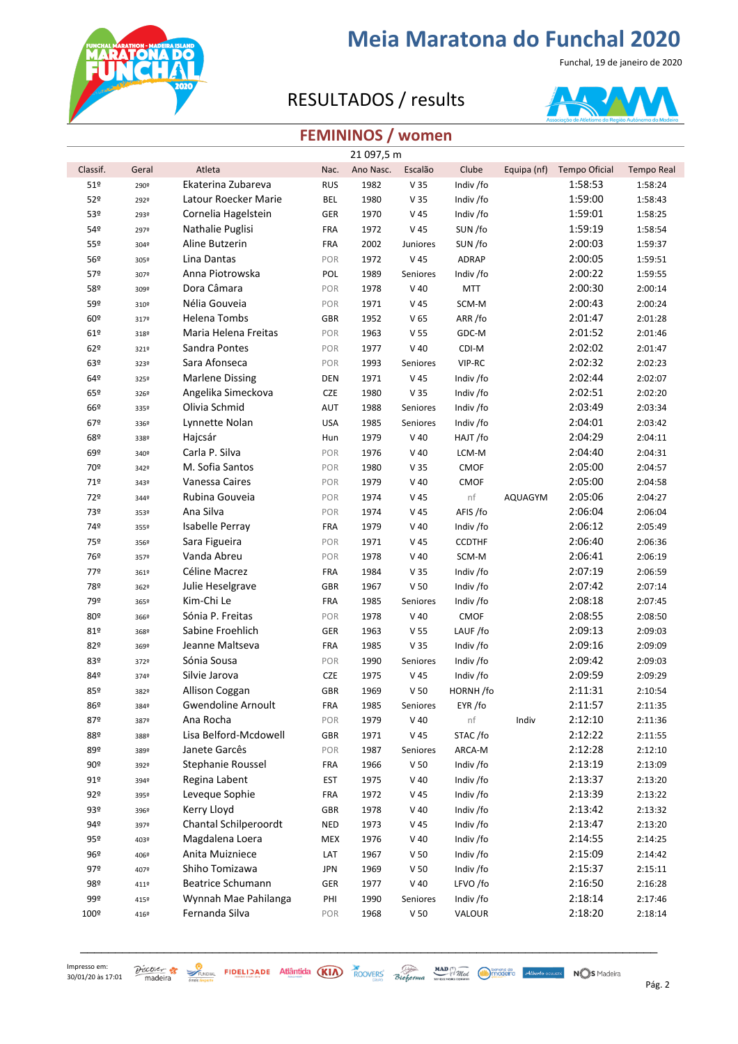

Funchal, 19 de janeiro de 2020

### RESULTADOS / results



### **FEMININOS / women**

|                 |       |                        |            | 21 097,5 m |                 |               |                |                      |                   |
|-----------------|-------|------------------------|------------|------------|-----------------|---------------|----------------|----------------------|-------------------|
| Classif.        | Geral | Atleta                 | Nac.       | Ano Nasc.  | Escalão         | Clube         | Equipa (nf)    | <b>Tempo Oficial</b> | <b>Tempo Real</b> |
| 51 <sup>°</sup> | 290º  | Ekaterina Zubareva     | <b>RUS</b> | 1982       | V <sub>35</sub> | Indiv /fo     |                | 1:58:53              | 1:58:24           |
| 52º             | 292º  | Latour Roecker Marie   | <b>BEL</b> | 1980       | V 35            | Indiv /fo     |                | 1:59:00              | 1:58:43           |
| 53º             | 293º  | Cornelia Hagelstein    | GER        | 1970       | V <sub>45</sub> | Indiv /fo     |                | 1:59:01              | 1:58:25           |
| 54º             | 297º  | Nathalie Puglisi       | <b>FRA</b> | 1972       | V 45            | SUN /fo       |                | 1:59:19              | 1:58:54           |
| 55º             | 3049  | Aline Butzerin         | <b>FRA</b> | 2002       | Juniores        | SUN /fo       |                | 2:00:03              | 1:59:37           |
| 56º             | 305º  | Lina Dantas            | POR        | 1972       | V 45            | ADRAP         |                | 2:00:05              | 1:59:51           |
| 57º             | 307º  | Anna Piotrowska        | POL        | 1989       | Seniores        | Indiv /fo     |                | 2:00:22              | 1:59:55           |
| 58º             | 309º  | Dora Câmara            | POR        | 1978       | $V$ 40          | <b>MTT</b>    |                | 2:00:30              | 2:00:14           |
| 59º             | 310º  | Nélia Gouveia          | POR        | 1971       | V <sub>45</sub> | SCM-M         |                | 2:00:43              | 2:00:24           |
| 60º             | 3179  | Helena Tombs           | <b>GBR</b> | 1952       | V <sub>65</sub> | ARR/fo        |                | 2:01:47              | 2:01:28           |
| 61º             | 318º  | Maria Helena Freitas   | POR        | 1963       | V <sub>55</sub> | GDC-M         |                | 2:01:52              | 2:01:46           |
| 62º             | 321º  | Sandra Pontes          | POR        | 1977       | $V$ 40          | CDI-M         |                | 2:02:02              | 2:01:47           |
| 63º             | 323º  | Sara Afonseca          | POR        | 1993       | Seniores        | VIP-RC        |                | 2:02:32              | 2:02:23           |
| 64º             | 325º  | <b>Marlene Dissing</b> | <b>DEN</b> | 1971       | V 45            | Indiv /fo     |                | 2:02:44              | 2:02:07           |
| 65º             | 3269  | Angelika Simeckova     | CZE        | 1980       | V 35            | Indiv /fo     |                | 2:02:51              | 2:02:20           |
| 66º             | 335º  | Olivia Schmid          | AUT        | 1988       | Seniores        | Indiv /fo     |                | 2:03:49              | 2:03:34           |
| 67º             | 336º  | Lynnette Nolan         | <b>USA</b> | 1985       | Seniores        | Indiv /fo     |                | 2:04:01              | 2:03:42           |
| 68º             | 338º  | Hajcsár                | Hun        | 1979       | $V$ 40          | HAJT /fo      |                | 2:04:29              | 2:04:11           |
| 69º             | 340°  | Carla P. Silva         | POR        | 1976       | $V$ 40          | LCM-M         |                | 2:04:40              | 2:04:31           |
| 70º             | 342º  | M. Sofia Santos        | POR        | 1980       | V <sub>35</sub> | CMOF          |                | 2:05:00              | 2:04:57           |
| 71º             | 343º  | Vanessa Caires         | POR        | 1979       | $V$ 40          | <b>CMOF</b>   |                | 2:05:00              | 2:04:58           |
| 72º             | 3449  | Rubina Gouveia         | POR        | 1974       | V 45            | nf            | <b>AQUAGYM</b> | 2:05:06              | 2:04:27           |
| 73º             | 353º  | Ana Silva              | POR        | 1974       | V 45            | AFIS /fo      |                | 2:06:04              | 2:06:04           |
| 74º             | 355º  | Isabelle Perray        | <b>FRA</b> | 1979       | $V$ 40          | Indiv /fo     |                | 2:06:12              | 2:05:49           |
| 75º             | 356º  | Sara Figueira          | POR        | 1971       | V 45            | <b>CCDTHF</b> |                | 2:06:40              | 2:06:36           |
| 76º             | 357º  | Vanda Abreu            | POR        | 1978       | $V$ 40          | SCM-M         |                | 2:06:41              | 2:06:19           |
| 77º             | 361º  | Céline Macrez          | <b>FRA</b> | 1984       | V <sub>35</sub> | Indiv /fo     |                | 2:07:19              | 2:06:59           |
| 78º             | 362º  | Julie Heselgrave       | <b>GBR</b> | 1967       | V <sub>50</sub> | Indiv /fo     |                | 2:07:42              | 2:07:14           |
| 79º             | 365º  | Kim-Chi Le             | <b>FRA</b> | 1985       | Seniores        | Indiv /fo     |                | 2:08:18              | 2:07:45           |
| 80º             | 366º  | Sónia P. Freitas       | POR        | 1978       | $V$ 40          | CMOF          |                | 2:08:55              | 2:08:50           |
| 81º             | 368º  | Sabine Froehlich       | GER        | 1963       | V <sub>55</sub> | LAUF/fo       |                | 2:09:13              | 2:09:03           |
| 82º             | 369º  | Jeanne Maltseva        | <b>FRA</b> | 1985       | V 35            | Indiv /fo     |                | 2:09:16              | 2:09:09           |
| 83º             | 372º  | Sónia Sousa            | POR        | 1990       | Seniores        | Indiv /fo     |                | 2:09:42              | 2:09:03           |
| 84º             | 3749  | Silvie Jarova          | <b>CZE</b> | 1975       | V 45            | Indiv /fo     |                | 2:09:59              | 2:09:29           |
| 85º             | 382º  | Allison Coggan         | GBR        | 1969       | V <sub>50</sub> | HORNH/fo      |                | 2:11:31              | 2:10:54           |
| 86º             | 384º  | Gwendoline Arnoult     | <b>FRA</b> | 1985       | Seniores        | EYR /fo       |                | 2:11:57              | 2:11:35           |
| 87º             | 3879  | Ana Rocha              | POR        | 1979       | $V$ 40          | nf            | Indiv          | 2:12:10              | 2:11:36           |
| 88º             | 388º  | Lisa Belford-Mcdowell  | <b>GBR</b> | 1971       | V 45            | STAC/fo       |                | 2:12:22              | 2:11:55           |
| 89º             | 389º  | Janete Garcês          | POR        | 1987       | Seniores        | ARCA-M        |                | 2:12:28              | 2:12:10           |
| 90º             | 392º  | Stephanie Roussel      | <b>FRA</b> | 1966       | V <sub>50</sub> | Indiv /fo     |                | 2:13:19              | 2:13:09           |
| 91º             | 394º  | Regina Labent          | <b>EST</b> | 1975       | $V$ 40          | Indiv /fo     |                | 2:13:37              | 2:13:20           |
| 92º             | 395º  | Leveque Sophie         | <b>FRA</b> | 1972       | V 45            | Indiv /fo     |                | 2:13:39              | 2:13:22           |
| 93º             | 396º  | Kerry Lloyd            | <b>GBR</b> | 1978       | $V$ 40          | Indiv /fo     |                | 2:13:42              | 2:13:32           |
| 94º             | 397º  | Chantal Schilperoordt  | <b>NED</b> | 1973       | V 45            | Indiv /fo     |                | 2:13:47              | 2:13:20           |
| 95º             | 403º  | Magdalena Loera        | <b>MEX</b> | 1976       | $V$ 40          | Indiv /fo     |                | 2:14:55              | 2:14:25           |
| 96º             | 406º  | Anita Muizniece        | LAT        | 1967       | V <sub>50</sub> | Indiv /fo     |                | 2:15:09              | 2:14:42           |
| 97º             | 407º  | Shiho Tomizawa         | <b>JPN</b> | 1969       | V <sub>50</sub> | Indiv /fo     |                | 2:15:37              | 2:15:11           |
| 98º             | 411º  | Beatrice Schumann      | GER        | 1977       | $V$ 40          | LFVO /fo      |                | 2:16:50              | 2:16:28           |
| 99º             | 415º  | Wynnah Mae Pahilanga   | PHI        | 1990       | Seniores        | Indiv /fo     |                | 2:18:14              | 2:17:46           |
| 100º            | 4169  | Fernanda Silva         | POR        | 1968       | V <sub>50</sub> | VALOUR        |                | 2:18:20              | 2:18:14           |

 $30/01/20$  às 17:01 madeira  $\frac{30}{2}$  reaction  $\frac{30}{2}$  reaction  $\frac{30}{2}$  reaction  $\frac{30}{2}$  reaction  $\frac{30}{2}$  reaction  $\frac{30}{2}$  reaction  $\frac{30}{2}$  reaction  $\frac{30}{2}$  reaction  $\frac{30}{2}$  reaction  $\frac{30}{2}$  re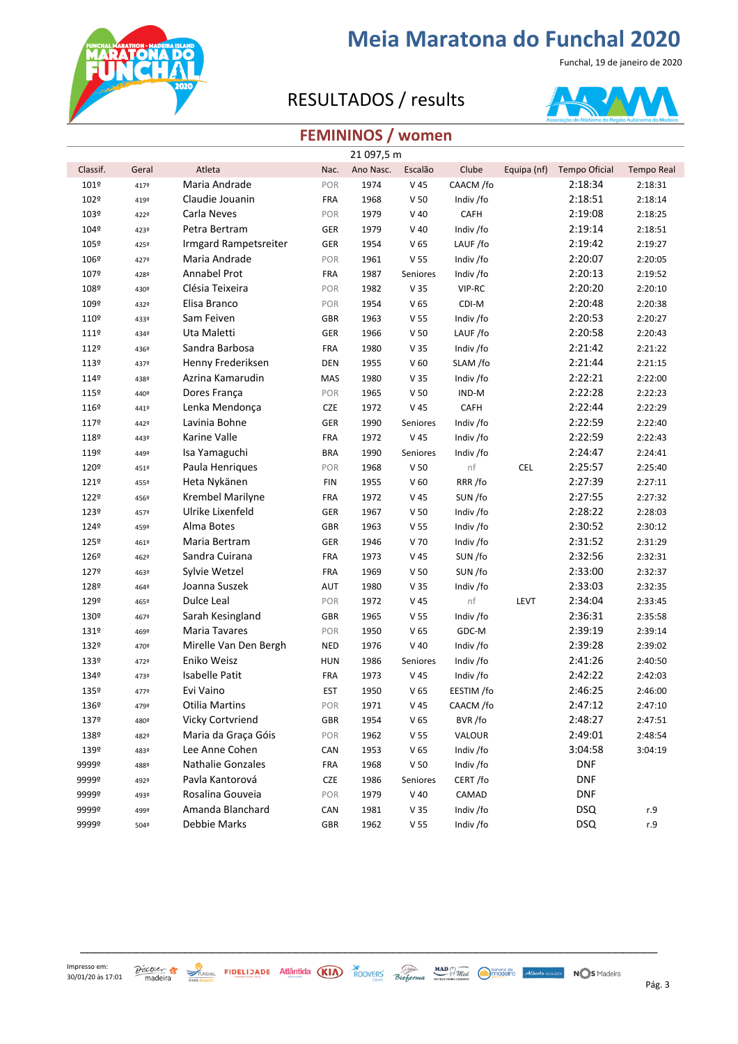

Funchal, 19 de janeiro de 2020

### RESULTADOS / results



#### **FEMININOS / women**

|          |       |                          |            | 21 097,5 m |                 |            |             |                      |                   |
|----------|-------|--------------------------|------------|------------|-----------------|------------|-------------|----------------------|-------------------|
| Classif. | Geral | Atleta                   | Nac.       | Ano Nasc.  | Escalão         | Clube      | Equipa (nf) | <b>Tempo Oficial</b> | <b>Tempo Real</b> |
| 101º     | 4179  | Maria Andrade            | POR        | 1974       | $V$ 45          | CAACM /fo  |             | 2:18:34              | 2:18:31           |
| 102º     | 4192  | Claudie Jouanin          | <b>FRA</b> | 1968       | V <sub>50</sub> | Indiv /fo  |             | 2:18:51              | 2:18:14           |
| 103º     | 422º  | Carla Neves              | POR        | 1979       | $V$ 40          | CAFH       |             | 2:19:08              | 2:18:25           |
| 104º     | 423º  | Petra Bertram            | GER        | 1979       | $V$ 40          | Indiv /fo  |             | 2:19:14              | 2:18:51           |
| 105º     | 425°  | Irmgard Rampetsreiter    | GER        | 1954       | V <sub>65</sub> | LAUF/fo    |             | 2:19:42              | 2:19:27           |
| 106º     | 4279  | Maria Andrade            | POR        | 1961       | V <sub>55</sub> | Indiv /fo  |             | 2:20:07              | 2:20:05           |
| 107º     | 428º  | Annabel Prot             | <b>FRA</b> | 1987       | Seniores        | Indiv /fo  |             | 2:20:13              | 2:19:52           |
| 108º     | 430°  | Clésia Teixeira          | POR        | 1982       | V 35            | VIP-RC     |             | 2:20:20              | 2:20:10           |
| 109º     | 432º  | Elisa Branco             | POR        | 1954       | V <sub>65</sub> | CDI-M      |             | 2:20:48              | 2:20:38           |
| 110º     | 433º  | Sam Feiven               | <b>GBR</b> | 1963       | V 55            | Indiv /fo  |             | 2:20:53              | 2:20:27           |
| 111º     | 4349  | Uta Maletti              | GER        | 1966       | V <sub>50</sub> | LAUF/fo    |             | 2:20:58              | 2:20:43           |
| 112º     | 436º  | Sandra Barbosa           | <b>FRA</b> | 1980       | V <sub>35</sub> | Indiv /fo  |             | 2:21:42              | 2:21:22           |
| 113º     | 4379  | Henny Frederiksen        | <b>DEN</b> | 1955       | V <sub>60</sub> | SLAM /fo   |             | 2:21:44              | 2:21:15           |
| 114º     | 438º  | Azrina Kamarudin         | MAS        | 1980       | V <sub>35</sub> | Indiv /fo  |             | 2:22:21              | 2:22:00           |
| 115º     | 440º  | Dores França             | POR        | 1965       | V <sub>50</sub> | IND-M      |             | 2:22:28              | 2:22:23           |
| 116º     | 441º  | Lenka Mendonça           | <b>CZE</b> | 1972       | V <sub>45</sub> | CAFH       |             | 2:22:44              | 2:22:29           |
| 117º     | 442º  | Lavinia Bohne            | GER        | 1990       | Seniores        | Indiv /fo  |             | 2:22:59              | 2:22:40           |
| 118º     | 443º  | Karine Valle             | <b>FRA</b> | 1972       | V <sub>45</sub> | Indiv /fo  |             | 2:22:59              | 2:22:43           |
| 119º     | 449º  | Isa Yamaguchi            | <b>BRA</b> | 1990       | Seniores        | Indiv /fo  |             | 2:24:47              | 2:24:41           |
| 120º     | 451º  | Paula Henriques          | POR        | 1968       | V <sub>50</sub> | nf         | <b>CEL</b>  | 2:25:57              | 2:25:40           |
| 121º     | 455º  | Heta Nykänen             | <b>FIN</b> | 1955       | V <sub>60</sub> | RRR/fo     |             | 2:27:39              | 2:27:11           |
| 122º     | 456º  | Krembel Marilyne         | <b>FRA</b> | 1972       | V 45            | SUN /fo    |             | 2:27:55              | 2:27:32           |
| 123º     | 457º  | Ulrike Lixenfeld         | GER        | 1967       | V <sub>50</sub> | Indiv /fo  |             | 2:28:22              | 2:28:03           |
| 124º     | 459º  | Alma Botes               | GBR        | 1963       | V 55            | Indiv /fo  |             | 2:30:52              | 2:30:12           |
| 125º     | 461º  | Maria Bertram            | GER        | 1946       | V 70            | Indiv /fo  |             | 2:31:52              | 2:31:29           |
| 126º     | 462º  | Sandra Cuirana           | <b>FRA</b> | 1973       | V <sub>45</sub> | SUN /fo    |             | 2:32:56              | 2:32:31           |
| 1279     | 463º  | Sylvie Wetzel            | <b>FRA</b> | 1969       | V <sub>50</sub> | SUN /fo    |             | 2:33:00              | 2:32:37           |
| 128º     | 464º  | Joanna Suszek            | AUT        | 1980       | V <sub>35</sub> | Indiv /fo  |             | 2:33:03              | 2:32:35           |
| 129º     | 465º  | Dulce Leal               | POR        | 1972       | V <sub>45</sub> | nf         | LEVT        | 2:34:04              | 2:33:45           |
| 130º     | 467º  | Sarah Kesingland         | <b>GBR</b> | 1965       | V 55            | Indiv /fo  |             | 2:36:31              | 2:35:58           |
| 131º     | 469º  | Maria Tavares            | POR        | 1950       | V <sub>65</sub> | GDC-M      |             | 2:39:19              | 2:39:14           |
| 132º     | 470º  | Mirelle Van Den Bergh    | <b>NED</b> | 1976       | $V$ 40          | Indiv /fo  |             | 2:39:28              | 2:39:02           |
| 133º     | 4729  | Eniko Weisz              | <b>HUN</b> | 1986       | Seniores        | Indiv /fo  |             | 2:41:26              | 2:40:50           |
| 134º     | 473º  | <b>Isabelle Patit</b>    | <b>FRA</b> | 1973       | $V$ 45          | Indiv /fo  |             | 2:42:22              | 2:42:03           |
| 135º     | 4779  | Evi Vaino                | EST        | 1950       | V <sub>65</sub> | EESTIM /fo |             | 2:46:25              | 2:46:00           |
| 136º     | 479º  | Otilia Martins           | POR        | 1971       | V 45            | CAACM /fo  |             | 2:47:12              | 2:47:10           |
| 137º     | 480º  | Vicky Cortvriend         | GBR        | 1954       | V <sub>65</sub> | BVR/fo     |             | 2:48:27              | 2:47:51           |
| 138º     | 482º  | Maria da Graça Góis      | POR        | 1962       | V <sub>55</sub> | VALOUR     |             | 2:49:01              | 2:48:54           |
| 139º     | 483º  | Lee Anne Cohen           | CAN        | 1953       | V <sub>65</sub> | Indiv /fo  |             | 3:04:58              | 3:04:19           |
| 9999º    | 488º  | <b>Nathalie Gonzales</b> | <b>FRA</b> | 1968       | V <sub>50</sub> | Indiv /fo  |             | <b>DNF</b>           |                   |
| 9999º    | 492º  | Pavla Kantorová          | <b>CZE</b> | 1986       | Seniores        | CERT/fo    |             | <b>DNF</b>           |                   |
| 9999º    | 493º  | Rosalina Gouveia         | POR        | 1979       | $V$ 40          | CAMAD      |             | <b>DNF</b>           |                   |
| 9999º    | 499º  | Amanda Blanchard         | CAN        | 1981       | V <sub>35</sub> | Indiv /fo  |             | <b>DSQ</b>           | r.9               |
| 9999º    | 504º  | Debbie Marks             | GBR        | 1962       | V <sub>55</sub> | Indiv /fo  |             | <b>DSQ</b>           | r.9               |
|          |       |                          |            |            |                 |            |             |                      |                   |

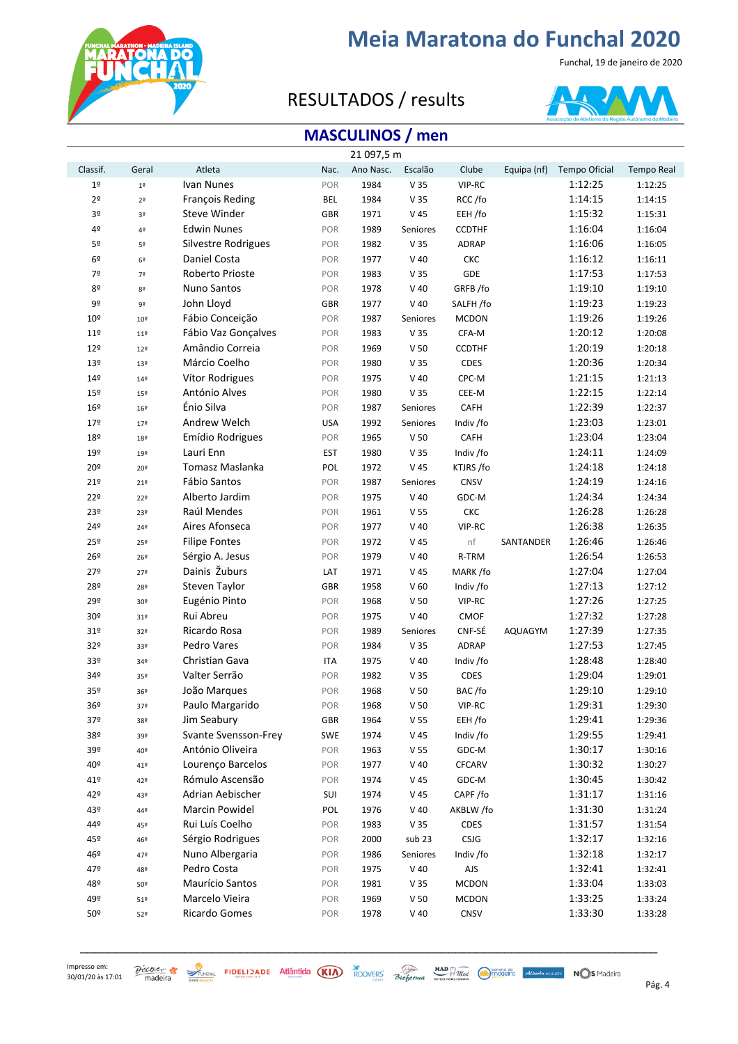

Funchal, 19 de janeiro de 2020

### RESULTADOS / results



### **MASCULINOS / men**

|                 |                 |                      |            | 21 097,5 m |                 |               |                |               |                   |
|-----------------|-----------------|----------------------|------------|------------|-----------------|---------------|----------------|---------------|-------------------|
| Classif.        | Geral           | Atleta               | Nac.       | Ano Nasc.  | Escalão         | Clube         | Equipa (nf)    | Tempo Oficial | <b>Tempo Real</b> |
| $1^{\sf o}$     | $19$            | Ivan Nunes           | POR        | 1984       | V 35            | VIP-RC        |                | 1:12:25       | 1:12:25           |
| 2 <sup>o</sup>  | 2 <sup>o</sup>  | François Reding      | <b>BEL</b> | 1984       | V 35            | RCC/fo        |                | 1:14:15       | 1:14:15           |
| 3º              | 3º              | Steve Winder         | <b>GBR</b> | 1971       | V 45            | EEH /fo       |                | 1:15:32       | 1:15:31           |
| 4º              | 4º              | <b>Edwin Nunes</b>   | POR        | 1989       | Seniores        | <b>CCDTHF</b> |                | 1:16:04       | 1:16:04           |
| 5º              | 5º              | Silvestre Rodrigues  | POR        | 1982       | V 35            | <b>ADRAP</b>  |                | 1:16:06       | 1:16:05           |
| 6 <sup>°</sup>  | 6 <sup>9</sup>  | Daniel Costa         | POR        | 1977       | $V$ 40          | CKC           |                | 1:16:12       | 1:16:11           |
| 7º              | 72              | Roberto Prioste      | POR        | 1983       | V <sub>35</sub> | GDE           |                | 1:17:53       | 1:17:53           |
| 80              | 82              | Nuno Santos          | POR        | 1978       | $V$ 40          | GRFB/fo       |                | 1:19:10       | 1:19:10           |
| 9º              | 9º              | John Lloyd           | GBR        | 1977       | $V$ 40          | SALFH /fo     |                | 1:19:23       | 1:19:23           |
| 10 <sup>°</sup> | 10 <sup>o</sup> | Fábio Conceição      | POR        | 1987       | Seniores        | <b>MCDON</b>  |                | 1:19:26       | 1:19:26           |
| 11 <sup>°</sup> | 11 <sup>°</sup> | Fábio Vaz Gonçalves  | POR        | 1983       | V 35            | CFA-M         |                | 1:20:12       | 1:20:08           |
| 12º             | 12 <sup>°</sup> | Amândio Correia      | POR        | 1969       | V <sub>50</sub> | <b>CCDTHF</b> |                | 1:20:19       | 1:20:18           |
| 13º             | 13º             | Márcio Coelho        | POR        | 1980       | V 35            | CDES          |                | 1:20:36       | 1:20:34           |
| 14º             | 14 <sup>°</sup> | Vítor Rodrigues      | POR        | 1975       | $V$ 40          | CPC-M         |                | 1:21:15       | 1:21:13           |
| 15º             | 15º             | António Alves        | POR        | 1980       | V 35            | CEE-M         |                | 1:22:15       | 1:22:14           |
| 16º             | 16º             | Énio Silva           | POR        | 1987       | Seniores        | CAFH          |                | 1:22:39       | 1:22:37           |
| 17º             | 17 <sup>°</sup> | Andrew Welch         | <b>USA</b> | 1992       | Seniores        | Indiv /fo     |                | 1:23:03       | 1:23:01           |
| 18º             | 18º             | Emídio Rodrigues     | POR        | 1965       | V <sub>50</sub> | CAFH          |                | 1:23:04       | 1:23:04           |
| 19º             | 192             | Lauri Enn            | <b>EST</b> | 1980       | V 35            | Indiv /fo     |                | 1:24:11       | 1:24:09           |
| 20º             | 20º             | Tomasz Maslanka      | POL        | 1972       | V <sub>45</sub> | KTJRS /fo     |                | 1:24:18       | 1:24:18           |
| 21º             | 21º             | Fábio Santos         | POR        | 1987       | Seniores        | CNSV          |                | 1:24:19       | 1:24:16           |
| 22º             | 22º             | Alberto Jardim       | POR        | 1975       | $V$ 40          | GDC-M         |                | 1:24:34       | 1:24:34           |
| 23º             | 23º             | Raúl Mendes          | POR        | 1961       | V 55            | CKC           |                | 1:26:28       | 1:26:28           |
| 249             | 24º             | Aires Afonseca       | POR        | 1977       | $V$ 40          | VIP-RC        |                | 1:26:38       | 1:26:35           |
| 25º             | 25º             | <b>Filipe Fontes</b> | POR        | 1972       | V <sub>45</sub> | nf            | SANTANDER      | 1:26:46       | 1:26:46           |
| 26º             | 26º             | Sérgio A. Jesus      | POR        | 1979       | $V$ 40          | R-TRM         |                | 1:26:54       | 1:26:53           |
| 27º             | 27º             | Dainis Žuburs        | LAT        | 1971       | V <sub>45</sub> | MARK/fo       |                | 1:27:04       | 1:27:04           |
| 28º             | 28º             | Steven Taylor        | GBR        | 1958       | V <sub>60</sub> | Indiv /fo     |                | 1:27:13       | 1:27:12           |
| 29º             | 30º             | Eugénio Pinto        | POR        | 1968       | V <sub>50</sub> | VIP-RC        |                | 1:27:26       | 1:27:25           |
| 30 <sup>o</sup> | 31º             | Rui Abreu            | POR        | 1975       | $V$ 40          | <b>CMOF</b>   |                | 1:27:32       | 1:27:28           |
| 31º             | 32º             | Ricardo Rosa         | POR        | 1989       | Seniores        | CNF-SÉ        | <b>AQUAGYM</b> | 1:27:39       | 1:27:35           |
| 32º             | 33º             | Pedro Vares          | POR        | 1984       | V 35            | ADRAP         |                | 1:27:53       | 1:27:45           |
| 33º             | 34º             | Christian Gava       | <b>ITA</b> | 1975       | $V$ 40          | Indiv /fo     |                | 1:28:48       | 1:28:40           |
| 34º             | 35º             | Valter Serrão        | POR        | 1982       | V <sub>35</sub> | CDES          |                | 1:29:04       | 1:29:01           |
| 35º             | 36º             | João Marques         | POR        | 1968       | V <sub>50</sub> | BAC/fo        |                | 1:29:10       | 1:29:10           |
| 36º             | 37º             | Paulo Margarido      | POR        | 1968       | V <sub>50</sub> | VIP-RC        |                | 1:29:31       | 1:29:30           |
| 37º             | 38º             | Jim Seabury          | <b>GBR</b> | 1964       | V <sub>55</sub> | EEH /fo       |                | 1:29:41       | 1:29:36           |
| 38º             | 39º             | Svante Svensson-Frey | SWE        | 1974       | V 45            | Indiv /fo     |                | 1:29:55       | 1:29:41           |
| 39º             | 40º             | António Oliveira     | POR        | 1963       | V <sub>55</sub> | GDC-M         |                | 1:30:17       | 1:30:16           |
| 40º             | 41º             | Lourenço Barcelos    | POR        | 1977       | $V$ 40          | <b>CFCARV</b> |                | 1:30:32       | 1:30:27           |
| 41º             | 42º             | Rómulo Ascensão      | POR        | 1974       | V <sub>45</sub> | GDC-M         |                | 1:30:45       | 1:30:42           |
| 42°             | 43º             | Adrian Aebischer     | SUI        | 1974       | V 45            | CAPF/fo       |                | 1:31:17       | 1:31:16           |
| 43º             | 44º             | Marcin Powidel       | POL        | 1976       | $V$ 40          | AKBLW /fo     |                | 1:31:30       | 1:31:24           |
| 44º             | 45º             | Rui Luís Coelho      | POR        | 1983       | V 35            | CDES          |                | 1:31:57       | 1:31:54           |
| 45º             | 46º             | Sérgio Rodrigues     | POR        | 2000       | sub 23          | CSJG          |                | 1:32:17       | 1:32:16           |
| 46º             | 47º             | Nuno Albergaria      | POR        | 1986       | Seniores        | Indiv /fo     |                | 1:32:18       | 1:32:17           |
| 47º             | 48º             | Pedro Costa          | POR        | 1975       | $V$ 40          | AJS           |                | 1:32:41       | 1:32:41           |
| 48º             | 50º             | Maurício Santos      | POR        | 1981       | V <sub>35</sub> | <b>MCDON</b>  |                | 1:33:04       | 1:33:03           |
| 49º             | 51º             | Marcelo Vieira       | POR        | 1969       | V <sub>50</sub> | <b>MCDON</b>  |                | 1:33:25       | 1:33:24           |
| 50º             | 52º             | Ricardo Gomes        | POR        | 1978       | $V$ 40          | CNSV          |                | 1:33:30       | 1:33:28           |
|                 |                 |                      |            |            |                 |               |                |               |                   |

Impresso em: 

\_\_\_\_\_\_\_\_\_\_\_\_\_\_\_\_\_\_\_\_\_\_\_\_\_\_\_\_\_\_\_\_\_\_\_\_\_\_\_\_\_\_\_\_\_\_\_\_\_\_\_\_\_\_\_\_\_\_\_\_\_\_\_\_\_\_\_\_\_\_\_\_\_\_\_\_\_\_\_\_\_\_\_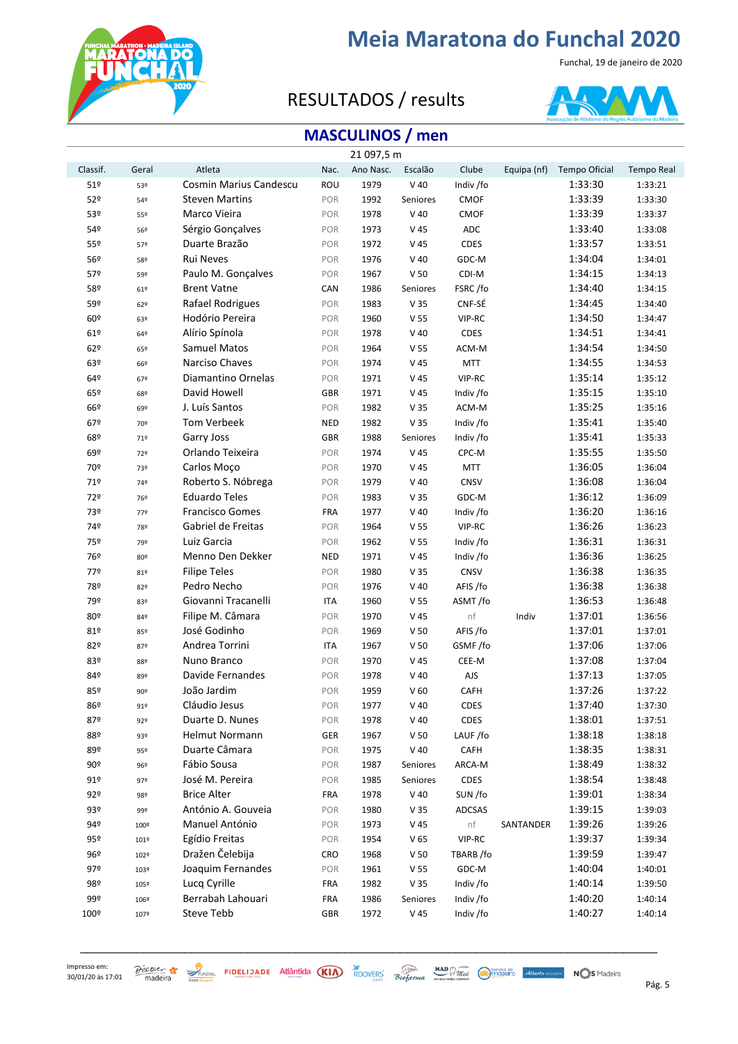

Funchal, 19 de janeiro de 2020

### RESULTADOS / results



### **MASCULINOS / men**

|                 |       |                        |            | 21 097,5 m |                 |               |             |               |                   |
|-----------------|-------|------------------------|------------|------------|-----------------|---------------|-------------|---------------|-------------------|
| Classif.        | Geral | Atleta                 | Nac.       | Ano Nasc.  | Escalão         | Clube         | Equipa (nf) | Tempo Oficial | <b>Tempo Real</b> |
| 51 <sup>°</sup> | 53º   | Cosmin Marius Candescu | <b>ROU</b> | 1979       | $V$ 40          | Indiv /fo     |             | 1:33:30       | 1:33:21           |
| 52º             | 54º   | <b>Steven Martins</b>  | POR        | 1992       | Seniores        | CMOF          |             | 1:33:39       | 1:33:30           |
| 53º             | 55º   | Marco Vieira           | POR        | 1978       | $V$ 40          | CMOF          |             | 1:33:39       | 1:33:37           |
| 54º             | 56º   | Sérgio Gonçalves       | POR        | 1973       | V 45            | ADC           |             | 1:33:40       | 1:33:08           |
| 55º             | 57º   | Duarte Brazão          | POR        | 1972       | V 45            | CDES          |             | 1:33:57       | 1:33:51           |
| 56º             | 58º   | <b>Rui Neves</b>       | POR        | 1976       | $V$ 40          | GDC-M         |             | 1:34:04       | 1:34:01           |
| 57º             | 59º   | Paulo M. Gonçalves     | POR        | 1967       | V <sub>50</sub> | CDI-M         |             | 1:34:15       | 1:34:13           |
| 58º             | 61º   | <b>Brent Vatne</b>     | CAN        | 1986       | Seniores        | FSRC/fo       |             | 1:34:40       | 1:34:15           |
| 59º             | 62º   | Rafael Rodrigues       | POR        | 1983       | V 35            | CNF-SÉ        |             | 1:34:45       | 1:34:40           |
| 60º             | 63º   | Hodório Pereira        | POR        | 1960       | V 55            | VIP-RC        |             | 1:34:50       | 1:34:47           |
| 61º             | 64º   | Alírio Spínola         | POR        | 1978       | $V$ 40          | CDES          |             | 1:34:51       | 1:34:41           |
| 62º             | 65º   | Samuel Matos           | POR        | 1964       | V <sub>55</sub> | ACM-M         |             | 1:34:54       | 1:34:50           |
| 63º             | 66º   | Narciso Chaves         | POR        | 1974       | V <sub>45</sub> | <b>MTT</b>    |             | 1:34:55       | 1:34:53           |
| 64º             | 67º   | Diamantino Ornelas     | POR        | 1971       | V <sub>45</sub> | VIP-RC        |             | 1:35:14       | 1:35:12           |
| 65º             | 68º   | David Howell           | GBR        | 1971       | V <sub>45</sub> | Indiv /fo     |             | 1:35:15       | 1:35:10           |
| 66º             | 69º   | J. Luís Santos         | POR        | 1982       | V 35            | ACM-M         |             | 1:35:25       | 1:35:16           |
| 67º             | 70º   | Tom Verbeek            | <b>NED</b> | 1982       | V 35            | Indiv /fo     |             | 1:35:41       | 1:35:40           |
| 68º             | 71º   | Garry Joss             | GBR        | 1988       | Seniores        | Indiv /fo     |             | 1:35:41       | 1:35:33           |
| 69º             | 72º   | Orlando Teixeira       | POR        | 1974       | V <sub>45</sub> | CPC-M         |             | 1:35:55       | 1:35:50           |
| 70º             | 73º   | Carlos Moço            | POR        | 1970       | V <sub>45</sub> | <b>MTT</b>    |             | 1:36:05       | 1:36:04           |
| 71º             | 74º   | Roberto S. Nóbrega     | POR        | 1979       | $V$ 40          | CNSV          |             | 1:36:08       | 1:36:04           |
| 72º             | 76º   | <b>Eduardo Teles</b>   | POR        | 1983       | V <sub>35</sub> | GDC-M         |             | 1:36:12       | 1:36:09           |
| 73º             | 779   | <b>Francisco Gomes</b> | <b>FRA</b> | 1977       | $V$ 40          | Indiv /fo     |             | 1:36:20       | 1:36:16           |
| 749             | 78º   | Gabriel de Freitas     | POR        | 1964       | V 55            | VIP-RC        |             | 1:36:26       | 1:36:23           |
| 75º             | 79º   | Luiz Garcia            | POR        | 1962       | V <sub>55</sub> | Indiv /fo     |             | 1:36:31       | 1:36:31           |
| 76º             | 80º   | Menno Den Dekker       | <b>NED</b> | 1971       | V <sub>45</sub> | Indiv /fo     |             | 1:36:36       | 1:36:25           |
| 77º             | 81º   | <b>Filipe Teles</b>    | POR        | 1980       | V <sub>35</sub> | CNSV          |             | 1:36:38       | 1:36:35           |
| 78º             | 82º   | Pedro Necho            | POR        | 1976       | $V$ 40          | AFIS /fo      |             | 1:36:38       | 1:36:38           |
| 79º             | 83º   | Giovanni Tracanelli    | <b>ITA</b> | 1960       | V <sub>55</sub> | ASMT/fo       |             | 1:36:53       | 1:36:48           |
| 80º             | 84º   | Filipe M. Câmara       | POR        | 1970       | V <sub>45</sub> | nf            | Indiv       | 1:37:01       | 1:36:56           |
| 81º             | 85º   | José Godinho           | POR        | 1969       | V <sub>50</sub> | AFIS /fo      |             | 1:37:01       | 1:37:01           |
| 82º             | 87º   | Andrea Torrini         | <b>ITA</b> | 1967       | V <sub>50</sub> | GSMF/fo       |             | 1:37:06       | 1:37:06           |
| 83º             | 88º   | Nuno Branco            | POR        | 1970       | V 45            | CEE-M         |             | 1:37:08       | 1:37:04           |
| 84º             | 89º   | Davide Fernandes       | POR        | 1978       | $V$ 40          | AJS           |             | 1:37:13       | 1:37:05           |
| 85º             | 90º   | João Jardim            | POR        | 1959       | V <sub>60</sub> | <b>CAFH</b>   |             | 1:37:26       | 1:37:22           |
| 86º             | 91º   | Cláudio Jesus          | POR        | 1977       | $V$ 40          | <b>CDES</b>   |             | 1:37:40       | 1:37:30           |
| 87º             | 92º   | Duarte D. Nunes        | POR        | 1978       | $V$ 40          | <b>CDES</b>   |             | 1:38:01       | 1:37:51           |
| 88º             | 93º   | Helmut Normann         | GER        | 1967       | V <sub>50</sub> | LAUF/fo       |             | 1:38:18       | 1:38:18           |
| 89º             | 95º   | Duarte Câmara          | POR        | 1975       | $V$ 40          | CAFH          |             | 1:38:35       | 1:38:31           |
| 90º             | 96º   | Fábio Sousa            | POR        | 1987       | Seniores        | ARCA-M        |             | 1:38:49       | 1:38:32           |
| 91º             | 97º   | José M. Pereira        | POR        | 1985       | Seniores        | CDES          |             | 1:38:54       | 1:38:48           |
| 92º             | 98º   | <b>Brice Alter</b>     | <b>FRA</b> | 1978       | $V$ 40          | SUN /fo       |             | 1:39:01       | 1:38:34           |
| 93º             | 99º   | António A. Gouveia     | POR        | 1980       | V <sub>35</sub> | <b>ADCSAS</b> |             | 1:39:15       | 1:39:03           |
| 94º             | 100º  | Manuel António         | POR        | 1973       | V 45            | nf            | SANTANDER   | 1:39:26       | 1:39:26           |
| 95º             | 101º  | Egídio Freitas         | POR        | 1954       | V <sub>65</sub> | VIP-RC        |             | 1:39:37       | 1:39:34           |
| 96º             | 102º  | Dražen Čelebija        | CRO        | 1968       | V <sub>50</sub> | TBARB /fo     |             | 1:39:59       | 1:39:47           |
| 97º             | 103º  | Joaquim Fernandes      | POR        | 1961       | V <sub>55</sub> | GDC-M         |             | 1:40:04       | 1:40:01           |
| 98º             | 105º  | Lucq Cyrille           | <b>FRA</b> | 1982       | V <sub>35</sub> | Indiv /fo     |             | 1:40:14       | 1:39:50           |
| 99º             | 106º  | Berrabah Lahouari      | <b>FRA</b> | 1986       | Seniores        | Indiv /fo     |             | 1:40:20       | 1:40:14           |
| 100º            | 107º  | Steve Tebb             | GBR        | 1972       | V <sub>45</sub> | Indiv /fo     |             | 1:40:27       | 1:40:14           |

\_\_\_\_\_\_\_\_\_\_\_\_\_\_\_\_\_\_\_\_\_\_\_\_\_\_\_\_\_\_\_\_\_\_\_\_\_\_\_\_\_\_\_\_\_\_\_\_\_\_\_\_\_\_\_\_\_\_\_\_\_\_\_\_\_\_\_\_\_\_\_\_\_\_\_\_\_\_\_\_\_\_\_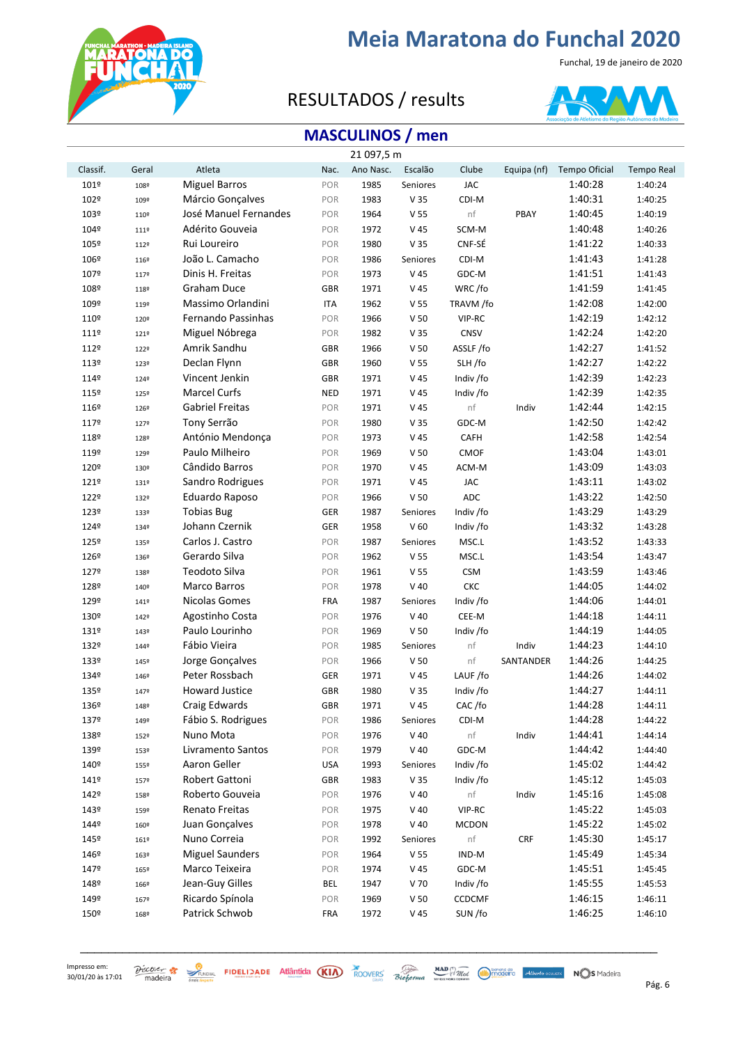

Funchal, 19 de janeiro de 2020

### RESULTADOS / results



### **MASCULINOS / men**

|          |       |                        |            | 21 097,5 m |                 |               |             |               |                   |
|----------|-------|------------------------|------------|------------|-----------------|---------------|-------------|---------------|-------------------|
| Classif. | Geral | Atleta                 | Nac.       | Ano Nasc.  | Escalão         | Clube         | Equipa (nf) | Tempo Oficial | <b>Tempo Real</b> |
| 101º     | 108º  | <b>Miguel Barros</b>   | POR        | 1985       | Seniores        | <b>JAC</b>    |             | 1:40:28       | 1:40:24           |
| 102º     | 109º  | Márcio Gonçalves       | POR        | 1983       | V 35            | CDI-M         |             | 1:40:31       | 1:40:25           |
| 103º     | 110º  | José Manuel Fernandes  | POR        | 1964       | V <sub>55</sub> | nf            | PBAY        | 1:40:45       | 1:40:19           |
| 104º     | 1119  | Adérito Gouveia        | POR        | 1972       | V 45            | SCM-M         |             | 1:40:48       | 1:40:26           |
| 105º     | 112º  | Rui Loureiro           | POR        | 1980       | V <sub>35</sub> | CNF-SÉ        |             | 1:41:22       | 1:40:33           |
| 106º     | 116º  | João L. Camacho        | POR        | 1986       | Seniores        | CDI-M         |             | 1:41:43       | 1:41:28           |
| 107º     | 1179  | Dinis H. Freitas       | POR        | 1973       | V <sub>45</sub> | GDC-M         |             | 1:41:51       | 1:41:43           |
| 108º     | 118º  | <b>Graham Duce</b>     | <b>GBR</b> | 1971       | V 45            | WRC/fo        |             | 1:41:59       | 1:41:45           |
| 109º     | 119º  | Massimo Orlandini      | <b>ITA</b> | 1962       | V <sub>55</sub> | TRAVM /fo     |             | 1:42:08       | 1:42:00           |
| 110º     | 120º  | Fernando Passinhas     | POR        | 1966       | V <sub>50</sub> | VIP-RC        |             | 1:42:19       | 1:42:12           |
| 111º     | 1219  | Miguel Nóbrega         | POR        | 1982       | V <sub>35</sub> | CNSV          |             | 1:42:24       | 1:42:20           |
| 112º     | 122º  | Amrik Sandhu           | <b>GBR</b> | 1966       | V <sub>50</sub> | ASSLF/fo      |             | 1:42:27       | 1:41:52           |
| 113º     | 123º  | Declan Flynn           | GBR        | 1960       | V <sub>55</sub> | SLH/fo        |             | 1:42:27       | 1:42:22           |
| 114º     | 1249  | Vincent Jenkin         | GBR        | 1971       | V 45            | Indiv /fo     |             | 1:42:39       | 1:42:23           |
| 115º     | 125º  | <b>Marcel Curfs</b>    | <b>NED</b> | 1971       | V 45            | Indiv /fo     |             | 1:42:39       | 1:42:35           |
| 116º     | 1269  | Gabriel Freitas        | POR        | 1971       | V 45            | nf            | Indiv       | 1:42:44       | 1:42:15           |
| 1179     | 1279  | Tony Serrão            | POR        | 1980       | V <sub>35</sub> | GDC-M         |             | 1:42:50       | 1:42:42           |
| 118º     | 128º  | António Mendonça       | POR        | 1973       | V 45            | CAFH          |             | 1:42:58       | 1:42:54           |
| 119º     | 129º  | Paulo Milheiro         | POR        | 1969       | V <sub>50</sub> | CMOF          |             | 1:43:04       | 1:43:01           |
| 120º     | 130º  | Cândido Barros         | POR        | 1970       | V <sub>45</sub> | ACM-M         |             | 1:43:09       | 1:43:03           |
| 121º     | 131º  | Sandro Rodrigues       | POR        | 1971       | V 45            | <b>JAC</b>    |             | 1:43:11       | 1:43:02           |
| 122º     | 132º  | Eduardo Raposo         | POR        | 1966       | V <sub>50</sub> | <b>ADC</b>    |             | 1:43:22       | 1:42:50           |
| 123º     | 133º  | <b>Tobias Bug</b>      | GER        | 1987       | Seniores        | Indiv /fo     |             | 1:43:29       | 1:43:29           |
| 1249     | 1349  | Johann Czernik         | GER        | 1958       | V <sub>60</sub> | Indiv /fo     |             | 1:43:32       | 1:43:28           |
| 125º     | 135º  | Carlos J. Castro       | POR        | 1987       | Seniores        | MSC.L         |             | 1:43:52       | 1:43:33           |
| 126º     | 136º  | Gerardo Silva          | POR        | 1962       | V <sub>55</sub> | MSC.L         |             | 1:43:54       | 1:43:47           |
| 1279     | 138º  | Teodoto Silva          | POR        | 1961       | V <sub>55</sub> | <b>CSM</b>    |             | 1:43:59       | 1:43:46           |
| 128º     | 140º  | <b>Marco Barros</b>    | POR        | 1978       | $V$ 40          | CKC           |             | 1:44:05       | 1:44:02           |
| 129º     | 1419  | Nicolas Gomes          | <b>FRA</b> | 1987       | Seniores        | Indiv /fo     |             | 1:44:06       | 1:44:01           |
| 130º     | 142º  | Agostinho Costa        | POR        | 1976       | $V$ 40          | CEE-M         |             | 1:44:18       | 1:44:11           |
| 131º     | 143º  | Paulo Lourinho         | POR        | 1969       | V <sub>50</sub> | Indiv /fo     |             | 1:44:19       | 1:44:05           |
| 132º     | 1449  | Fábio Vieira           | POR        | 1985       | Seniores        | nf            | Indiv       | 1:44:23       | 1:44:10           |
| 133º     | 145º  | Jorge Gonçalves        | POR        | 1966       | V <sub>50</sub> | nf            | SANTANDER   | 1:44:26       | 1:44:25           |
| 1349     | 1469  | Peter Rossbach         | GER        | 1971       | V <sub>45</sub> | LAUF/fo       |             | 1:44:26       | 1:44:02           |
| 135º     | 1479  | <b>Howard Justice</b>  | <b>GBR</b> | 1980       | V 35            | Indiv /fo     |             | 1:44:27       | 1:44:11           |
| 136º     | 1489  | Craig Edwards          | <b>GBR</b> | 1971       | V 45            | CAC/fo        |             | 1:44:28       | 1:44:11           |
| 1379     | 149º  | Fábio S. Rodrigues     | POR        | 1986       | Seniores        | CDI-M         |             | 1:44:28       | 1:44:22           |
| 138º     | 152º  | Nuno Mota              | POR        | 1976       | $V$ 40          | nf            | Indiv       | 1:44:41       | 1:44:14           |
| 139º     | 153º  | Livramento Santos      | POR        | 1979       | $V$ 40          | GDC-M         |             | 1:44:42       | 1:44:40           |
| 140º     | 155º  | Aaron Geller           | <b>USA</b> | 1993       | Seniores        | Indiv /fo     |             | 1:45:02       | 1:44:42           |
| 141º     | 1579  | Robert Gattoni         | <b>GBR</b> | 1983       | V <sub>35</sub> | Indiv /fo     |             | 1:45:12       | 1:45:03           |
| 142º     | 158º  | Roberto Gouveia        | POR        | 1976       | $V$ 40          | nf            | Indiv       | 1:45:16       | 1:45:08           |
| 143º     | 159º  | Renato Freitas         | POR        | 1975       | $V$ 40          | VIP-RC        |             | 1:45:22       | 1:45:03           |
| 1449     | 160º  | Juan Gonçalves         | POR        | 1978       | $V$ 40          | <b>MCDON</b>  |             | 1:45:22       | 1:45:02           |
| 145º     | 161º  | Nuno Correia           | POR        | 1992       | Seniores        | nf            | ${\sf CRF}$ | 1:45:30       | 1:45:17           |
| 146º     | 163º  | <b>Miguel Saunders</b> | POR        | 1964       | V <sub>55</sub> | IND-M         |             | 1:45:49       | 1:45:34           |
| 1479     | 165º  | Marco Teixeira         | POR        | 1974       | V 45            | GDC-M         |             | 1:45:51       | 1:45:45           |
| 148º     | 1669  | Jean-Guy Gilles        | BEL        | 1947       | V 70            | Indiv /fo     |             | 1:45:55       | 1:45:53           |
| 149º     | 167º  | Ricardo Spínola        | POR        | 1969       | V <sub>50</sub> | <b>CCDCMF</b> |             | 1:46:15       | 1:46:11           |
| 150º     | 168º  | Patrick Schwob         | FRA        | 1972       | V 45            | SUN /fo       |             | 1:46:25       | 1:46:10           |

\_\_\_\_\_\_\_\_\_\_\_\_\_\_\_\_\_\_\_\_\_\_\_\_\_\_\_\_\_\_\_\_\_\_\_\_\_\_\_\_\_\_\_\_\_\_\_\_\_\_\_\_\_\_\_\_\_\_\_\_\_\_\_\_\_\_\_\_\_\_\_\_\_\_\_\_\_\_\_\_\_\_\_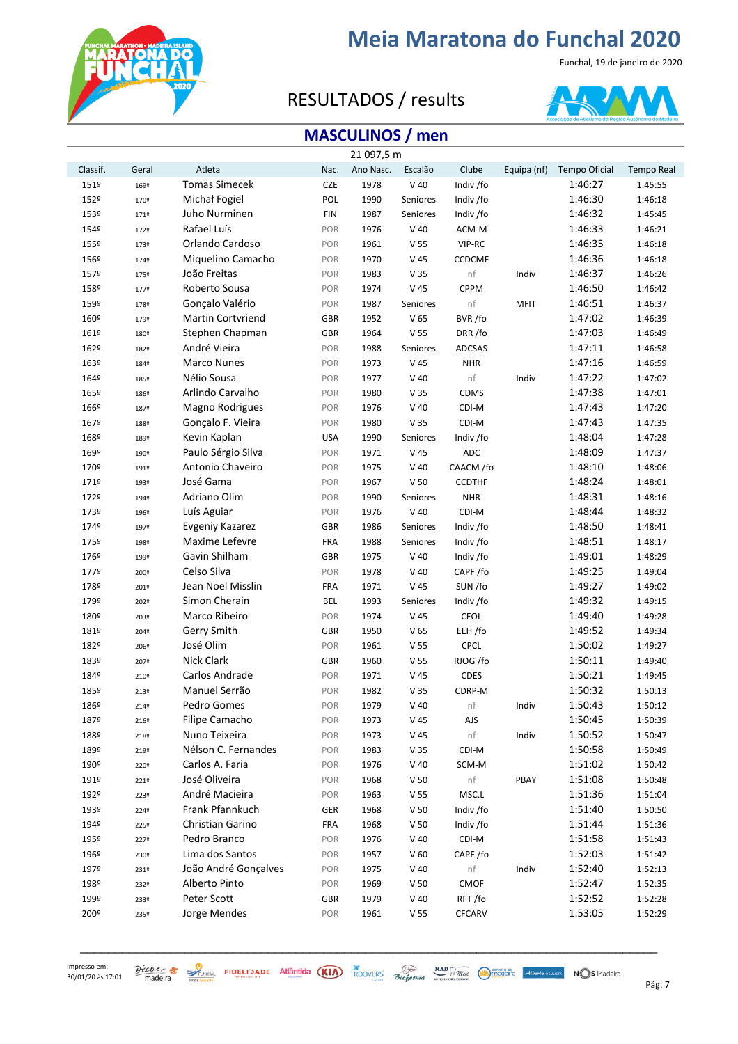

Funchal, 19 de janeiro de 2020

### RESULTADOS / results



### **MASCULINOS / men**

|          |       |                          |            | 21 097,5 m |                 |               |             |               |                   |
|----------|-------|--------------------------|------------|------------|-----------------|---------------|-------------|---------------|-------------------|
| Classif. | Geral | Atleta                   | Nac.       | Ano Nasc.  | Escalão         | Clube         | Equipa (nf) | Tempo Oficial | <b>Tempo Real</b> |
| 151º     | 169º  | <b>Tomas Simecek</b>     | <b>CZE</b> | 1978       | $V$ 40          | Indiv /fo     |             | 1:46:27       | 1:45:55           |
| 152º     | 170º  | Michał Fogiel            | POL        | 1990       | Seniores        | Indiv /fo     |             | 1:46:30       | 1:46:18           |
| 153º     | 171º  | Juho Nurminen            | <b>FIN</b> | 1987       | <b>Seniores</b> | Indiv /fo     |             | 1:46:32       | 1:45:45           |
| 1549     | 172º  | Rafael Luís              | POR        | 1976       | $V$ 40          | ACM-M         |             | 1:46:33       | 1:46:21           |
| 155º     | 173º  | Orlando Cardoso          | POR        | 1961       | V <sub>55</sub> | VIP-RC        |             | 1:46:35       | 1:46:18           |
| 156º     | 1749  | Miquelino Camacho        | POR        | 1970       | V <sub>45</sub> | <b>CCDCMF</b> |             | 1:46:36       | 1:46:18           |
| 157º     | 175º  | João Freitas             | POR        | 1983       | V <sub>35</sub> | nf            | Indiv       | 1:46:37       | 1:46:26           |
| 158º     | 1779  | Roberto Sousa            | POR        | 1974       | $V$ 45          | <b>CPPM</b>   |             | 1:46:50       | 1:46:42           |
| 159º     | 178º  | Gonçalo Valério          | POR        | 1987       | Seniores        | nf            | <b>MFIT</b> | 1:46:51       | 1:46:37           |
| 160º     | 179º  | <b>Martin Cortvriend</b> | <b>GBR</b> | 1952       | V <sub>65</sub> | BVR/fo        |             | 1:47:02       | 1:46:39           |
| 161º     | 180º  | Stephen Chapman          | <b>GBR</b> | 1964       | V <sub>55</sub> | DRR/fo        |             | 1:47:03       | 1:46:49           |
| 162º     | 182º  | André Vieira             | POR        | 1988       | Seniores        | <b>ADCSAS</b> |             | 1:47:11       | 1:46:58           |
| 163º     | 1849  | <b>Marco Nunes</b>       | POR        | 1973       | V <sub>45</sub> | <b>NHR</b>    |             | 1:47:16       | 1:46:59           |
| 164º     | 185º  | Nélio Sousa              | POR        | 1977       | $V$ 40          | nf            | Indiv       | 1:47:22       | 1:47:02           |
| 165º     | 186º  | Arlindo Carvalho         | POR        | 1980       | V <sub>35</sub> | CDMS          |             | 1:47:38       | 1:47:01           |
| 166º     | 187º  | Magno Rodrigues          | POR        | 1976       | $V$ 40          | CDI-M         |             | 1:47:43       | 1:47:20           |
| 167º     | 188º  | Gonçalo F. Vieira        | POR        | 1980       | V <sub>35</sub> | CDI-M         |             | 1:47:43       | 1:47:35           |
| 168º     | 189º  | Kevin Kaplan             | <b>USA</b> | 1990       | Seniores        | Indiv /fo     |             | 1:48:04       | 1:47:28           |
| 169º     | 190º  | Paulo Sérgio Silva       | POR        | 1971       | V 45            | <b>ADC</b>    |             | 1:48:09       | 1:47:37           |
| 170º     | 191º  | Antonio Chaveiro         | POR        | 1975       | $V$ 40          | CAACM /fo     |             | 1:48:10       | 1:48:06           |
| 171º     | 193º  | José Gama                | POR        | 1967       | V <sub>50</sub> | <b>CCDTHF</b> |             | 1:48:24       | 1:48:01           |
| 172º     | 194º  | Adriano Olim             | POR        | 1990       | Seniores        | <b>NHR</b>    |             | 1:48:31       | 1:48:16           |
| 173º     | 196º  | Luís Aguiar              | POR        | 1976       | $V$ 40          | CDI-M         |             | 1:48:44       | 1:48:32           |
| 174º     | 197º  | Evgeniy Kazarez          | <b>GBR</b> | 1986       | Seniores        | Indiv /fo     |             | 1:48:50       | 1:48:41           |
| 175º     | 198º  | Maxime Lefevre           | <b>FRA</b> | 1988       | Seniores        | Indiv /fo     |             | 1:48:51       | 1:48:17           |
| 176º     | 199º  | Gavin Shilham            | <b>GBR</b> | 1975       | $V$ 40          | Indiv /fo     |             | 1:49:01       | 1:48:29           |
| 1779     | 200º  | Celso Silva              | POR        | 1978       | $V$ 40          | CAPF/fo       |             | 1:49:25       | 1:49:04           |
| 178º     | 201º  | Jean Noel Misslin        | <b>FRA</b> | 1971       | V <sub>45</sub> | SUN /fo       |             | 1:49:27       | 1:49:02           |
| 179º     | 202º  | Simon Cherain            | <b>BEL</b> | 1993       | Seniores        | Indiv /fo     |             | 1:49:32       | 1:49:15           |
| 180º     | 203º  | Marco Ribeiro            | POR        | 1974       | V 45            | CEOL          |             | 1:49:40       | 1:49:28           |
| 181º     | 2049  | Gerry Smith              | <b>GBR</b> | 1950       | V <sub>65</sub> | EEH /fo       |             | 1:49:52       | 1:49:34           |
| 182º     | 2069  | José Olim                | POR        | 1961       | V <sub>55</sub> | <b>CPCL</b>   |             | 1:50:02       | 1:49:27           |
| 183º     | 207º  | Nick Clark               | <b>GBR</b> | 1960       | V <sub>55</sub> | RJOG /fo      |             | 1:50:11       | 1:49:40           |
| 1849     | 210º  | Carlos Andrade           | POR        | 1971       | V 45            | CDES          |             | 1:50:21       | 1:49:45           |
| 185º     | 213º  | Manuel Serrão            | POR        | 1982       | V 35            | CDRP-M        |             | 1:50:32       | 1:50:13           |
| 186º     | 2149  | Pedro Gomes              | POR        | 1979       | $V$ 40          | nf            | Indiv       | 1:50:43       | 1:50:12           |
| 187º     | 216º  | Filipe Camacho           | POR        | 1973       | V 45            | AJS           |             | 1:50:45       | 1:50:39           |
| 188º     | 218º  | Nuno Teixeira            | POR        | 1973       | V 45            | nf            | Indiv       | 1:50:52       | 1:50:47           |
| 189º     | 219º  | Nélson C. Fernandes      | POR        | 1983       | V <sub>35</sub> | CDI-M         |             | 1:50:58       | 1:50:49           |
| 190º     | 220º  | Carlos A. Faria          | POR        | 1976       | $V$ 40          | SCM-M         |             | 1:51:02       | 1:50:42           |
| 191º     | 221º  | José Oliveira            | POR        | 1968       | V <sub>50</sub> | nf            | PBAY        | 1:51:08       | 1:50:48           |
| 192º     | 223º  | André Macieira           | POR        | 1963       | V <sub>55</sub> | MSC.L         |             | 1:51:36       | 1:51:04           |
| 193º     | 2249  | Frank Pfannkuch          | GER        | 1968       | V <sub>50</sub> | Indiv /fo     |             | 1:51:40       | 1:50:50           |
| 194º     | 225°  | Christian Garino         | <b>FRA</b> | 1968       | V <sub>50</sub> | Indiv /fo     |             | 1:51:44       | 1:51:36           |
| 195º     | 2279  | Pedro Branco             | POR        | 1976       | $V$ 40          | CDI-M         |             | 1:51:58       | 1:51:43           |
| 196º     | 230º  | Lima dos Santos          | POR        | 1957       | V <sub>60</sub> | CAPF/fo       |             | 1:52:03       | 1:51:42           |
| 197º     | 231º  | João André Gonçalves     | POR        | 1975       | $V$ 40          | nf            | Indiv       | 1:52:40       | 1:52:13           |
| 198º     | 232º  | Alberto Pinto            | POR        | 1969       | V <sub>50</sub> | CMOF          |             | 1:52:47       | 1:52:35           |
| 199º     | 233º  | Peter Scott              | <b>GBR</b> | 1979       | $V$ 40          | RFT/fo        |             | 1:52:52       | 1:52:28           |
| 200º     | 235º  | Jorge Mendes             | POR        | 1961       | V <sub>55</sub> | <b>CFCARV</b> |             | 1:53:05       | 1:52:29           |

\_\_\_\_\_\_\_\_\_\_\_\_\_\_\_\_\_\_\_\_\_\_\_\_\_\_\_\_\_\_\_\_\_\_\_\_\_\_\_\_\_\_\_\_\_\_\_\_\_\_\_\_\_\_\_\_\_\_\_\_\_\_\_\_\_\_\_\_\_\_\_\_\_\_\_\_\_\_\_\_\_\_\_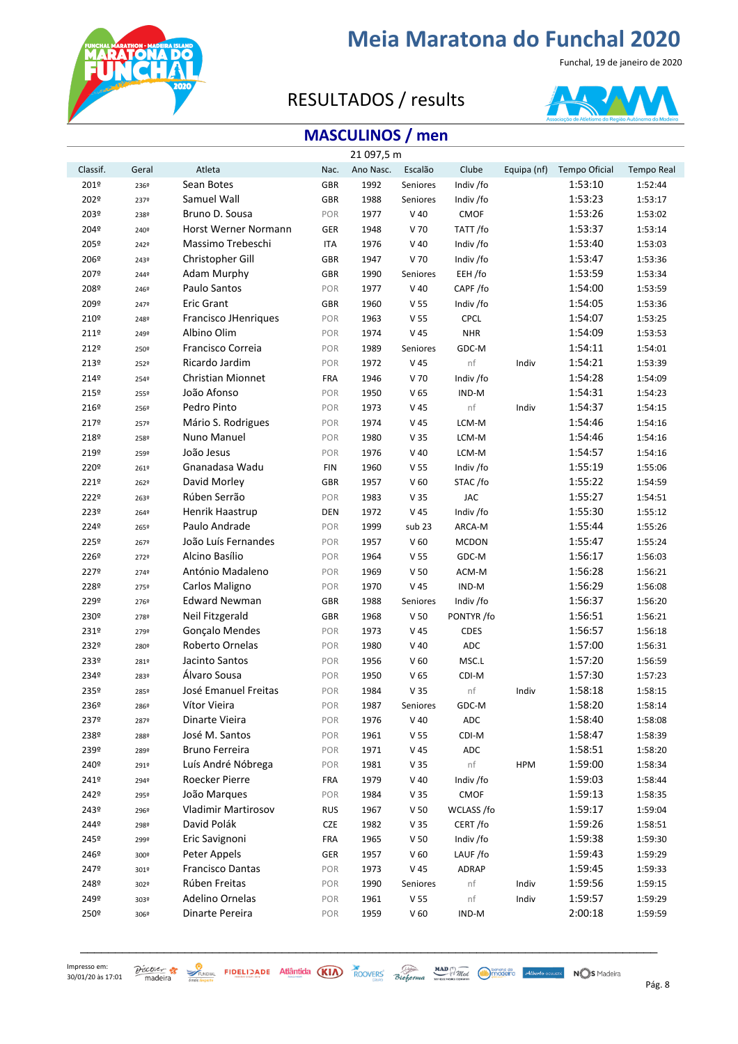

Funchal, 19 de janeiro de 2020

### RESULTADOS / results



### **MASCULINOS / men**

|          |       |                             |            | 21 097,5 m |                 |              |             |               |                   |
|----------|-------|-----------------------------|------------|------------|-----------------|--------------|-------------|---------------|-------------------|
| Classif. | Geral | Atleta                      | Nac.       | Ano Nasc.  | Escalão         | Clube        | Equipa (nf) | Tempo Oficial | <b>Tempo Real</b> |
| 201º     | 236º  | Sean Botes                  | <b>GBR</b> | 1992       | Seniores        | Indiv /fo    |             | 1:53:10       | 1:52:44           |
| 202º     | 2379  | Samuel Wall                 | <b>GBR</b> | 1988       | Seniores        | Indiv /fo    |             | 1:53:23       | 1:53:17           |
| 203º     | 238º  | Bruno D. Sousa              | POR        | 1977       | $V$ 40          | CMOF         |             | 1:53:26       | 1:53:02           |
| 204º     | 240º  | <b>Horst Werner Normann</b> | GER        | 1948       | V 70            | TATT /fo     |             | 1:53:37       | 1:53:14           |
| 205º     | 2429  | Massimo Trebeschi           | <b>ITA</b> | 1976       | $V$ 40          | Indiv /fo    |             | 1:53:40       | 1:53:03           |
| 206º     | 243º  | Christopher Gill            | <b>GBR</b> | 1947       | V 70            | Indiv /fo    |             | 1:53:47       | 1:53:36           |
| 207º     | 2449  | Adam Murphy                 | GBR        | 1990       | Seniores        | EEH /fo      |             | 1:53:59       | 1:53:34           |
| 208º     | 2469  | Paulo Santos                | POR        | 1977       | $V$ 40          | CAPF/fo      |             | 1:54:00       | 1:53:59           |
| 209º     | 2479  | <b>Eric Grant</b>           | GBR        | 1960       | V <sub>55</sub> | Indiv /fo    |             | 1:54:05       | 1:53:36           |
| 210º     | 2489  | <b>Francisco JHenriques</b> | POR        | 1963       | V <sub>55</sub> | <b>CPCL</b>  |             | 1:54:07       | 1:53:25           |
| 211º     | 249º  | Albino Olim                 | POR        | 1974       | V <sub>45</sub> | <b>NHR</b>   |             | 1:54:09       | 1:53:53           |
| 212º     | 250º  | Francisco Correia           | POR        | 1989       | Seniores        | GDC-M        |             | 1:54:11       | 1:54:01           |
| 213º     | 2529  | Ricardo Jardim              | POR        | 1972       | V <sub>45</sub> | nf           | Indiv       | 1:54:21       | 1:53:39           |
| 2149     | 2549  | Christian Mionnet           | <b>FRA</b> | 1946       | V 70            | Indiv /fo    |             | 1:54:28       | 1:54:09           |
| 215º     | 2559  | João Afonso                 | POR        | 1950       | V <sub>65</sub> | IND-M        |             | 1:54:31       | 1:54:23           |
| 216º     | 2569  | Pedro Pinto                 | POR        | 1973       | V <sub>45</sub> | nf           | Indiv       | 1:54:37       | 1:54:15           |
| 2179     | 2579  | Mário S. Rodrigues          | POR        | 1974       | V <sub>45</sub> | LCM-M        |             | 1:54:46       | 1:54:16           |
| 218º     | 2589  | Nuno Manuel                 | POR        | 1980       | V <sub>35</sub> | LCM-M        |             | 1:54:46       | 1:54:16           |
| 219º     | 259º  | João Jesus                  | POR        | 1976       | $V$ 40          | LCM-M        |             | 1:54:57       | 1:54:16           |
| 220º     | 261º  | Gnanadasa Wadu              | <b>FIN</b> | 1960       | V <sub>55</sub> | Indiv /fo    |             | 1:55:19       | 1:55:06           |
| 2219     | 262º  | David Morley                | GBR        | 1957       | V <sub>60</sub> | STAC/fo      |             | 1:55:22       | 1:54:59           |
| 222º     | 263º  | Rúben Serrão                | POR        | 1983       | V <sub>35</sub> | <b>JAC</b>   |             | 1:55:27       | 1:54:51           |
| 223º     | 2649  | Henrik Haastrup             | <b>DEN</b> | 1972       | V 45            | Indiv /fo    |             | 1:55:30       | 1:55:12           |
| 2249     | 265º  | Paulo Andrade               | POR        | 1999       | sub 23          | ARCA-M       |             | 1:55:44       | 1:55:26           |
| 225º     | 2679  | João Luís Fernandes         | POR        | 1957       | V <sub>60</sub> | <b>MCDON</b> |             | 1:55:47       | 1:55:24           |
| 226º     | 2729  | Alcino Basílio              | POR        | 1964       | V <sub>55</sub> | GDC-M        |             | 1:56:17       | 1:56:03           |
| 2279     | 2749  | António Madaleno            | POR        | 1969       | V <sub>50</sub> | ACM-M        |             | 1:56:28       | 1:56:21           |
| 228º     | 2759  | Carlos Maligno              | POR        | 1970       | V 45            | IND-M        |             | 1:56:29       | 1:56:08           |
| 229º     | 2769  | <b>Edward Newman</b>        | GBR        | 1988       | Seniores        | Indiv /fo    |             | 1:56:37       | 1:56:20           |
| 230º     | 2789  | Neil Fitzgerald             | GBR        | 1968       | V <sub>50</sub> | PONTYR /fo   |             | 1:56:51       | 1:56:21           |
| 231º     | 2799  | <b>Gonçalo Mendes</b>       | POR        | 1973       | V 45            | <b>CDES</b>  |             | 1:56:57       | 1:56:18           |
| 232º     | 280º  | Roberto Ornelas             | POR        | 1980       | $V$ 40          | ADC          |             | 1:57:00       | 1:56:31           |
| 233º     | 281º  | Jacinto Santos              | POR        | 1956       | V <sub>60</sub> | MSC.L        |             | 1:57:20       | 1:56:59           |
| 2349     | 283º  | Álvaro Sousa                | POR        | 1950       | V <sub>65</sub> | CDI-M        |             | 1:57:30       | 1:57:23           |
| 235º     | 285º  | José Emanuel Freitas        | POR        | 1984       | V <sub>35</sub> | nf           | Indiv       | 1:58:18       | 1:58:15           |
| 236º     | 286º  | Vítor Vieira                | POR        | 1987       | Seniores        | GDC-M        |             | 1:58:20       | 1:58:14           |
| 2379     | 2879  | Dinarte Vieira              | POR        | 1976       | $V$ 40          | <b>ADC</b>   |             | 1:58:40       | 1:58:08           |
| 238º     | 288º  | José M. Santos              | POR        | 1961       | V <sub>55</sub> | CDI-M        |             | 1:58:47       | 1:58:39           |
| 239º     | 289º  | <b>Bruno Ferreira</b>       | POR        | 1971       | V 45            | ADC          |             | 1:58:51       | 1:58:20           |
| 240º     | 291º  | Luís André Nóbrega          | POR        | 1981       | V <sub>35</sub> | nf           | <b>HPM</b>  | 1:59:00       | 1:58:34           |
| 241º     | 294º  | Roecker Pierre              | <b>FRA</b> | 1979       | $V$ 40          | Indiv /fo    |             | 1:59:03       | 1:58:44           |
| 242º     | 295º  | João Marques                | POR        | 1984       | V <sub>35</sub> | CMOF         |             | 1:59:13       | 1:58:35           |
| 243º     | 296º  | <b>Vladimir Martirosov</b>  | <b>RUS</b> | 1967       | V <sub>50</sub> | WCLASS /fo   |             | 1:59:17       | 1:59:04           |
| 2449     | 298º  | David Polák                 | <b>CZE</b> | 1982       | V <sub>35</sub> | CERT/fo      |             | 1:59:26       | 1:58:51           |
| 245º     | 299º  | Eric Savignoni              | <b>FRA</b> | 1965       | V <sub>50</sub> | Indiv /fo    |             | 1:59:38       | 1:59:30           |
| 246º     | 300º  | Peter Appels                | GER        | 1957       | V <sub>60</sub> | LAUF/fo      |             | 1:59:43       | 1:59:29           |
| 2479     | 301º  | <b>Francisco Dantas</b>     | POR        | 1973       | V 45            | ADRAP        |             | 1:59:45       | 1:59:33           |
| 248º     | 302º  | Rúben Freitas               | POR        | 1990       | Seniores        | nf           | Indiv       | 1:59:56       | 1:59:15           |
| 249º     | 303º  | Adelino Ornelas             | POR        | 1961       | V <sub>55</sub> | nf           | Indiv       | 1:59:57       | 1:59:29           |
| 250º     | 306º  | Dinarte Pereira             | POR        | 1959       | V <sub>60</sub> | IND-M        |             | 2:00:18       | 1:59:59           |

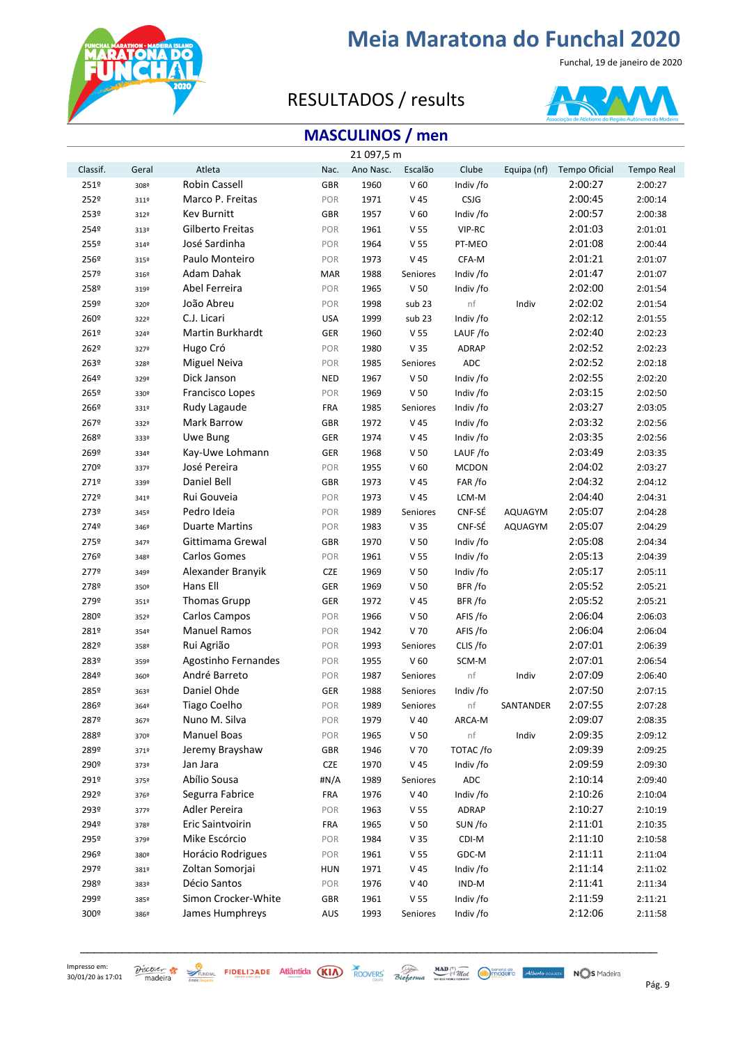

Funchal, 19 de janeiro de 2020

### RESULTADOS / results



### **MASCULINOS / men**

|          |       |                       |            | 21 097,5 m |                 |              |             |               |                   |
|----------|-------|-----------------------|------------|------------|-----------------|--------------|-------------|---------------|-------------------|
| Classif. | Geral | Atleta                | Nac.       | Ano Nasc.  | Escalão         | Clube        | Equipa (nf) | Tempo Oficial | <b>Tempo Real</b> |
| 251º     | 308º  | Robin Cassell         | <b>GBR</b> | 1960       | V <sub>60</sub> | Indiv /fo    |             | 2:00:27       | 2:00:27           |
| 252º     | 311º  | Marco P. Freitas      | POR        | 1971       | V 45            | CSJG         |             | 2:00:45       | 2:00:14           |
| 253º     | 312º  | Kev Burnitt           | <b>GBR</b> | 1957       | V <sub>60</sub> | Indiv /fo    |             | 2:00:57       | 2:00:38           |
| 254º     | 313º  | Gilberto Freitas      | POR        | 1961       | V <sub>55</sub> | VIP-RC       |             | 2:01:03       | 2:01:01           |
| 255º     | 3149  | José Sardinha         | POR        | 1964       | V <sub>55</sub> | PT-MEO       |             | 2:01:08       | 2:00:44           |
| 256º     | 315º  | Paulo Monteiro        | POR        | 1973       | V 45            | CFA-M        |             | 2:01:21       | 2:01:07           |
| 2579     | 3169  | Adam Dahak            | <b>MAR</b> | 1988       | Seniores        | Indiv /fo    |             | 2:01:47       | 2:01:07           |
| 258º     | 319º  | Abel Ferreira         | POR        | 1965       | V <sub>50</sub> | Indiv /fo    |             | 2:02:00       | 2:01:54           |
| 259º     | 320º  | João Abreu            | POR        | 1998       | sub 23          | nf           | Indiv       | 2:02:02       | 2:01:54           |
| 260º     | 322º  | C.J. Licari           | <b>USA</b> | 1999       | sub 23          | Indiv /fo    |             | 2:02:12       | 2:01:55           |
| 261º     | 3249  | Martin Burkhardt      | GER        | 1960       | V 55            | LAUF/fo      |             | 2:02:40       | 2:02:23           |
| 262º     | 3279  | Hugo Cró              | POR        | 1980       | V 35            | ADRAP        |             | 2:02:52       | 2:02:23           |
| 263º     | 3289  | <b>Miguel Neiva</b>   | POR        | 1985       | Seniores        | ADC          |             | 2:02:52       | 2:02:18           |
| 264º     | 329º  | Dick Janson           | <b>NED</b> | 1967       | V <sub>50</sub> | Indiv /fo    |             | 2:02:55       | 2:02:20           |
| 265º     | 330º  | Francisco Lopes       | POR        | 1969       | V <sub>50</sub> | Indiv /fo    |             | 2:03:15       | 2:02:50           |
| 266º     | 331º  | Rudy Lagaude          | <b>FRA</b> | 1985       | Seniores        | Indiv /fo    |             | 2:03:27       | 2:03:05           |
| 267º     | 332º  | Mark Barrow           | <b>GBR</b> | 1972       | V <sub>45</sub> | Indiv /fo    |             | 2:03:32       | 2:02:56           |
| 268º     | 3339  | Uwe Bung              | GER        | 1974       | V 45            | Indiv /fo    |             | 2:03:35       | 2:02:56           |
| 269º     | 3349  | Kay-Uwe Lohmann       | GER        | 1968       | V <sub>50</sub> | LAUF/fo      |             | 2:03:49       | 2:03:35           |
| 270º     | 3379  | José Pereira          | POR        | 1955       | V <sub>60</sub> | <b>MCDON</b> |             | 2:04:02       | 2:03:27           |
| 2719     | 339º  | Daniel Bell           | <b>GBR</b> | 1973       | V 45            | FAR /fo      |             | 2:04:32       | 2:04:12           |
| 2729     | 3419  | Rui Gouveia           | POR        | 1973       | V <sub>45</sub> | LCM-M        |             | 2:04:40       | 2:04:31           |
| 273º     | 345°  | Pedro Ideia           | POR        | 1989       | Seniores        | CNF-SÉ       | AQUAGYM     | 2:05:07       | 2:04:28           |
| 2749     | 3469  | <b>Duarte Martins</b> | POR        | 1983       | V <sub>35</sub> | CNF-SÉ       | AQUAGYM     | 2:05:07       | 2:04:29           |
| 275º     | 3479  | Gittimama Grewal      | <b>GBR</b> | 1970       | V <sub>50</sub> | Indiv /fo    |             | 2:05:08       | 2:04:34           |
| 276º     | 3489  | Carlos Gomes          | POR        | 1961       | V <sub>55</sub> | Indiv /fo    |             | 2:05:13       | 2:04:39           |
| 2779     | 349º  | Alexander Branyik     | <b>CZE</b> | 1969       | V <sub>50</sub> | Indiv /fo    |             | 2:05:17       | 2:05:11           |
| 278º     | 350º  | Hans Ell              | GER        | 1969       | V <sub>50</sub> | BFR/fo       |             | 2:05:52       | 2:05:21           |
| 279º     | 351º  | <b>Thomas Grupp</b>   | GER        | 1972       | V 45            | BFR/fo       |             | 2:05:52       | 2:05:21           |
| 280º     | 352º  | Carlos Campos         | POR        | 1966       | V <sub>50</sub> | AFIS /fo     |             | 2:06:04       | 2:06:03           |
| 281º     | 3549  | <b>Manuel Ramos</b>   | POR        | 1942       | V 70            | AFIS /fo     |             | 2:06:04       | 2:06:04           |
| 282º     | 358º  | Rui Agrião            | POR        | 1993       | Seniores        | CLIS /fo     |             | 2:07:01       | 2:06:39           |
| 283º     | 359º  | Agostinho Fernandes   | POR        | 1955       | V <sub>60</sub> | SCM-M        |             | 2:07:01       | 2:06:54           |
| 2849     | 360º  | André Barreto         | POR        | 1987       | Seniores        | nf           | Indiv       | 2:07:09       | 2:06:40           |
| 285º     | 363º  | Daniel Ohde           | GER        | 1988       | Seniores        | Indiv /fo    |             | 2:07:50       | 2:07:15           |
| 286º     | 3649  | Tiago Coelho          | POR        | 1989       | Seniores        | nf           | SANTANDER   | 2:07:55       | 2:07:28           |
| 2879     | 367º  | Nuno M. Silva         | POR        | 1979       | $V$ 40          | ARCA-M       |             | 2:09:07       | 2:08:35           |
| 288º     | 370º  | <b>Manuel Boas</b>    | POR        | 1965       | V <sub>50</sub> | nf           | Indiv       | 2:09:35       | 2:09:12           |
| 289º     | 3719  | Jeremy Brayshaw       | <b>GBR</b> | 1946       | V 70            | TOTAC/fo     |             | 2:09:39       | 2:09:25           |
| 290º     | 373º  | Jan Jara              | <b>CZE</b> | 1970       | V 45            | Indiv /fo    |             | 2:09:59       | 2:09:30           |
| 291º     | 3759  | Abílio Sousa          | #N/A       | 1989       | Seniores        | ADC          |             | 2:10:14       | 2:09:40           |
| 292º     | 3769  | Segurra Fabrice       | FRA        | 1976       | $V$ 40          | Indiv /fo    |             | 2:10:26       | 2:10:04           |
| 293º     | 3779  | Adler Pereira         | POR        | 1963       | V <sub>55</sub> | ADRAP        |             | 2:10:27       | 2:10:19           |
| 294º     | 3789  | Eric Saintvoirin      | <b>FRA</b> | 1965       | V <sub>50</sub> | SUN /fo      |             | 2:11:01       | 2:10:35           |
| 295º     | 379º  | Mike Escórcio         | POR        | 1984       | V <sub>35</sub> | CDI-M        |             | 2:11:10       | 2:10:58           |
| 296º     | 380º  | Horácio Rodrigues     | POR        | 1961       | V <sub>55</sub> | GDC-M        |             | 2:11:11       | 2:11:04           |
| 297º     | 381º  | Zoltan Somorjai       | <b>HUN</b> | 1971       | V 45            | Indiv /fo    |             | 2:11:14       | 2:11:02           |
| 298º     | 383º  | Décio Santos          | POR        | 1976       | $V$ 40          | IND-M        |             | 2:11:41       | 2:11:34           |
| 299º     | 385º  | Simon Crocker-White   | <b>GBR</b> | 1961       | V <sub>55</sub> | Indiv /fo    |             | 2:11:59       | 2:11:21           |
| 300º     | 386º  | James Humphreys       | AUS        | 1993       | Seniores        | Indiv /fo    |             | 2:12:06       | 2:11:58           |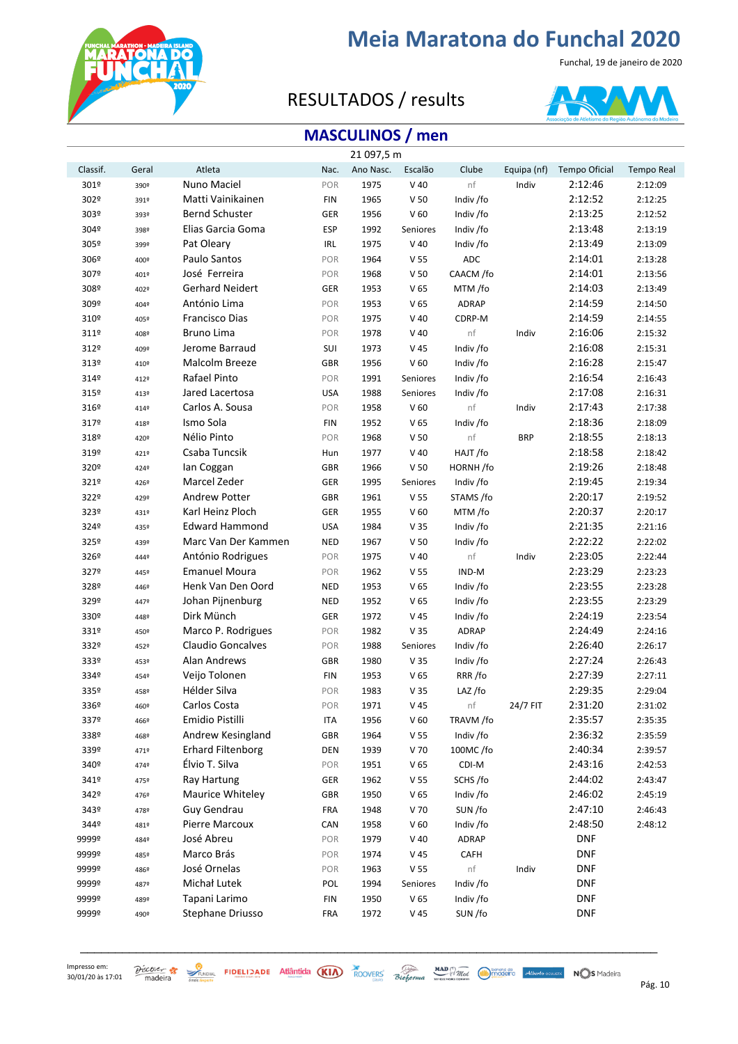

Funchal, 19 de janeiro de 2020

### RESULTADOS / results



### **MASCULINOS / men**

|          |       |                          |            | 21 097,5 m |                 |              |             |                      |                   |
|----------|-------|--------------------------|------------|------------|-----------------|--------------|-------------|----------------------|-------------------|
| Classif. | Geral | Atleta                   | Nac.       | Ano Nasc.  | Escalão         | Clube        | Equipa (nf) | <b>Tempo Oficial</b> | <b>Tempo Real</b> |
| 301º     | 390º  | Nuno Maciel              | POR        | 1975       | $V$ 40          | nf           | Indiv       | 2:12:46              | 2:12:09           |
| 302º     | 391º  | Matti Vainikainen        | <b>FIN</b> | 1965       | V <sub>50</sub> | Indiv /fo    |             | 2:12:52              | 2:12:25           |
| 303º     | 393º  | <b>Bernd Schuster</b>    | GER        | 1956       | V <sub>60</sub> | Indiv /fo    |             | 2:13:25              | 2:12:52           |
| 304º     | 398º  | Elias Garcia Goma        | <b>ESP</b> | 1992       | Seniores        | Indiv /fo    |             | 2:13:48              | 2:13:19           |
| 305º     | 399º  | Pat Oleary               | IRL        | 1975       | $V$ 40          | Indiv /fo    |             | 2:13:49              | 2:13:09           |
| 306º     | 400º  | Paulo Santos             | POR        | 1964       | V <sub>55</sub> | ADC          |             | 2:14:01              | 2:13:28           |
| 307º     | 401º  | José Ferreira            | POR        | 1968       | V <sub>50</sub> | CAACM /fo    |             | 2:14:01              | 2:13:56           |
| 308º     | 402º  | <b>Gerhard Neidert</b>   | GER        | 1953       | V <sub>65</sub> | MTM /fo      |             | 2:14:03              | 2:13:49           |
| 309º     | 404º  | António Lima             | POR        | 1953       | V <sub>65</sub> | ADRAP        |             | 2:14:59              | 2:14:50           |
| 310º     | 405º  | Francisco Dias           | POR        | 1975       | $V$ 40          | CDRP-M       |             | 2:14:59              | 2:14:55           |
| 311º     | 408º  | <b>Bruno Lima</b>        | POR        | 1978       | $V$ 40          | nf           | Indiv       | 2:16:06              | 2:15:32           |
| 312º     | 409º  | Jerome Barraud           | SUI        | 1973       | V 45            | Indiv /fo    |             | 2:16:08              | 2:15:31           |
| 313º     | 410º  | Malcolm Breeze           | <b>GBR</b> | 1956       | V <sub>60</sub> | Indiv /fo    |             | 2:16:28              | 2:15:47           |
| 3149     | 412º  | Rafael Pinto             | POR        | 1991       | Seniores        | Indiv /fo    |             | 2:16:54              | 2:16:43           |
| 315º     | 413º  | Jared Lacertosa          | <b>USA</b> | 1988       | Seniores        | Indiv /fo    |             | 2:17:08              | 2:16:31           |
| 316º     | 4149  | Carlos A. Sousa          | POR        | 1958       | V <sub>60</sub> | nf           | Indiv       | 2:17:43              | 2:17:38           |
| 3179     | 4189  | Ismo Sola                | <b>FIN</b> | 1952       | V <sub>65</sub> | Indiv /fo    |             | 2:18:36              | 2:18:09           |
| 318º     | 420º  | Nélio Pinto              | POR        | 1968       | V <sub>50</sub> | nf           | <b>BRP</b>  | 2:18:55              | 2:18:13           |
| 319º     | 4219  | Csaba Tuncsik            | Hun        | 1977       | $V$ 40          | HAJT /fo     |             | 2:18:58              | 2:18:42           |
| 320º     | 4249  | lan Coggan               | <b>GBR</b> | 1966       | V <sub>50</sub> | HORNH/fo     |             | 2:19:26              | 2:18:48           |
| 321º     | 4269  | Marcel Zeder             | GER        | 1995       | Seniores        | Indiv /fo    |             | 2:19:45              | 2:19:34           |
| 322º     | 429º  | <b>Andrew Potter</b>     | <b>GBR</b> | 1961       | V <sub>55</sub> | STAMS /fo    |             | 2:20:17              | 2:19:52           |
| 323º     | 431º  | Karl Heinz Ploch         | GER        | 1955       | V <sub>60</sub> | MTM /fo      |             | 2:20:37              | 2:20:17           |
| 324º     | 435º  | <b>Edward Hammond</b>    | <b>USA</b> | 1984       | V <sub>35</sub> | Indiv /fo    |             | 2:21:35              | 2:21:16           |
| 325º     | 439º  | Marc Van Der Kammen      | <b>NED</b> | 1967       | V <sub>50</sub> | Indiv /fo    |             | 2:22:22              | 2:22:02           |
| 326º     | 4449  | António Rodrigues        | POR        | 1975       | $V$ 40          | nf           | Indiv       | 2:23:05              | 2:22:44           |
| 3279     | 445°  | <b>Emanuel Moura</b>     | POR        | 1962       | V <sub>55</sub> | IND-M        |             | 2:23:29              | 2:23:23           |
| 328º     | 4469  | Henk Van Den Oord        | <b>NED</b> | 1953       | V <sub>65</sub> | Indiv /fo    |             | 2:23:55              | 2:23:28           |
| 329º     | 4479  | Johan Pijnenburg         | <b>NED</b> | 1952       | V <sub>65</sub> | Indiv /fo    |             | 2:23:55              | 2:23:29           |
| 330º     | 4489  | Dirk Münch               | GER        | 1972       | V 45            | Indiv /fo    |             | 2:24:19              | 2:23:54           |
| 331º     | 450º  | Marco P. Rodrigues       | POR        | 1982       | V 35            | <b>ADRAP</b> |             | 2:24:49              | 2:24:16           |
| 332º     | 452º  | Claudio Goncalves        | POR        | 1988       | Seniores        | Indiv /fo    |             | 2:26:40              | 2:26:17           |
| 333º     | 453º  | Alan Andrews             | <b>GBR</b> | 1980       | V <sub>35</sub> | Indiv /fo    |             | 2:27:24              | 2:26:43           |
| 3349     | 4549  | Veijo Tolonen            | <b>FIN</b> | 1953       | V <sub>65</sub> | RRR/fo       |             | 2:27:39              | 2:27:11           |
| 335º     | 458º  | Hélder Silva             | POR        | 1983       | V <sub>35</sub> | LAZ /fo      |             | 2:29:35              | 2:29:04           |
| 336º     | 460º  | Carlos Costa             | POR        | 1971       | V 45            | nf           | 24/7 FIT    | 2:31:20              | 2:31:02           |
| 3379     | 466º  | Emidio Pistilli          | <b>ITA</b> | 1956       | V <sub>60</sub> | TRAVM /fo    |             | 2:35:57              | 2:35:35           |
| 338º     | 468º  | Andrew Kesingland        | <b>GBR</b> | 1964       | V <sub>55</sub> | Indiv /fo    |             | 2:36:32              | 2:35:59           |
| 339º     | 4719  | <b>Erhard Filtenborg</b> | DEN        | 1939       | V 70            | 100MC/fo     |             | 2:40:34              | 2:39:57           |
| 340º     | 4749  | Élvio T. Silva           | POR        | 1951       | V <sub>65</sub> | CDI-M        |             | 2:43:16              | 2:42:53           |
| 341º     | 475º  | Ray Hartung              | GER        | 1962       | V <sub>55</sub> | SCHS /fo     |             | 2:44:02              | 2:43:47           |
| 342º     | 4769  | Maurice Whiteley         | <b>GBR</b> | 1950       | V <sub>65</sub> | Indiv /fo    |             | 2:46:02              | 2:45:19           |
| 343º     | 4789  | Guy Gendrau              | <b>FRA</b> | 1948       | V 70            | SUN /fo      |             | 2:47:10              | 2:46:43           |
| 3449     | 481º  | Pierre Marcoux           | CAN        | 1958       | V <sub>60</sub> | Indiv /fo    |             | 2:48:50              | 2:48:12           |
| 9999º    | 4849  | José Abreu               | POR        | 1979       | $V$ 40          | <b>ADRAP</b> |             | <b>DNF</b>           |                   |
| 9999º    | 485º  | Marco Brás               | POR        | 1974       | V 45            | CAFH         |             | <b>DNF</b>           |                   |
| 9999º    | 4869  | José Ornelas             | POR        | 1963       | V <sub>55</sub> | nf           | Indiv       | <b>DNF</b>           |                   |
| 9999º    | 4879  | Michał Lutek             | POL        | 1994       | Seniores        | Indiv /fo    |             | <b>DNF</b>           |                   |
| 9999º    | 489º  | Tapani Larimo            | <b>FIN</b> | 1950       | V <sub>65</sub> | Indiv /fo    |             | <b>DNF</b>           |                   |
| 9999º    | 490º  | Stephane Driusso         | <b>FRA</b> | 1972       | V 45            | SUN /fo      |             | <b>DNF</b>           |                   |

\_\_\_\_\_\_\_\_\_\_\_\_\_\_\_\_\_\_\_\_\_\_\_\_\_\_\_\_\_\_\_\_\_\_\_\_\_\_\_\_\_\_\_\_\_\_\_\_\_\_\_\_\_\_\_\_\_\_\_\_\_\_\_\_\_\_\_\_\_\_\_\_\_\_\_\_\_\_\_\_\_\_\_

 $\frac{\partial$  *P*ág. Statistics **Statistics FIDELIDADE** Atlântida (KIA) ROOVERS Bioforma *MAD MAD Mad Made College Atlanto ocuusta* NOS Madeira Pág. 10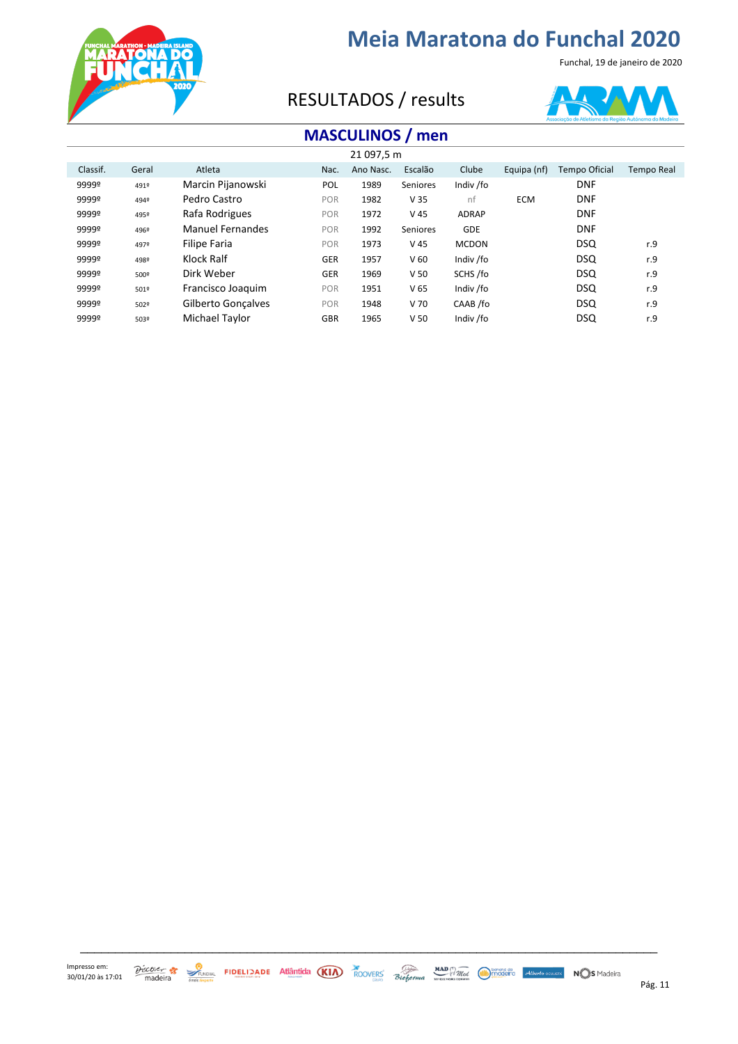

Funchal, 19 de janeiro de 2020

### RESULTADOS / results



### **MASCULINOS / men**

| 21 097,5 m |       |                         |            |           |                 |              |             |                      |            |
|------------|-------|-------------------------|------------|-----------|-----------------|--------------|-------------|----------------------|------------|
| Classif.   | Geral | Atleta                  | Nac.       | Ano Nasc. | Escalão         | Clube        | Equipa (nf) | <b>Tempo Oficial</b> | Tempo Real |
| 9999º      | 4919  | Marcin Pijanowski       | <b>POL</b> | 1989      | Seniores        | Indiv /fo    |             | <b>DNF</b>           |            |
| 9999º      | 494º  | Pedro Castro            | POR        | 1982      | V <sub>35</sub> | nf           | <b>ECM</b>  | <b>DNF</b>           |            |
| 9999º      | 495º  | Rafa Rodrigues          | POR        | 1972      | V <sub>45</sub> | <b>ADRAP</b> |             | <b>DNF</b>           |            |
| 9999º      | 496º  | <b>Manuel Fernandes</b> | POR        | 1992      | Seniores        | <b>GDE</b>   |             | <b>DNF</b>           |            |
| 9999º      | 4979  | <b>Filipe Faria</b>     | POR        | 1973      | V <sub>45</sub> | <b>MCDON</b> |             | <b>DSQ</b>           | r.9        |
| 9999º      | 498º  | Klock Ralf              | <b>GER</b> | 1957      | V <sub>60</sub> | Indiv /fo    |             | <b>DSQ</b>           | r.9        |
| 9999º      | 500º  | Dirk Weber              | <b>GER</b> | 1969      | V <sub>50</sub> | SCHS /fo     |             | <b>DSQ</b>           | r.9        |
| 9999º      | 501º  | Francisco Joaquim       | POR        | 1951      | V <sub>65</sub> | Indiv /fo    |             | <b>DSQ</b>           | r.9        |
| 9999º      | 502º  | Gilberto Goncalves      | POR        | 1948      | V <sub>70</sub> | CAAB /fo     |             | <b>DSQ</b>           | r.9        |
| 9999º      | 503º  | Michael Taylor          | <b>GBR</b> | 1965      | V <sub>50</sub> | Indiv /fo    |             | <b>DSQ</b>           | r.9        |



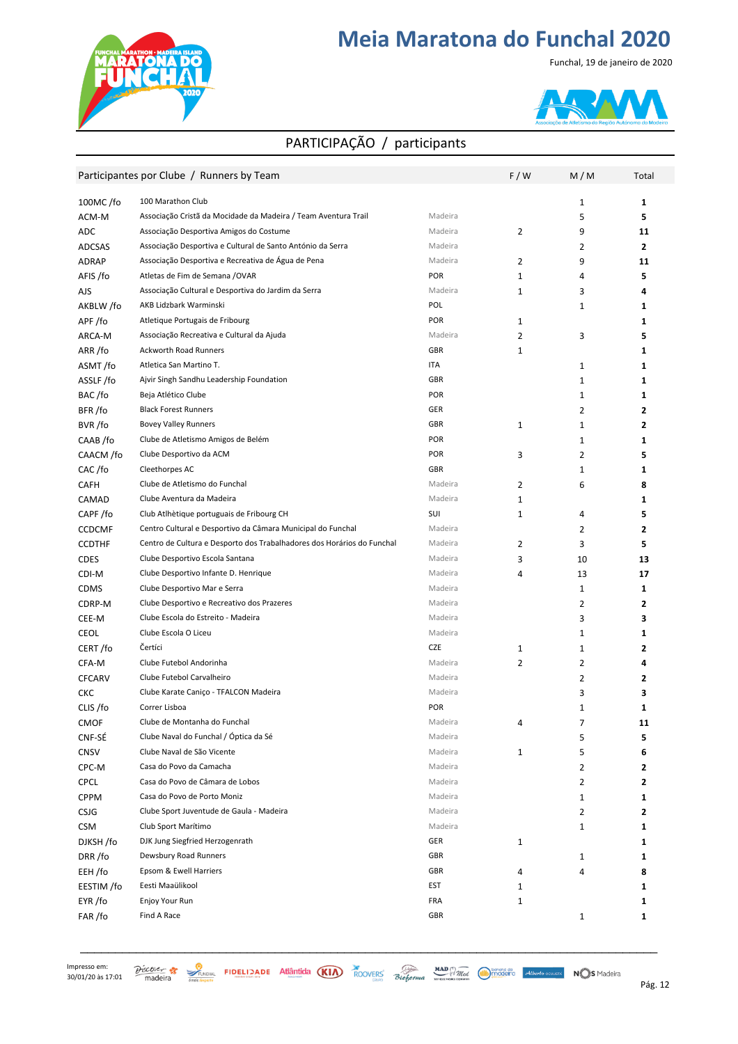

#### Funchal, 19 de janeiro de 2020



#### PARTICIPAÇÃO / participants

|               | Participantes por Clube / Runners by Team                              |            | F/W | M/M            | Total        |
|---------------|------------------------------------------------------------------------|------------|-----|----------------|--------------|
| $100MC$ /fo   | 100 Marathon Club                                                      |            |     | 1              | 1            |
| ACM-M         | Associação Cristã da Mocidade da Madeira / Team Aventura Trail         | Madeira    |     | 5              | 5            |
| ADC           | Associação Desportiva Amigos do Costume                                | Madeira    | 2   | 9              | 11           |
| ADCSAS        | Associação Desportiva e Cultural de Santo António da Serra             | Madeira    |     | 2              | $\mathbf{2}$ |
| ADRAP         | Associação Desportiva e Recreativa de Água de Pena                     | Madeira    | 2   | 9              | 11           |
| AFIS /fo      | Atletas de Fim de Semana /OVAR                                         | POR        | 1   | 4              | 5            |
| AJS           | Associação Cultural e Desportiva do Jardim da Serra                    | Madeira    | 1   | 3              | 4            |
| AKBLW /fo     | AKB Lidzbark Warminski                                                 | POL        |     | 1              | 1            |
| APF/fo        | Atletique Portugais de Fribourg                                        | <b>POR</b> | 1   |                | 1            |
| ARCA-M        | Associação Recreativa e Cultural da Ajuda                              | Madeira    | 2   | 3              | 5            |
| ARR/fo        | Ackworth Road Runners                                                  | <b>GBR</b> | 1   |                | 1            |
| ASMT/fo       | Atletica San Martino T.                                                | ITA        |     | 1              | 1            |
| ASSLF/fo      | Ajvir Singh Sandhu Leadership Foundation                               | GBR        |     | $\mathbf 1$    | 1            |
| BAC/fo        | Beja Atlético Clube                                                    | POR        |     | 1              | 1            |
| BFR/fo        | <b>Black Forest Runners</b>                                            | <b>GER</b> |     | $\overline{2}$ | 2            |
| BVR /fo       | <b>Bovey Valley Runners</b>                                            | GBR        | 1   | $\mathbf 1$    | 2            |
| CAAB /fo      | Clube de Atletismo Amigos de Belém                                     | POR        |     | 1              | 1            |
| CAACM /fo     | Clube Desportivo da ACM                                                | POR        | 3   | $\overline{2}$ | 5            |
| CAC/fo        | Cleethorpes AC                                                         | GBR        |     | 1              | 1            |
| <b>CAFH</b>   | Clube de Atletismo do Funchal                                          | Madeira    | 2   | 6              | 8            |
| CAMAD         | Clube Aventura da Madeira                                              | Madeira    | 1   |                | 1            |
| CAPF/fo       | Club Atlhètique portuguais de Fribourg CH                              | SUI        | 1   | 4              | 5            |
| <b>CCDCMF</b> | Centro Cultural e Desportivo da Câmara Municipal do Funchal            | Madeira    |     | 2              | $\mathbf{z}$ |
| <b>CCDTHF</b> | Centro de Cultura e Desporto dos Trabalhadores dos Horários do Funchal | Madeira    | 2   | 3              | 5            |
| <b>CDES</b>   | Clube Desportivo Escola Santana                                        | Madeira    | 3   | 10             | 13           |
| CDI-M         | Clube Desportivo Infante D. Henrique                                   | Madeira    | 4   | 13             | 17           |
| <b>CDMS</b>   | Clube Desportivo Mar e Serra                                           | Madeira    |     | 1              | 1            |
| CDRP-M        | Clube Desportivo e Recreativo dos Prazeres                             | Madeira    |     | $\mathbf{2}$   | 2            |
| CEE-M         | Clube Escola do Estreito - Madeira                                     | Madeira    |     | 3              | 3            |
| <b>CEOL</b>   | Clube Escola O Liceu                                                   | Madeira    |     | 1              | 1            |
| CERT/fo       | Čertíci                                                                | <b>CZE</b> | 1   | 1              | 2            |
| CFA-M         | Clube Futebol Andorinha                                                | Madeira    | 2   | $\mathbf{2}$   | 4            |
| <b>CFCARV</b> | Clube Futebol Carvalheiro                                              | Madeira    |     | $\mathbf{2}$   | 2            |
| CKC           | Clube Karate Caniço - TFALCON Madeira                                  | Madeira    |     | 3              | 3            |
| CLIS /fo      | Correr Lisboa                                                          | <b>POR</b> |     | 1              | 1            |
| CMOF          | Clube de Montanha do Funchal                                           | Madeira    |     | 7              | 11           |
| CNF-SÉ        | Clube Naval do Funchal / Óptica da Sé                                  | Madeira    |     | 5              | 5            |
| <b>CNSV</b>   | Clube Naval de São Vicente                                             | Madeira    | 1   | 5              | 6            |
| CPC-M         | Casa do Povo da Camacha                                                | Madeira    |     | 2              | 2            |
| <b>CPCL</b>   | Casa do Povo de Câmara de Lobos                                        | Madeira    |     | 2              | 2            |
| <b>CPPM</b>   | Casa do Povo de Porto Moniz                                            | Madeira    |     | 1              | 1            |
| <b>CSJG</b>   | Clube Sport Juventude de Gaula - Madeira                               | Madeira    |     | 2              | 2            |
| <b>CSM</b>    | Club Sport Marítimo                                                    | Madeira    |     | 1              | 1            |
| DJKSH /fo     | DJK Jung Siegfried Herzogenrath                                        | GER        | 1   |                | 1            |
| DRR/fo        | Dewsbury Road Runners                                                  | GBR        |     | 1              | 1            |
| EEH /fo       | Epsom & Ewell Harriers                                                 | GBR        | 4   | 4              | 8            |
| EESTIM /fo    | Eesti Maaülikool                                                       | EST        | 1   |                | 1            |
| EYR /fo       | Enjoy Your Run                                                         | FRA        | 1   |                | 1            |
| FAR /fo       | Find A Race                                                            | GBR        |     | 1              | 1            |
|               |                                                                        |            |     |                |              |

Impresso em: 



\_\_\_\_\_\_\_\_\_\_\_\_\_\_\_\_\_\_\_\_\_\_\_\_\_\_\_\_\_\_\_\_\_\_\_\_\_\_\_\_\_\_\_\_\_\_\_\_\_\_\_\_\_\_\_\_\_\_\_\_\_\_\_\_\_\_\_\_\_\_\_\_\_\_\_\_\_\_\_\_\_\_\_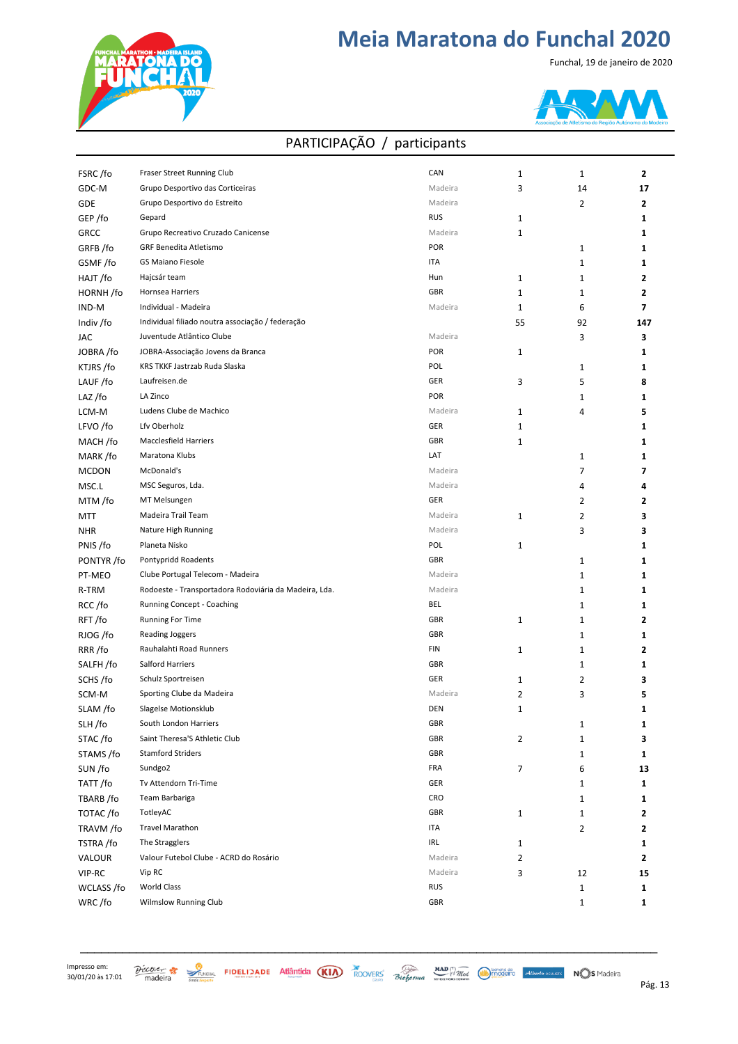

Funchal, 19 de janeiro de 2020



| FSRC/fo      | Fraser Street Running Club                            | CAN        | 1              | 1              | $\overline{2}$ |
|--------------|-------------------------------------------------------|------------|----------------|----------------|----------------|
| GDC-M        | Grupo Desportivo das Corticeiras                      | Madeira    | 3              | 14             | 17             |
| GDE          | Grupo Desportivo do Estreito                          | Madeira    |                | $\overline{2}$ | 2              |
| GEP /fo      | Gepard                                                | <b>RUS</b> | 1              |                | 1              |
| <b>GRCC</b>  | Grupo Recreativo Cruzado Canicense                    | Madeira    | $\mathbf{1}$   |                | 1              |
| GRFB/fo      | GRF Benedita Atletismo                                | <b>POR</b> |                | 1              | 1              |
| GSMF/fo      | <b>GS Maiano Fiesole</b>                              | ITA        |                | $\mathbf 1$    | 1              |
| HAJT/fo      | Hajcsár team                                          | Hun        | $\mathbf{1}$   | $\mathbf 1$    | 2              |
| HORNH/fo     | Hornsea Harriers                                      | GBR        | $\mathbf{1}$   | 1              | 2              |
| IND-M        | Individual - Madeira                                  | Madeira    | $1\,$          | 6              | 7              |
| Indiv /fo    | Individual filiado noutra associação / federação      |            | 55             | 92             | 147            |
| JAC          | Juventude Atlântico Clube                             | Madeira    |                | 3              | 3              |
| JOBRA /fo    | JOBRA-Associação Jovens da Branca                     | <b>POR</b> | 1              |                | 1              |
| KTJRS/fo     | KRS TKKF Jastrzab Ruda Slaska                         | POL        |                | 1              | 1              |
| LAUF/fo      | Laufreisen.de                                         | GER        | 3              | 5              | 8              |
| LAZ/fo       | LA Zinco                                              | <b>POR</b> |                | 1              | 1              |
| LCM-M        | Ludens Clube de Machico                               | Madeira    |                | 4              |                |
|              |                                                       |            | 1              |                | 5              |
| LFVO /fo     | Lfv Oberholz                                          | GER        | 1              |                | 1              |
| MACH/fo      | Macclesfield Harriers                                 | GBR        | 1              |                | 1              |
| MARK/fo      | Maratona Klubs                                        | LAT        |                | 1              | 1              |
| <b>MCDON</b> | McDonald's                                            | Madeira    |                | 7              | 7              |
| MSC.L        | MSC Seguros, Lda.                                     | Madeira    |                | 4              | 4              |
| MTM /fo      | MT Melsungen                                          | GER        |                | 2              | 2              |
| MTT          | Madeira Trail Team                                    | Madeira    | 1              | 2              | 3              |
| <b>NHR</b>   | Nature High Running                                   | Madeira    |                | 3              | 3              |
| PNIS /fo     | Planeta Nisko                                         | POL        | 1              |                | 1              |
| PONTYR /fo   | Pontypridd Roadents                                   | GBR        |                | 1              | 1              |
| PT-MEO       | Clube Portugal Telecom - Madeira                      | Madeira    |                | $\mathbf 1$    | 1              |
| R-TRM        | Rodoeste - Transportadora Rodoviária da Madeira, Lda. | Madeira    |                | $\mathbf{1}$   | 1              |
| RCC/fo       | Running Concept - Coaching                            | BEL        |                | $\mathbf{1}$   | 1              |
| RFT/fo       | <b>Running For Time</b>                               | GBR        | 1              | $\mathbf{1}$   | 2              |
| RJOG /fo     | Reading Joggers                                       | GBR        |                | 1              | 1              |
| RRR/fo       | Rauhalahti Road Runners                               | FIN        | 1              | $\mathbf{1}$   | 2              |
| SALFH /fo    | Salford Harriers                                      | GBR        |                | 1              | 1              |
| SCHS/fo      | Schulz Sportreisen                                    | GER        | 1              | 2              | 3              |
| SCM-M        | Sporting Clube da Madeira                             | Madeira    | $\overline{2}$ | 3              | 5              |
| SLAM /fo     | Slagelse Motionsklub                                  | DEN        | ı              |                | 1              |
| SLH/fo       | South London Harriers                                 | GBR        |                | 1              | 1              |
| STAC/fo      | Saint Theresa'S Athletic Club                         | GBR        | 2              | $\mathbf 1$    | 3              |
| STAMS /fo    | <b>Stamford Striders</b>                              | GBR        |                | 1              | 1              |
| SUN /fo      | Sundgo2                                               | FRA        | 7              | 6              | 13             |
| TATT/fo      | Tv Attendorn Tri-Time                                 | GER        |                | 1              | 1              |
| TBARB/fo     | Team Barbariga                                        | CRO        |                | 1              | 1              |
| TOTAC/fo     | TotleyAC                                              | GBR        | 1              | 1              | 2              |
| TRAVM /fo    | <b>Travel Marathon</b>                                | ITA        |                | 2              | 2              |
| TSTRA/fo     | The Stragglers                                        | IRL        | 1              |                | 1              |
| VALOUR       | Valour Futebol Clube - ACRD do Rosário                | Madeira    | $\overline{2}$ |                | 2              |
| VIP-RC       | Vip RC                                                | Madeira    | 3              | 12             | 15             |
| WCLASS /fo   | <b>World Class</b>                                    | RUS        |                | $\mathbf{1}$   | 1              |
| WRC/fo       | <b>Wilmslow Running Club</b>                          | GBR        |                | $\mathbf 1$    | 1              |

#### PARTICIPAÇÃO / participants



 $30/01/20$  às  $17:01$  madeira  $\frac{30}{2}$  reaction  $\frac{30}{2}$  reaction  $\frac{30}{2}$  reaction  $\frac{30}{2}$  reaction  $\frac{30}{2}$  reaction  $\frac{30}{2}$  reaction  $\frac{30}{2}$  reaction  $\frac{30}{2}$  reaction  $\frac{30}{2}$  reaction  $\frac{30}{2}$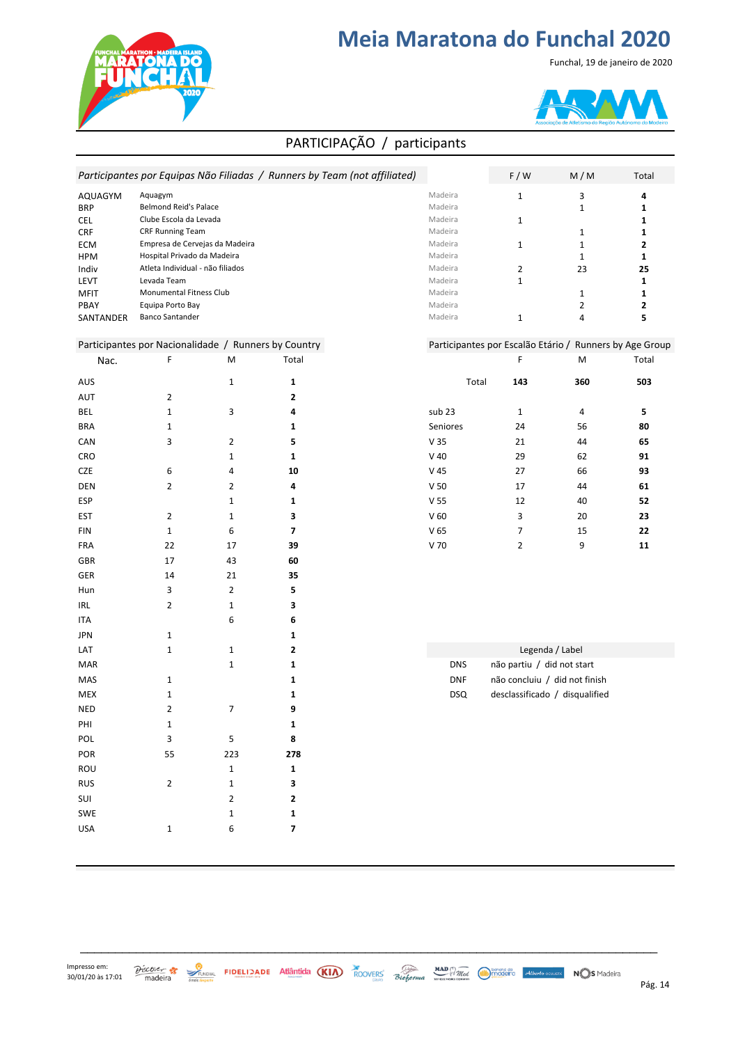

Funchal, 19 de janeiro de 2020



#### PARTICIPAÇÃO / participants

|                   |                                                      |                | Participantes por Equipas Não Filiadas / Runners by Team (not affiliated) |                    | F / W                      | M/M                                                     | Total             |
|-------------------|------------------------------------------------------|----------------|---------------------------------------------------------------------------|--------------------|----------------------------|---------------------------------------------------------|-------------------|
| AQUAGYM           | Aquagym                                              |                |                                                                           | Madeira            | $\mathbf 1$                | 3                                                       | 4                 |
| <b>BRP</b>        | <b>Belmond Reid's Palace</b>                         |                |                                                                           | Madeira            |                            | $\mathbf{1}$                                            | 1                 |
| <b>CEL</b>        | Clube Escola da Levada                               |                |                                                                           | Madeira            | $\mathbf 1$                |                                                         | $\mathbf 1$       |
| <b>CRF</b>        | <b>CRF Running Team</b>                              |                |                                                                           | Madeira            |                            | $1\,$                                                   | $\mathbf 1$       |
| ECM               | Empresa de Cervejas da Madeira                       |                |                                                                           | Madeira            | $\mathbf 1$                | $\mathbf 1$                                             | $\mathbf{2}$      |
| <b>HPM</b>        | Hospital Privado da Madeira                          |                |                                                                           | Madeira            |                            | $\mathbf{1}$                                            | $\mathbf{1}$      |
| Indiv             | Atleta Individual - não filiados                     |                |                                                                           | Madeira            | $\overline{2}$             | 23                                                      | 25                |
| LEVT              | Levada Team                                          |                |                                                                           | Madeira            | $\mathbf 1$                |                                                         | $\mathbf{1}$      |
| <b>MFIT</b>       | Monumental Fitness Club<br>Equipa Porto Bay          |                |                                                                           | Madeira<br>Madeira |                            | $\mathbf{1}$                                            | $\mathbf 1$       |
| PBAY<br>SANTANDER | <b>Banco Santander</b>                               |                |                                                                           | Madeira            | $\mathbf 1$                | $\overline{2}$<br>$\overline{4}$                        | $\mathbf{2}$<br>5 |
|                   | Participantes por Nacionalidade / Runners by Country |                |                                                                           |                    |                            | Participantes por Escalão Etário / Runners by Age Group |                   |
| Nac.              | F                                                    | М              | Total                                                                     |                    | F                          | М                                                       | Total             |
| AUS               |                                                      | $\mathbf{1}$   | $\mathbf{1}$                                                              | Total              | 143                        | 360                                                     | 503               |
| <b>AUT</b>        | 2                                                    |                | $\mathbf{2}$                                                              |                    |                            |                                                         |                   |
| <b>BEL</b>        | $\mathbf 1$                                          | 3              | 4                                                                         | sub 23             | $\mathbf{1}$               | 4                                                       | 5                 |
| <b>BRA</b>        | $\mathbf 1$                                          |                | 1                                                                         | Seniores           | 24                         | 56                                                      | 80                |
| CAN               | 3                                                    | $\overline{2}$ | 5                                                                         | V <sub>35</sub>    | 21                         | 44                                                      | 65                |
| CRO               |                                                      | $\mathbf 1$    | 1                                                                         | $V$ 40             | 29                         | 62                                                      | 91                |
| <b>CZE</b>        | 6                                                    | 4              | 10                                                                        | V 45               | 27                         | 66                                                      | 93                |
| DEN               | 2                                                    | $\overline{2}$ | 4                                                                         | V <sub>50</sub>    | 17                         | 44                                                      | 61                |
| ESP               |                                                      | $\mathbf{1}$   | $\mathbf{1}$                                                              | V <sub>55</sub>    | 12                         | 40                                                      | 52                |
| EST               | 2                                                    | $\mathbf{1}$   | 3                                                                         | V <sub>60</sub>    | 3                          | 20                                                      | 23                |
| <b>FIN</b>        | $1\,$                                                | 6              | 7                                                                         | V <sub>65</sub>    | 7                          | 15                                                      | 22                |
| FRA               | 22                                                   | 17             | 39                                                                        | V 70               | 2                          | 9                                                       | 11                |
| <b>GBR</b>        | 17                                                   | 43             | 60                                                                        |                    |                            |                                                         |                   |
| GER               | 14                                                   | 21             | 35                                                                        |                    |                            |                                                         |                   |
| Hun               | 3                                                    | $\overline{2}$ | 5                                                                         |                    |                            |                                                         |                   |
| <b>IRL</b>        | 2                                                    | $\mathbf{1}$   | 3                                                                         |                    |                            |                                                         |                   |
| <b>ITA</b>        |                                                      | 6              | 6                                                                         |                    |                            |                                                         |                   |
| <b>JPN</b>        | $\mathbf{1}$                                         |                | $\mathbf{1}$                                                              |                    |                            |                                                         |                   |
| LAT               | $\mathbf 1$                                          | $\mathbf 1$    | $\mathbf{2}$                                                              |                    |                            | Legenda / Label                                         |                   |
| <b>MAR</b>        |                                                      | $\mathbf 1$    | $\mathbf{1}$                                                              | <b>DNS</b>         | não partiu / did not start |                                                         |                   |
| MAS               | $\mathbf 1$                                          |                | 1                                                                         | <b>DNF</b>         |                            | não concluiu / did not finish                           |                   |
|                   |                                                      |                |                                                                           |                    |                            |                                                         |                   |
| <b>MEX</b>        | $\mathbf 1$                                          |                | 1                                                                         | <b>DSQ</b>         |                            | desclassificado / disqualified                          |                   |
| <b>NED</b>        | $\overline{2}$                                       | 7              | 9                                                                         |                    |                            |                                                         |                   |
| PHI               | $\mathbf{1}$                                         |                | $\mathbf{1}$                                                              |                    |                            |                                                         |                   |
| POL               | 3                                                    | $\sqrt{5}$     | 8                                                                         |                    |                            |                                                         |                   |
| POR               | 55                                                   | 223            | 278                                                                       |                    |                            |                                                         |                   |
| ROU               |                                                      | $\mathbf 1$    | $\mathbf{1}$                                                              |                    |                            |                                                         |                   |
| <b>RUS</b>        | $\overline{2}$                                       | $\mathbf 1$    | 3                                                                         |                    |                            |                                                         |                   |
| SUI               |                                                      | $\overline{2}$ | 2                                                                         |                    |                            |                                                         |                   |
| SWE               |                                                      | $\mathbf{1}$   | $\mathbf{1}$                                                              |                    |                            |                                                         |                   |
| USA               | $\mathbf 1$                                          | 6              | $\overline{\mathbf{z}}$                                                   |                    |                            |                                                         |                   |

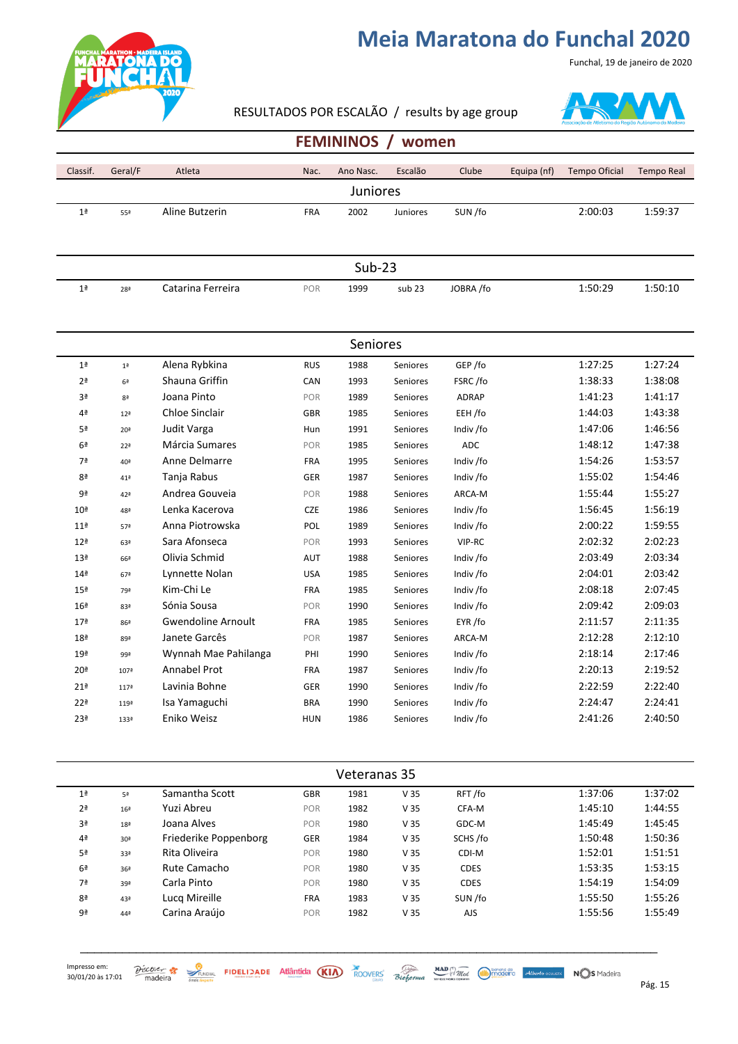

#### RESULTADOS POR ESCALÃO / results by age group



Funchal, 19 de janeiro de 2020

#### **FEMININOS / women**

| Classif.        | Geral/F         | Atleta                    | Nac.       | Ano Nasc. | Escalão           | Clube        | Equipa (nf) | <b>Tempo Oficial</b> | <b>Tempo Real</b> |
|-----------------|-----------------|---------------------------|------------|-----------|-------------------|--------------|-------------|----------------------|-------------------|
|                 |                 |                           |            | Juniores  |                   |              |             |                      |                   |
| 1 <sup>a</sup>  | 55ª             | Aline Butzerin            | <b>FRA</b> | 2002      | Juniores          | SUN/fo       |             | 2:00:03              | 1:59:37           |
|                 |                 |                           |            |           |                   |              |             |                      |                   |
|                 |                 |                           |            |           |                   |              |             |                      |                   |
|                 |                 |                           |            | $Sub-23$  |                   |              |             |                      |                   |
| 1 <sup>a</sup>  | 28ª             | Catarina Ferreira         | POR        | 1999      | sub <sub>23</sub> | JOBRA /fo    |             | 1:50:29              | 1:50:10           |
|                 |                 |                           |            |           |                   |              |             |                      |                   |
|                 |                 |                           |            |           |                   |              |             |                      |                   |
|                 |                 |                           |            | Seniores  |                   |              |             |                      |                   |
| 1 <sup>a</sup>  | 1 <sup>a</sup>  | Alena Rybkina             | <b>RUS</b> | 1988      | Seniores          | GEP /fo      |             | 1:27:25              | 1:27:24           |
| 2 <sup>a</sup>  | 6 <sup>a</sup>  | Shauna Griffin            | CAN        | 1993      | Seniores          | FSRC/fo      |             | 1:38:33              | 1:38:08           |
| 3ª              | 8 <sup>2</sup>  | Joana Pinto               | POR        | 1989      | Seniores          | <b>ADRAP</b> |             | 1:41:23              | 1:41:17           |
| 4 <sup>a</sup>  | 12 <sup>a</sup> | Chloe Sinclair            | <b>GBR</b> | 1985      | Seniores          | EEH /fo      |             | 1:44:03              | 1:43:38           |
| 5ª              | 20 <sup>a</sup> | Judit Varga               | Hun        | 1991      | Seniores          | Indiv /fo    |             | 1:47:06              | 1:46:56           |
| 6 <sup>a</sup>  | 22 <sup>a</sup> | Márcia Sumares            | POR        | 1985      | Seniores          | <b>ADC</b>   |             | 1:48:12              | 1:47:38           |
| 7ª              | 40ª             | Anne Delmarre             | FRA        | 1995      | Seniores          | Indiv /fo    |             | 1:54:26              | 1:53:57           |
| 8ª              | 41ª             | Tanja Rabus               | GER        | 1987      | Seniores          | Indiv /fo    |             | 1:55:02              | 1:54:46           |
| 9ª              | 42ª             | Andrea Gouveia            | POR        | 1988      | Seniores          | ARCA-M       |             | 1:55:44              | 1:55:27           |
| 10 <sup>a</sup> | 48ª             | Lenka Kacerova            | <b>CZE</b> | 1986      | Seniores          | Indiv /fo    |             | 1:56:45              | 1:56:19           |
| 11 <sup>a</sup> | 57ª             | Anna Piotrowska           | POL        | 1989      | Seniores          | Indiv /fo    |             | 2:00:22              | 1:59:55           |
| 12 <sup>a</sup> | 63ª             | Sara Afonseca             | POR        | 1993      | Seniores          | VIP-RC       |             | 2:02:32              | 2:02:23           |
| 13 <sup>a</sup> | 66ª             | Olivia Schmid             | AUT        | 1988      | Seniores          | Indiv /fo    |             | 2:03:49              | 2:03:34           |
| 14 <sup>a</sup> | 67ª             | Lynnette Nolan            | <b>USA</b> | 1985      | Seniores          | Indiv /fo    |             | 2:04:01              | 2:03:42           |
| 15 <sup>a</sup> | 79ª             | Kim-Chi Le                | <b>FRA</b> | 1985      | Seniores          | Indiv /fo    |             | 2:08:18              | 2:07:45           |
| 16 <sup>a</sup> | 83ª             | Sónia Sousa               | POR        | 1990      | Seniores          | Indiv /fo    |             | 2:09:42              | 2:09:03           |
| 17 <sup>a</sup> | 86ª             | <b>Gwendoline Arnoult</b> | <b>FRA</b> | 1985      | Seniores          | EYR /fo      |             | 2:11:57              | 2:11:35           |
| 18 <sup>a</sup> | 89ª             | Janete Garcês             | POR        | 1987      | Seniores          | ARCA-M       |             | 2:12:28              | 2:12:10           |
| 19ª             | 99ª             | Wynnah Mae Pahilanga      | PHI        | 1990      | Seniores          | Indiv /fo    |             | 2:18:14              | 2:17:46           |
| 20 <sup>a</sup> | 107ª            | Annabel Prot              | <b>FRA</b> | 1987      | Seniores          | Indiv /fo    |             | 2:20:13              | 2:19:52           |
| 21 <sup>a</sup> | 117ª            | Lavinia Bohne             | <b>GER</b> | 1990      | Seniores          | Indiv /fo    |             | 2:22:59              | 2:22:40           |
| 22 <sup>a</sup> | 119ª            | Isa Yamaguchi             | <b>BRA</b> | 1990      | Seniores          | Indiv /fo    |             | 2:24:47              | 2:24:41           |
| 23 <sup>a</sup> | 133ª            | Eniko Weisz               | <b>HUN</b> | 1986      | Seniores          | Indiv /fo    |             | 2:41:26              | 2:40:50           |
|                 |                 |                           |            |           |                   |              |             |                      |                   |

|                | Veteranas 35    |                       |            |      |                 |             |         |         |  |  |  |
|----------------|-----------------|-----------------------|------------|------|-----------------|-------------|---------|---------|--|--|--|
| 1 <sup>a</sup> | 5ª              | Samantha Scott        | <b>GBR</b> | 1981 | V <sub>35</sub> | RFT/fo      | 1:37:06 | 1:37:02 |  |  |  |
| 2 <sup>a</sup> | 16 <sup>a</sup> | Yuzi Abreu            | <b>POR</b> | 1982 | V <sub>35</sub> | CFA-M       | 1:45:10 | 1:44:55 |  |  |  |
| 3ª             | 18 <sup>a</sup> | Joana Alves           | POR        | 1980 | V <sub>35</sub> | GDC-M       | 1:45:49 | 1:45:45 |  |  |  |
| 4 <sup>a</sup> | 30 <sup>a</sup> | Friederike Poppenborg | <b>GER</b> | 1984 | V <sub>35</sub> | SCHS/fo     | 1:50:48 | 1:50:36 |  |  |  |
| 5 <sup>a</sup> | 33ª             | Rita Oliveira         | <b>POR</b> | 1980 | V <sub>35</sub> | CDI-M       | 1:52:01 | 1:51:51 |  |  |  |
| 6 <sup>a</sup> | 36 <sup>a</sup> | Rute Camacho          | <b>POR</b> | 1980 | V <sub>35</sub> | <b>CDES</b> | 1:53:35 | 1:53:15 |  |  |  |
| 7ª             | 39ª             | Carla Pinto           | POR        | 1980 | V <sub>35</sub> | <b>CDES</b> | 1:54:19 | 1:54:09 |  |  |  |
| 8 <sup>a</sup> | 43ª             | Lucg Mireille         | <b>FRA</b> | 1983 | V <sub>35</sub> | SUN /fo     | 1:55:50 | 1:55:26 |  |  |  |
| 9ª             | 44ª             | Carina Araújo         | <b>POR</b> | 1982 | V <sub>35</sub> | <b>AJS</b>  | 1:55:56 | 1:55:49 |  |  |  |

\_\_\_\_\_\_\_\_\_\_\_\_\_\_\_\_\_\_\_\_\_\_\_\_\_\_\_\_\_\_\_\_\_\_\_\_\_\_\_\_\_\_\_\_\_\_\_\_\_\_\_\_\_\_\_\_\_\_\_\_\_\_\_\_\_\_\_\_\_\_\_\_\_\_\_\_\_\_\_\_\_\_\_

 $\frac{\partial$  *P*ág. Statistics **Statistics FIDELIDADE** Atlântida (KIA) ROOVERS Bioforma *MAD MAD Mad Made College Atlanto ocuusta* NOS Madeira Pág. 15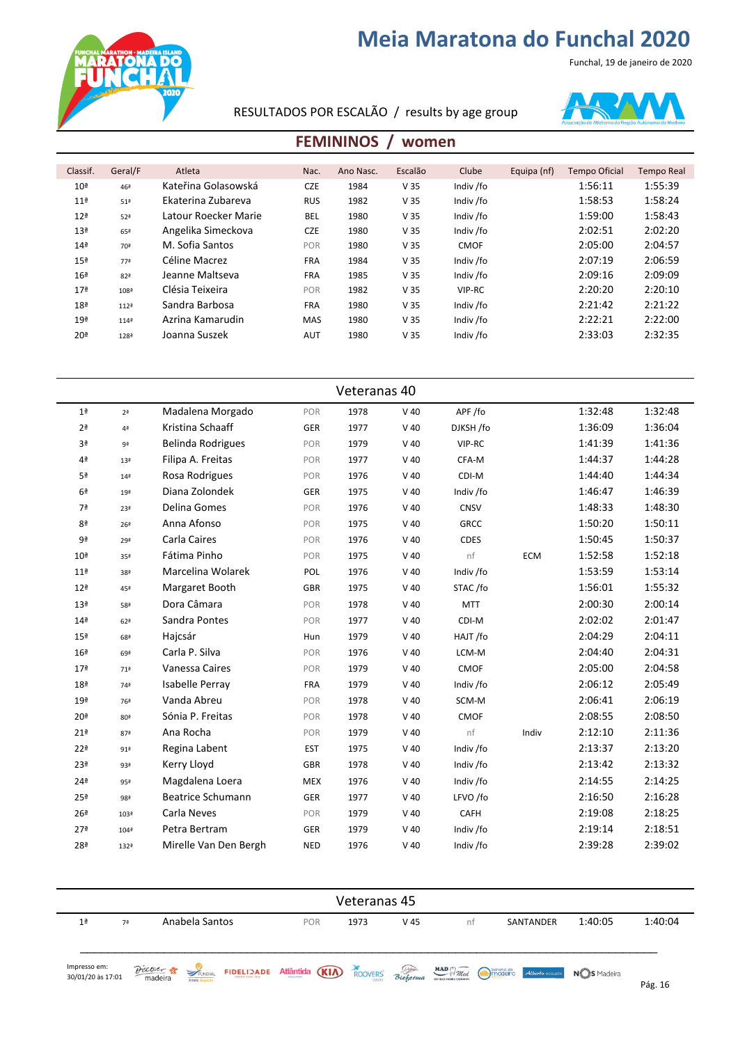Funchal, 19 de janeiro de 2020



RESULTADOS POR ESCALÃO / results by age group



#### **FEMININOS** / women

| Classif.        | Geral/F             | Atleta               | Nac.       | Ano Nasc. | Escalão         | Clube       | Equipa (nf) | <b>Tempo Oficial</b> | <b>Tempo Real</b> |
|-----------------|---------------------|----------------------|------------|-----------|-----------------|-------------|-------------|----------------------|-------------------|
|                 |                     | Kateřina Golasowská  |            |           |                 |             |             | 1:56:11              | 1:55:39           |
| 10 <sup>a</sup> | 46ª                 |                      | <b>CZE</b> | 1984      | V <sub>35</sub> | Indiv /fo   |             |                      |                   |
| 11 <sup>a</sup> | 51 <sup>a</sup>     | Ekaterina Zubareva   | <b>RUS</b> | 1982      | V <sub>35</sub> | Indiv /fo   |             | 1:58:53              | 1:58:24           |
| 12 <sup>a</sup> | 52 <sup>a</sup>     | Latour Roecker Marie | <b>BEL</b> | 1980      | V <sub>35</sub> | Indiv /fo   |             | 1:59:00              | 1:58:43           |
| 13 <sup>a</sup> | 65ª                 | Angelika Simeckova   | <b>CZE</b> | 1980      | V <sub>35</sub> | Indiv /fo   |             | 2:02:51              | 2:02:20           |
| 14 <sup>a</sup> | 70ª                 | M. Sofia Santos      | POR        | 1980      | V <sub>35</sub> | <b>CMOF</b> |             | 2:05:00              | 2:04:57           |
| 15 <sup>a</sup> | 77ª                 | Céline Macrez        | <b>FRA</b> | 1984      | V <sub>35</sub> | Indiv /fo   |             | 2:07:19              | 2:06:59           |
| 16 <sup>a</sup> | 82ª                 | Jeanne Maltseva      | <b>FRA</b> | 1985      | V <sub>35</sub> | Indiv /fo   |             | 2:09:16              | 2:09:09           |
| 17 <sup>a</sup> | $108^{\frac{3}{2}}$ | Clésia Teixeira      | POR        | 1982      | V <sub>35</sub> | VIP-RC      |             | 2:20:20              | 2:20:10           |
| 18 <sup>a</sup> | 112 <sup>8</sup>    | Sandra Barbosa       | <b>FRA</b> | 1980      | V <sub>35</sub> | Indiv /fo   |             | 2:21:42              | 2:21:22           |
| 19 <sup>a</sup> | $114^{\frac{3}{2}}$ | Azrina Kamarudin     | <b>MAS</b> | 1980      | V <sub>35</sub> | Indiv /fo   |             | 2:22:21              | 2:22:00           |
| 20 <sup>a</sup> | 128ª                | Joanna Suszek        | <b>AUT</b> | 1980      | V <sub>35</sub> | Indiv /fo   |             | 2:33:03              | 2:32:35           |
|                 |                     |                      |            |           |                 |             |             |                      |                   |

|                 | Veteranas 40      |                          |            |      |        |             |            |         |         |  |  |  |
|-----------------|-------------------|--------------------------|------------|------|--------|-------------|------------|---------|---------|--|--|--|
| 1 <sup>a</sup>  | 2 <sup>a</sup>    | Madalena Morgado         | POR        | 1978 | $V$ 40 | APF/fo      |            | 1:32:48 | 1:32:48 |  |  |  |
| 2 <sup>a</sup>  | 4 <sup>a</sup>    | Kristina Schaaff         | <b>GER</b> | 1977 | $V$ 40 | DJKSH /fo   |            | 1:36:09 | 1:36:04 |  |  |  |
| 3ª              | 9ª                | <b>Belinda Rodrigues</b> | POR        | 1979 | $V$ 40 | VIP-RC      |            | 1:41:39 | 1:41:36 |  |  |  |
| 4ª              | 13 <sup>a</sup>   | Filipa A. Freitas        | POR        | 1977 | $V$ 40 | CFA-M       |            | 1:44:37 | 1:44:28 |  |  |  |
| 5ª              | 14 <sup>a</sup>   | Rosa Rodrigues           | POR        | 1976 | $V$ 40 | CDI-M       |            | 1:44:40 | 1:44:34 |  |  |  |
| 6 <sup>a</sup>  | 19 <sup>a</sup>   | Diana Zolondek           | <b>GER</b> | 1975 | $V$ 40 | Indiv /fo   |            | 1:46:47 | 1:46:39 |  |  |  |
| 7ª              | 23ª               | Delina Gomes             | POR        | 1976 | $V$ 40 | CNSV        |            | 1:48:33 | 1:48:30 |  |  |  |
| 8 <sup>a</sup>  | 26 <sup>a</sup>   | Anna Afonso              | POR        | 1975 | $V$ 40 | <b>GRCC</b> |            | 1:50:20 | 1:50:11 |  |  |  |
| 9ª              | 29ª               | Carla Caires             | POR        | 1976 | $V$ 40 | <b>CDES</b> |            | 1:50:45 | 1:50:37 |  |  |  |
| 10 <sup>a</sup> | 35ª               | Fátima Pinho             | POR        | 1975 | $V$ 40 | nf          | <b>ECM</b> | 1:52:58 | 1:52:18 |  |  |  |
| 11 <sup>a</sup> | 38ª               | Marcelina Wolarek        | POL        | 1976 | $V$ 40 | Indiv /fo   |            | 1:53:59 | 1:53:14 |  |  |  |
| 12 <sup>a</sup> | 45ª               | Margaret Booth           | <b>GBR</b> | 1975 | $V$ 40 | STAC/fo     |            | 1:56:01 | 1:55:32 |  |  |  |
| 13 <sup>a</sup> | 58ª               | Dora Câmara              | POR        | 1978 | $V$ 40 | <b>MTT</b>  |            | 2:00:30 | 2:00:14 |  |  |  |
| 14 <sup>a</sup> | 62 <sup>a</sup>   | Sandra Pontes            | POR        | 1977 | $V$ 40 | CDI-M       |            | 2:02:02 | 2:01:47 |  |  |  |
| 15 <sup>a</sup> | 68ª               | Hajcsár                  | Hun        | 1979 | $V$ 40 | HAJT /fo    |            | 2:04:29 | 2:04:11 |  |  |  |
| 16 <sup>a</sup> | 69ª               | Carla P. Silva           | POR        | 1976 | $V$ 40 | LCM-M       |            | 2:04:40 | 2:04:31 |  |  |  |
| 17 <sup>a</sup> | 71 <sup>2</sup>   | Vanessa Caires           | POR        | 1979 | $V$ 40 | <b>CMOF</b> |            | 2:05:00 | 2:04:58 |  |  |  |
| 18 <sup>a</sup> | 74ª               | Isabelle Perray          | <b>FRA</b> | 1979 | $V$ 40 | Indiv /fo   |            | 2:06:12 | 2:05:49 |  |  |  |
| 19 <sup>a</sup> | 76ª               | Vanda Abreu              | POR        | 1978 | $V$ 40 | SCM-M       |            | 2:06:41 | 2:06:19 |  |  |  |
| 20 <sup>a</sup> | 80ª               | Sónia P. Freitas         | POR        | 1978 | $V$ 40 | <b>CMOF</b> |            | 2:08:55 | 2:08:50 |  |  |  |
| 21 <sup>a</sup> | 87ª               | Ana Rocha                | POR        | 1979 | $V$ 40 | nf          | Indiv      | 2:12:10 | 2:11:36 |  |  |  |
| 22 <sup>a</sup> | $91$ <sup>a</sup> | Regina Labent            | <b>EST</b> | 1975 | $V$ 40 | Indiv /fo   |            | 2:13:37 | 2:13:20 |  |  |  |
| 23ª             | 93ª               | Kerry Lloyd              | <b>GBR</b> | 1978 | $V$ 40 | Indiv /fo   |            | 2:13:42 | 2:13:32 |  |  |  |
| 24 <sup>a</sup> | 95ª               | Magdalena Loera          | <b>MEX</b> | 1976 | $V$ 40 | Indiv /fo   |            | 2:14:55 | 2:14:25 |  |  |  |
| 25 <sup>a</sup> | 98ª               | <b>Beatrice Schumann</b> | GER        | 1977 | $V$ 40 | LFVO /fo    |            | 2:16:50 | 2:16:28 |  |  |  |
| 26 <sup>a</sup> | 103ª              | Carla Neves              | POR        | 1979 | $V$ 40 | <b>CAFH</b> |            | 2:19:08 | 2:18:25 |  |  |  |
| 27 <sup>a</sup> | 104ª              | Petra Bertram            | <b>GER</b> | 1979 | $V$ 40 | Indiv /fo   |            | 2:19:14 | 2:18:51 |  |  |  |
| 28ª             | 132ª              | Mirelle Van Den Bergh    | <b>NED</b> | 1976 | $V$ 40 | Indiv /fo   |            | 2:39:28 | 2:39:02 |  |  |  |

| Veteranas 45                      |    |                                                      |            |      |      |                                                                                                                                  |           |         |         |
|-----------------------------------|----|------------------------------------------------------|------------|------|------|----------------------------------------------------------------------------------------------------------------------------------|-----------|---------|---------|
| 1 <sup>a</sup>                    | 7ª | Anabela Santos                                       | <b>POR</b> | 1973 | V 45 | nt                                                                                                                               | SANTANDER | 1:40:05 | 1:40:04 |
| Impresso em:<br>30/01/20 às 17:01 |    | <b>EUNCHAL</b><br><b>E</b> mais desporto<br>Discoker |            |      |      | <b>FIDELIZADE Atlântida (KIA)</b> ROOVERS Bioformia <b>MAD</b> <sup>(R</sup> <i>THick</i> , Walder Atlantic Coursin, NOS Madeira |           |         | Pág. 16 |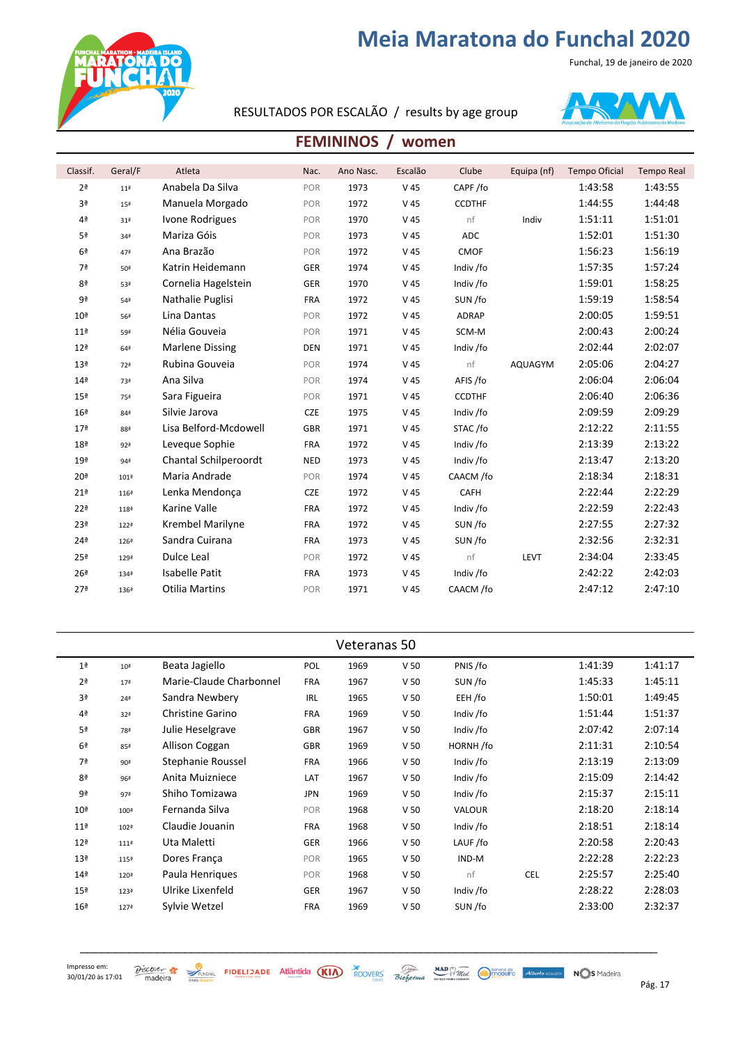Funchal, 19 de janeiro de 2020



#### RESULTADOS POR ESCALÃO / results by age group



#### **FEMININOS / women**

| Classif.        | Geral/F          | Atleta                 | Nac.       | Ano Nasc. | Escalão         | Clube         | Equipa (nf) | <b>Tempo Oficial</b> | <b>Tempo Real</b> |
|-----------------|------------------|------------------------|------------|-----------|-----------------|---------------|-------------|----------------------|-------------------|
| 2 <sup>a</sup>  | 11 <sup>a</sup>  | Anabela Da Silva       | POR        | 1973      | V <sub>45</sub> | CAPF/fo       |             | 1:43:58              | 1:43:55           |
| 3 <sup>a</sup>  | 15 <sup>a</sup>  | Manuela Morgado        | POR        | 1972      | V <sub>45</sub> | <b>CCDTHF</b> |             | 1:44:55              | 1:44:48           |
| 4ª              | 31ª              | Ivone Rodrigues        | POR        | 1970      | V <sub>45</sub> | nf            | Indiv       | 1:51:11              | 1:51:01           |
| 5ª              | 34 <sup>a</sup>  | Mariza Góis            | POR        | 1973      | V <sub>45</sub> | <b>ADC</b>    |             | 1:52:01              | 1:51:30           |
| 6 <sup>a</sup>  | 47ª              | Ana Brazão             | POR        | 1972      | V <sub>45</sub> | CMOF          |             | 1:56:23              | 1:56:19           |
| 7ª              | 50ª              | Katrin Heidemann       | GER        | 1974      | V <sub>45</sub> | Indiv /fo     |             | 1:57:35              | 1:57:24           |
| 8ª              | 53ª              | Cornelia Hagelstein    | GER        | 1970      | V <sub>45</sub> | Indiv /fo     |             | 1:59:01              | 1:58:25           |
| 9ª              | 54ª              | Nathalie Puglisi       | <b>FRA</b> | 1972      | V <sub>45</sub> | SUN /fo       |             | 1:59:19              | 1:58:54           |
| 10 <sup>a</sup> | 56ª              | Lina Dantas            | POR        | 1972      | V <sub>45</sub> | <b>ADRAP</b>  |             | 2:00:05              | 1:59:51           |
| 11 <sup>a</sup> | 59ª              | Nélia Gouveia          | POR        | 1971      | V <sub>45</sub> | SCM-M         |             | 2:00:43              | 2:00:24           |
| 12 <sup>a</sup> | 64 <sup>a</sup>  | <b>Marlene Dissing</b> | <b>DEN</b> | 1971      | V <sub>45</sub> | Indiv /fo     |             | 2:02:44              | 2:02:07           |
| 13 <sup>a</sup> | 72ª              | Rubina Gouveia         | POR        | 1974      | V <sub>45</sub> | nf            | AQUAGYM     | 2:05:06              | 2:04:27           |
| 14 <sup>a</sup> | 73ª              | Ana Silva              | POR        | 1974      | V <sub>45</sub> | AFIS /fo      |             | 2:06:04              | 2:06:04           |
| 15 <sup>a</sup> | 75ª              | Sara Figueira          | POR        | 1971      | V <sub>45</sub> | <b>CCDTHF</b> |             | 2:06:40              | 2:06:36           |
| 16 <sup>a</sup> | 84 <sup>a</sup>  | Silvie Jarova          | CZE        | 1975      | V <sub>45</sub> | Indiv /fo     |             | 2:09:59              | 2:09:29           |
| 17 <sup>a</sup> | 88ª              | Lisa Belford-Mcdowell  | <b>GBR</b> | 1971      | V <sub>45</sub> | STAC/fo       |             | 2:12:22              | 2:11:55           |
| 18 <sup>a</sup> | 92ª              | Leveque Sophie         | <b>FRA</b> | 1972      | V <sub>45</sub> | Indiv /fo     |             | 2:13:39              | 2:13:22           |
| 19 <sup>a</sup> | 94ª              | Chantal Schilperoordt  | <b>NED</b> | 1973      | V <sub>45</sub> | Indiv /fo     |             | 2:13:47              | 2:13:20           |
| 20 <sup>a</sup> | 101 <sup>2</sup> | Maria Andrade          | POR        | 1974      | V <sub>45</sub> | CAACM /fo     |             | 2:18:34              | 2:18:31           |
| 21 <sup>a</sup> | 116ª             | Lenka Mendonça         | <b>CZE</b> | 1972      | V <sub>45</sub> | CAFH          |             | 2:22:44              | 2:22:29           |
| 22 <sup>a</sup> | 118ª             | Karine Valle           | <b>FRA</b> | 1972      | V <sub>45</sub> | Indiv /fo     |             | 2:22:59              | 2:22:43           |
| 23ª             | 122ª             | Krembel Marilyne       | <b>FRA</b> | 1972      | V <sub>45</sub> | SUN/fo        |             | 2:27:55              | 2:27:32           |
| 24 <sup>a</sup> | 126ª             | Sandra Cuirana         | <b>FRA</b> | 1973      | V <sub>45</sub> | SUN/fo        |             | 2:32:56              | 2:32:31           |
| 25 <sup>a</sup> | 129ª             | Dulce Leal             | POR        | 1972      | V <sub>45</sub> | nf            | LEVT        | 2:34:04              | 2:33:45           |
| 26 <sup>a</sup> | 134ª             | <b>Isabelle Patit</b>  | <b>FRA</b> | 1973      | V <sub>45</sub> | Indiv /fo     |             | 2:42:22              | 2:42:03           |
| 27 <sup>a</sup> | 136ª             | <b>Otilia Martins</b>  | POR        | 1971      | V <sub>45</sub> | CAACM /fo     |             | 2:47:12              | 2:47:10           |

| Veteranas 50     |                         |            |      |                 |           |            |         |         |  |  |
|------------------|-------------------------|------------|------|-----------------|-----------|------------|---------|---------|--|--|
| 10 <sup>a</sup>  | Beata Jagiello          | POL        | 1969 | V <sub>50</sub> | PNIS /fo  |            | 1:41:39 | 1:41:17 |  |  |
| 17 <sup>a</sup>  | Marie-Claude Charbonnel | <b>FRA</b> | 1967 | V <sub>50</sub> | SUN/fo    |            | 1:45:33 | 1:45:11 |  |  |
| 24 <sup>a</sup>  | Sandra Newbery          | <b>IRL</b> | 1965 | V <sub>50</sub> | EEH /fo   |            | 1:50:01 | 1:49:45 |  |  |
| 32 <sup>a</sup>  | <b>Christine Garino</b> | <b>FRA</b> | 1969 | V <sub>50</sub> | Indiv /fo |            | 1:51:44 | 1:51:37 |  |  |
| 78ª              | Julie Heselgrave        | <b>GBR</b> | 1967 | V <sub>50</sub> | Indiv /fo |            | 2:07:42 | 2:07:14 |  |  |
| 85ª              | Allison Coggan          | <b>GBR</b> | 1969 | V <sub>50</sub> | HORNH/fo  |            | 2:11:31 | 2:10:54 |  |  |
| 90ª              | Stephanie Roussel       | <b>FRA</b> | 1966 | V <sub>50</sub> | Indiv /fo |            | 2:13:19 | 2:13:09 |  |  |
| 96ª              | Anita Muizniece         | LAT        | 1967 | V <sub>50</sub> | Indiv /fo |            | 2:15:09 | 2:14:42 |  |  |
| 97ª              | Shiho Tomizawa          | <b>JPN</b> | 1969 | V <sub>50</sub> | Indiv /fo |            | 2:15:37 | 2:15:11 |  |  |
| 100 <sup>2</sup> | Fernanda Silva          | POR        | 1968 | V <sub>50</sub> | VALOUR    |            | 2:18:20 | 2:18:14 |  |  |
| 102ª             | Claudie Jouanin         | <b>FRA</b> | 1968 | V <sub>50</sub> | Indiv /fo |            | 2:18:51 | 2:18:14 |  |  |
| 111 <sup>2</sup> | Uta Maletti             | GER        | 1966 | V <sub>50</sub> | LAUF/fo   |            | 2:20:58 | 2:20:43 |  |  |
| 115ª             | Dores França            | POR        | 1965 | V <sub>50</sub> | IND-M     |            | 2:22:28 | 2:22:23 |  |  |
| 120ª             | Paula Henriques         | POR        | 1968 | V <sub>50</sub> | nf        | <b>CEL</b> | 2:25:57 | 2:25:40 |  |  |
| 123ª             | Ulrike Lixenfeld        | GER        | 1967 | V <sub>50</sub> | Indiv /fo |            | 2:28:22 | 2:28:03 |  |  |
| 127ª             | Sylvie Wetzel           | <b>FRA</b> | 1969 | V <sub>50</sub> | SUN /fo   |            | 2:33:00 | 2:32:37 |  |  |
|                  |                         |            |      |                 |           |            |         |         |  |  |

\_\_\_\_\_\_\_\_\_\_\_\_\_\_\_\_\_\_\_\_\_\_\_\_\_\_\_\_\_\_\_\_\_\_\_\_\_\_\_\_\_\_\_\_\_\_\_\_\_\_\_\_\_\_\_\_\_\_\_\_\_\_\_\_\_\_\_\_\_\_\_\_\_\_\_\_\_\_\_\_\_\_\_

 $\frac{\partial$  *SCOVET*  $\frac{1}{2}$  **EXECUTE FIDELIDADE** Atlântida (KIA) ROOVERS Bioforma weedende Mindleton Atlanto course NOS Madeira Pág. 17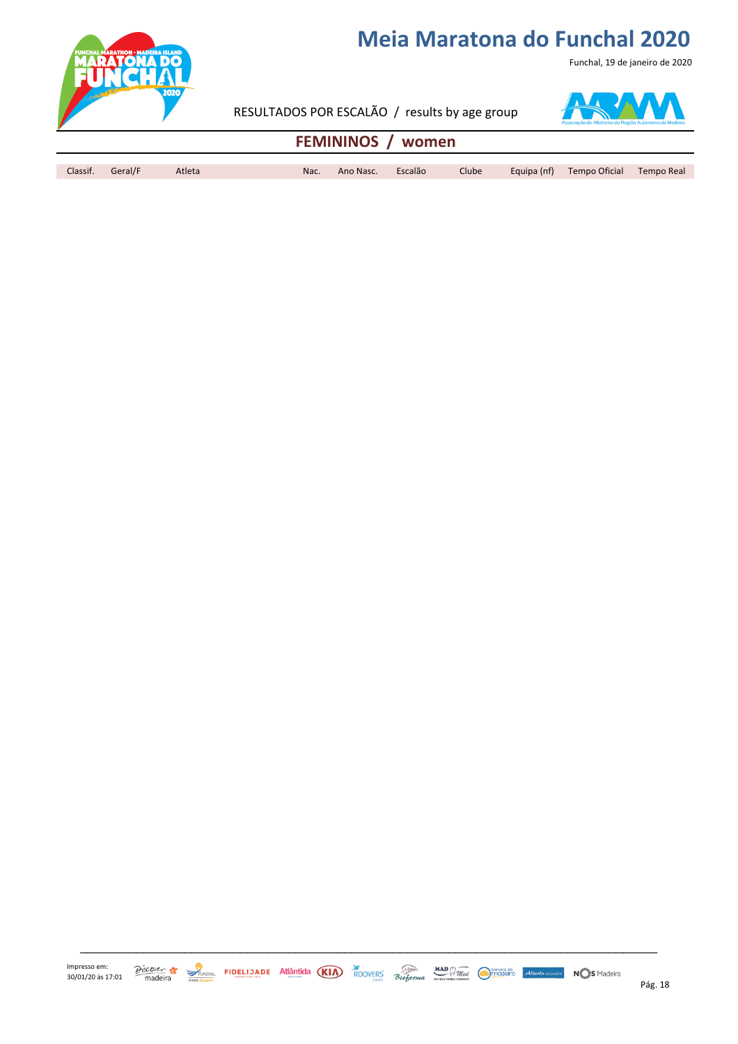Funchal, 19 de janeiro de 2020



RESULTADOS POR ESCALÃO / results by age group



#### **FEMININOS / women**

Classif. Geral/F Atleta Nac. Ano Nasc. Escalão Clube Equipa (nf) Tempo Oficial Tempo Real

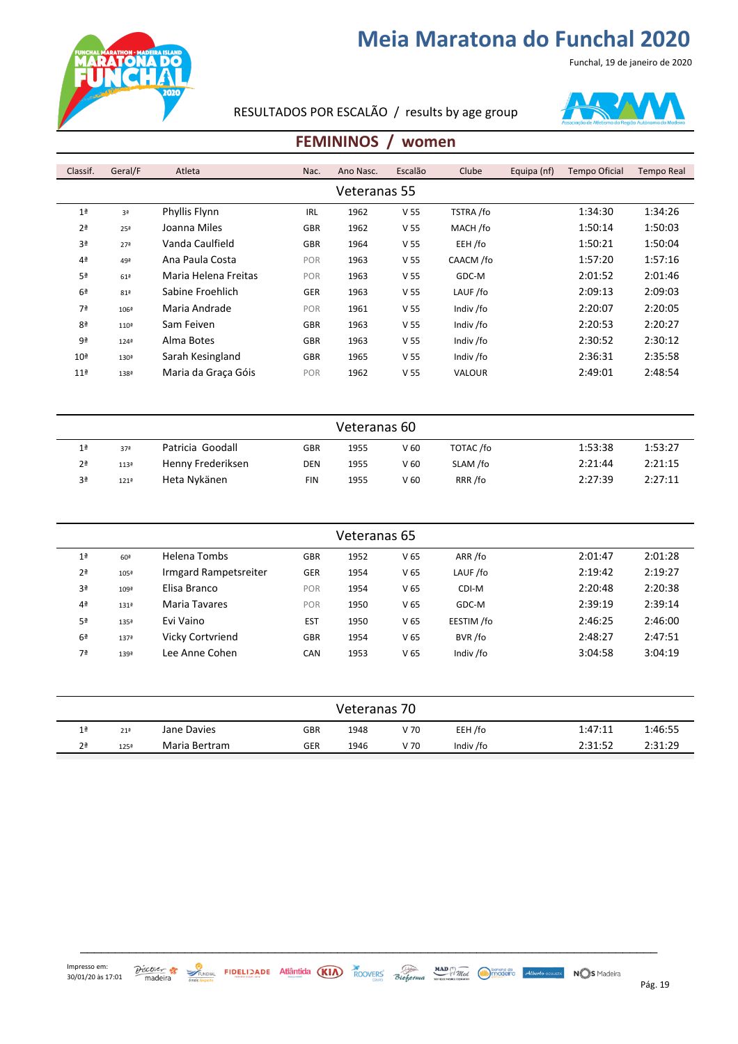



RESULTADOS POR ESCALÃO / results by age group



#### **FEMININOS / women**

| Classif.        | Geral/F             | Atleta               | Nac.       | Ano Nasc. | Escalão         | Clube         | Equipa (nf) | <b>Tempo Oficial</b> | Tempo Real |  |  |  |
|-----------------|---------------------|----------------------|------------|-----------|-----------------|---------------|-------------|----------------------|------------|--|--|--|
|                 | Veteranas 55        |                      |            |           |                 |               |             |                      |            |  |  |  |
| 1 <sup>a</sup>  | 3ª                  | Phyllis Flynn        | <b>IRL</b> | 1962      | V <sub>55</sub> | TSTRA /fo     |             | 1:34:30              | 1:34:26    |  |  |  |
| 2 <sup>a</sup>  | 25 <sup>a</sup>     | Joanna Miles         | <b>GBR</b> | 1962      | V <sub>55</sub> | MACH /fo      |             | 1:50:14              | 1:50:03    |  |  |  |
| 3ª              | 27 <sup>a</sup>     | Vanda Caulfield      | <b>GBR</b> | 1964      | V <sub>55</sub> | EEH /fo       |             | 1:50:21              | 1:50:04    |  |  |  |
| 4 <sup>a</sup>  | 49ª                 | Ana Paula Costa      | POR        | 1963      | V <sub>55</sub> | CAACM /fo     |             | 1:57:20              | 1:57:16    |  |  |  |
| 5 <sup>a</sup>  | 61 <sup>2</sup>     | Maria Helena Freitas | POR        | 1963      | V <sub>55</sub> | GDC-M         |             | 2:01:52              | 2:01:46    |  |  |  |
| 6 <sup>a</sup>  | 81ª                 | Sabine Froehlich     | <b>GER</b> | 1963      | V <sub>55</sub> | LAUF /fo      |             | 2:09:13              | 2:09:03    |  |  |  |
| 7ª              | $106^{\frac{3}{2}}$ | Maria Andrade        | <b>POR</b> | 1961      | V <sub>55</sub> | Indiv /fo     |             | 2:20:07              | 2:20:05    |  |  |  |
| 8 <sup>a</sup>  | 110 <sup>2</sup>    | Sam Feiven           | <b>GBR</b> | 1963      | V <sub>55</sub> | Indiv /fo     |             | 2:20:53              | 2:20:27    |  |  |  |
| 9ª              | $124^{\frac{a}{2}}$ | Alma Botes           | <b>GBR</b> | 1963      | V <sub>55</sub> | Indiv /fo     |             | 2:30:52              | 2:30:12    |  |  |  |
| 10 <sup>a</sup> | 130 <sup>2</sup>    | Sarah Kesingland     | <b>GBR</b> | 1965      | V <sub>55</sub> | Indiv /fo     |             | 2:36:31              | 2:35:58    |  |  |  |
| 11 <sup>a</sup> | 138ª                | Maria da Graca Góis  | POR        | 1962      | V <sub>55</sub> | <b>VALOUR</b> |             | 2:49:01              | 2:48:54    |  |  |  |

|                | Veteranas 60        |                   |            |      |      |           |         |         |  |  |  |
|----------------|---------------------|-------------------|------------|------|------|-----------|---------|---------|--|--|--|
| 1 <sup>a</sup> | 37 <sup>a</sup>     | Patricia Goodall  | <b>GBR</b> | 1955 | V 60 | TOTAC /fo | 1:53:38 | 1:53:27 |  |  |  |
| 2 <sup>a</sup> | 113ª                | Henny Frederiksen | <b>DEN</b> | 1955 | V 60 | SLAM /fo  | 2:21:44 | 2:21:15 |  |  |  |
| 3ª             | $121^{\frac{3}{2}}$ | Heta Nykänen      | FIN        | 1955 | V 60 | RRR /fo   | 2:27:39 | 2:27:11 |  |  |  |

|                |                  |                         |            | Veteranas 65 |                 |            |         |         |
|----------------|------------------|-------------------------|------------|--------------|-----------------|------------|---------|---------|
| 1 <sup>a</sup> | 60 <sup>a</sup>  | Helena Tombs            | <b>GBR</b> | 1952         | V <sub>65</sub> | ARR /fo    | 2:01:47 | 2:01:28 |
| 2 <sup>a</sup> | 105ª             | Irmgard Rampetsreiter   | <b>GER</b> | 1954         | V <sub>65</sub> | LAUF /fo   | 2:19:42 | 2:19:27 |
| 3ª             | 109ª             | Elisa Branco            | <b>POR</b> | 1954         | V <sub>65</sub> | CDI-M      | 2:20:48 | 2:20:38 |
| 4 <sup>a</sup> | 131ª             | Maria Tavares           | POR        | 1950         | V <sub>65</sub> | GDC-M      | 2:39:19 | 2:39:14 |
| 5ª             | 135ª             | Evi Vaino               | <b>EST</b> | 1950         | V <sub>65</sub> | EESTIM /fo | 2:46:25 | 2:46:00 |
| 6 <sup>a</sup> | 137 <sup>8</sup> | <b>Vicky Cortvriend</b> | <b>GBR</b> | 1954         | V <sub>65</sub> | BVR /fo    | 2:48:27 | 2:47:51 |
| 7ª             | 139ª             | Lee Anne Cohen          | <b>CAN</b> | 1953         | V <sub>65</sub> | Indiv /fo  | 3:04:58 | 3:04:19 |

| Veteranas 70   |                 |               |            |      |      |           |         |         |  |  |
|----------------|-----------------|---------------|------------|------|------|-----------|---------|---------|--|--|
| 1 <sup>a</sup> | 21 <sup>a</sup> | Jane Davies   | <b>GBR</b> | 1948 | V 70 | EEH /fo   | 1:47:11 | 1:46:55 |  |  |
| 2 <sup>a</sup> | 125ª            | Maria Bertram | GER        | 1946 | V 70 | Indiv /fo | 2:31:52 | 2:31:29 |  |  |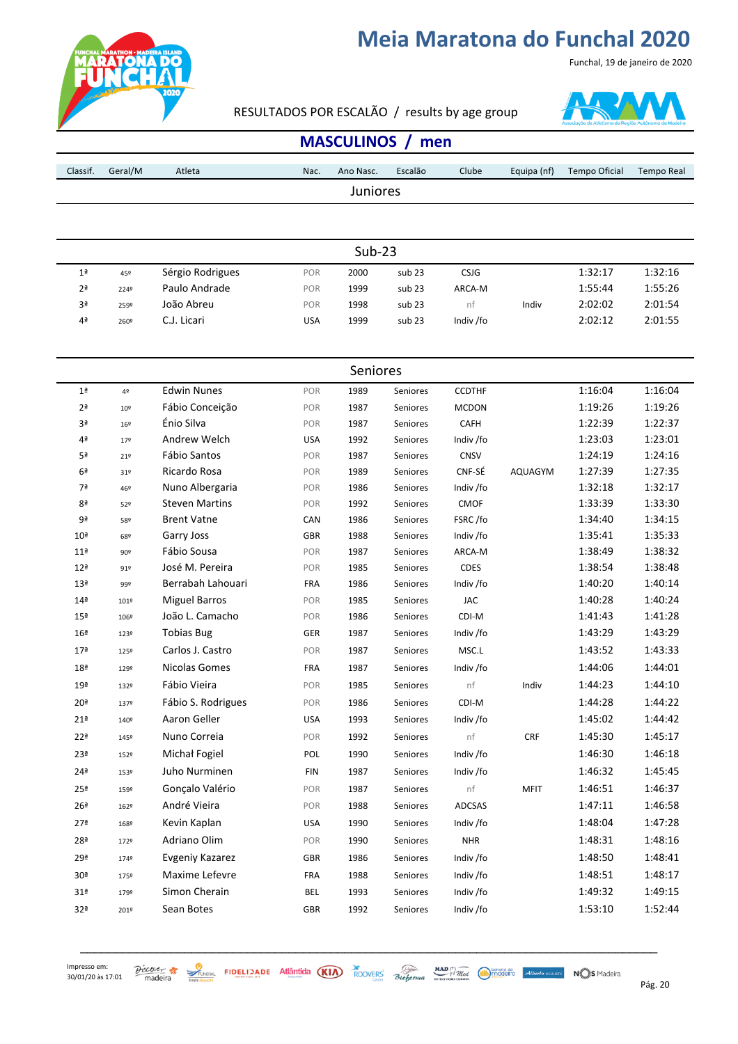

#### RESULTADOS POR ESCALÃO / results by age group



Funchal, 19 de janeiro de 2020

#### **MASCULINOS** / men

| Classif.        | Geral/M         | Atleta                | Nac.       | Ano Nasc. | Escalão  | Clube         | Equipa (nf)    | <b>Tempo Oficial</b> | <b>Tempo Real</b> |
|-----------------|-----------------|-----------------------|------------|-----------|----------|---------------|----------------|----------------------|-------------------|
|                 |                 |                       |            | Juniores  |          |               |                |                      |                   |
|                 |                 |                       |            |           |          |               |                |                      |                   |
|                 |                 |                       |            |           |          |               |                |                      |                   |
|                 |                 |                       |            | $Sub-23$  |          |               |                |                      |                   |
| 1 <sup>a</sup>  |                 | Sérgio Rodrigues      | POR        | 2000      | sub 23   | CSJG          |                | 1:32:17              | 1:32:16           |
| 2 <sup>a</sup>  | 45º<br>2249     | Paulo Andrade         | POR        | 1999      | sub 23   | ARCA-M        |                | 1:55:44              | 1:55:26           |
| 3ª              | 259º            | João Abreu            | POR        | 1998      | sub 23   | nf            | Indiv          | 2:02:02              | 2:01:54           |
| 4ª              | 260º            | C.J. Licari           | <b>USA</b> | 1999      | sub 23   | Indiv /fo     |                | 2:02:12              | 2:01:55           |
|                 |                 |                       |            |           |          |               |                |                      |                   |
|                 |                 |                       |            |           |          |               |                |                      |                   |
|                 |                 |                       |            | Seniores  |          |               |                |                      |                   |
| 1 <sup>a</sup>  | 4º              | <b>Edwin Nunes</b>    | POR        | 1989      | Seniores | <b>CCDTHF</b> |                | 1:16:04              | 1:16:04           |
| 2ª              | 10 <sup>°</sup> | Fábio Conceição       | POR        | 1987      | Seniores | <b>MCDON</b>  |                | 1:19:26              | 1:19:26           |
| 3ª              | $16^{\circ}$    | Énio Silva            | POR        | 1987      | Seniores | CAFH          |                | 1:22:39              | 1:22:37           |
| 4ª              | 179             | Andrew Welch          | <b>USA</b> | 1992      | Seniores | Indiv /fo     |                | 1:23:03              | 1:23:01           |
| 5ª              | 219             | Fábio Santos          | POR        | 1987      | Seniores | <b>CNSV</b>   |                | 1:24:19              | 1:24:16           |
| 6 <sup>a</sup>  | 31 <sup>o</sup> | Ricardo Rosa          | POR        | 1989      | Seniores | CNF-SÉ        | <b>AQUAGYM</b> | 1:27:39              | 1:27:35           |
| 7ª              | 46º             | Nuno Albergaria       | POR        | 1986      | Seniores | Indiv /fo     |                | 1:32:18              | 1:32:17           |
| 8ª              | 52º             | <b>Steven Martins</b> | POR        | 1992      | Seniores | <b>CMOF</b>   |                | 1:33:39              | 1:33:30           |
| 9ª              | 58º             | <b>Brent Vatne</b>    | CAN        | 1986      | Seniores | FSRC/fo       |                | 1:34:40              | 1:34:15           |
| 10 <sup>a</sup> | 68º             | Garry Joss            | <b>GBR</b> | 1988      | Seniores | Indiv /fo     |                | 1:35:41              | 1:35:33           |
| 11 <sup>a</sup> | 90º             | Fábio Sousa           | POR        | 1987      | Seniores | ARCA-M        |                | 1:38:49              | 1:38:32           |
| 12 <sup>a</sup> | 91º             | José M. Pereira       | POR        | 1985      | Seniores | <b>CDES</b>   |                | 1:38:54              | 1:38:48           |
| 13 <sup>a</sup> | 99º             | Berrabah Lahouari     | <b>FRA</b> | 1986      | Seniores | Indiv /fo     |                | 1:40:20              | 1:40:14           |
| 14 <sup>a</sup> | 101º            | <b>Miguel Barros</b>  | POR        | 1985      | Seniores | JAC           |                | 1:40:28              | 1:40:24           |
| 15 <sup>a</sup> | 1069            | João L. Camacho       | POR        | 1986      | Seniores | CDI-M         |                | 1:41:43              | 1:41:28           |
| 16 <sup>a</sup> | 123º            | <b>Tobias Bug</b>     | GER        | 1987      | Seniores | Indiv /fo     |                | 1:43:29              | 1:43:29           |
| 17 <sup>a</sup> | 125º            | Carlos J. Castro      | POR        | 1987      | Seniores | MSC.L         |                | 1:43:52              | 1:43:33           |
| 18 <sup>a</sup> | 129º            | Nicolas Gomes         | <b>FRA</b> | 1987      | Seniores | Indiv /fo     |                | 1:44:06              | 1:44:01           |
| 19 <sup>a</sup> | 132º            | Fábio Vieira          | POR        | 1985      | Seniores | nf            | Indiv          | 1:44:23              | 1:44:10           |
| 20 <sup>a</sup> | 1379            | Fábio S. Rodrigues    | POR        | 1986      | Seniores | CDI-M         |                | 1:44:28              | 1:44:22           |
| 21ª             | 140º            | Aaron Geller          | <b>USA</b> | 1993      | Seniores | Indiv /fo     |                | 1:45:02              | 1:44:42           |
| 22 <sup>a</sup> | 145°            | Nuno Correia          | POR        | 1992      | Seniores | nf            | CRF            | 1:45:30              | 1:45:17           |
| 23 <sup>a</sup> | 152º            | Michał Fogiel         | POL        | 1990      | Seniores | Indiv /fo     |                | 1:46:30              | 1:46:18           |
| 24 <sup>a</sup> | 153º            | Juho Nurminen         | <b>FIN</b> | 1987      | Seniores | Indiv /fo     |                | 1:46:32              | 1:45:45           |
| 25 <sup>a</sup> | 159º            | Gonçalo Valério       | POR        | 1987      | Seniores | nf            | <b>MFIT</b>    | 1:46:51              | 1:46:37           |
| 26 <sup>a</sup> | 162º            | André Vieira          | POR        | 1988      | Seniores | ADCSAS        |                | 1:47:11              | 1:46:58           |
| 27 <sup>a</sup> | 168º            | Kevin Kaplan          | USA        | 1990      | Seniores | Indiv /fo     |                | 1:48:04              | 1:47:28           |
| 28ª             | 172º            | Adriano Olim          | POR        | 1990      | Seniores | <b>NHR</b>    |                | 1:48:31              | 1:48:16           |
| 29ª             | 1749            | Evgeniy Kazarez       | GBR        | 1986      | Seniores | Indiv /fo     |                | 1:48:50              | 1:48:41           |
| 30 <sup>a</sup> | 175º            | Maxime Lefevre        | FRA        | 1988      | Seniores | Indiv /fo     |                | 1:48:51              | 1:48:17           |
| 31 <sup>a</sup> | 179º            | Simon Cherain         | <b>BEL</b> | 1993      | Seniores | Indiv /fo     |                | 1:49:32              | 1:49:15           |
| 32ª             |                 | Sean Botes            | <b>GBR</b> | 1992      | Seniores | Indiv /fo     |                | 1:53:10              | 1:52:44           |
|                 | 201º            |                       |            |           |          |               |                |                      |                   |

 $\frac{\partial \text{icoker}}{\partial \text{d}t}$   $\frac{\partial \text{coker}}{\partial \text{d}t}$  FIDELIDADE Atlântida (KIA) ROOVERS Bioforma when  $\frac{\text{MAD}}{\text{d}t}$   $\frac{\partial \text{MAD}}{\partial \text{d}t}$   $\frac{\partial \text{MAD}}{\partial \text{d}t}$   $\frac{\partial \text{MAD}}{\partial \text{d}t}$   $\frac{\partial \text{MAD}}{\partial \text{d}t}$   $\frac{\partial \text{MAD}}{\partial \text{d}t}$ 

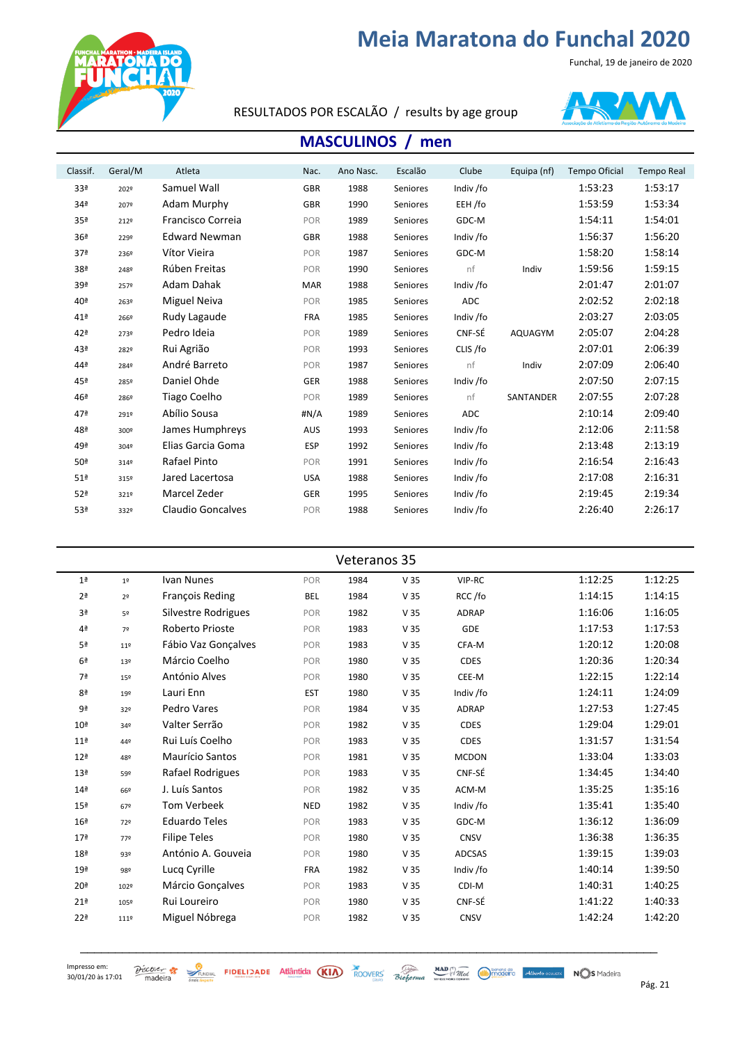Funchal, 19 de janeiro de 2020



RESULTADOS POR ESCALÃO / results by age group



#### **MASCULINOS** / men

| Classif.        | Geral/M | Atleta                   | Nac.       | Ano Nasc. | Escalão  | Clube     | Equipa (nf) | <b>Tempo Oficial</b> | <b>Tempo Real</b> |
|-----------------|---------|--------------------------|------------|-----------|----------|-----------|-------------|----------------------|-------------------|
| 33ª             | 2029    | Samuel Wall              | <b>GBR</b> | 1988      | Seniores | Indiv /fo |             | 1:53:23              | 1:53:17           |
| 34ª             | 2079    | Adam Murphy              | GBR        | 1990      | Seniores | EEH /fo   |             | 1:53:59              | 1:53:34           |
| 35 <sup>a</sup> | 2129    | <b>Francisco Correia</b> | POR        | 1989      | Seniores | GDC-M     |             | 1:54:11              | 1:54:01           |
| 36 <sup>a</sup> | 2299    | <b>Edward Newman</b>     | GBR        | 1988      | Seniores | Indiv /fo |             | 1:56:37              | 1:56:20           |
| 37 <sup>a</sup> | 2369    | Vítor Vieira             | POR        | 1987      | Seniores | GDC-M     |             | 1:58:20              | 1:58:14           |
| 38ª             | 2489    | Rúben Freitas            | POR        | 1990      | Seniores | nf        | Indiv       | 1:59:56              | 1:59:15           |
| 39ª             | 2579    | Adam Dahak               | <b>MAR</b> | 1988      | Seniores | Indiv /fo |             | 2:01:47              | 2:01:07           |
| 40ª             | 263º    | Miguel Neiva             | POR        | 1985      | Seniores | ADC       |             | 2:02:52              | 2:02:18           |
| 41 <sup>a</sup> | 266º    | Rudy Lagaude             | <b>FRA</b> | 1985      | Seniores | Indiv /fo |             | 2:03:27              | 2:03:05           |
| 42ª             | 2739    | Pedro Ideia              | POR        | 1989      | Seniores | CNF-SÉ    | AQUAGYM     | 2:05:07              | 2:04:28           |
| 43ª             | 2829    | Rui Agrião               | POR        | 1993      | Seniores | CLIS /fo  |             | 2:07:01              | 2:06:39           |
| 44ª             | 2849    | André Barreto            | POR        | 1987      | Seniores | nf        | Indiv       | 2:07:09              | 2:06:40           |
| 45ª             | 2859    | Daniel Ohde              | <b>GER</b> | 1988      | Seniores | Indiv /fo |             | 2:07:50              | 2:07:15           |
| 46ª             | 2869    | Tiago Coelho             | POR        | 1989      | Seniores | nf        | SANTANDER   | 2:07:55              | 2:07:28           |
| 47 <sup>a</sup> | 2919    | Abílio Sousa             | # $N/A$    | 1989      | Seniores | ADC       |             | 2:10:14              | 2:09:40           |
| 48ª             | 3009    | James Humphreys          | <b>AUS</b> | 1993      | Seniores | Indiv /fo |             | 2:12:06              | 2:11:58           |
| 49ª             | 3049    | Elias Garcia Goma        | ESP        | 1992      | Seniores | Indiv /fo |             | 2:13:48              | 2:13:19           |
| 50 <sup>a</sup> | 3149    | Rafael Pinto             | POR        | 1991      | Seniores | Indiv /fo |             | 2:16:54              | 2:16:43           |
| 51 <sup>a</sup> | 315º    | Jared Lacertosa          | <b>USA</b> | 1988      | Seniores | Indiv /fo |             | 2:17:08              | 2:16:31           |
| 52 <sup>a</sup> | 3219    | Marcel Zeder             | GER        | 1995      | Seniores | Indiv /fo |             | 2:19:45              | 2:19:34           |
| 53ª             | 3329    | <b>Claudio Goncalves</b> | POR        | 1988      | Seniores | Indiv /fo |             | 2:26:40              | 2:26:17           |
|                 |         |                          |            |           |          |           |             |                      |                   |

| Veteranos 35    |                 |                        |            |      |                 |              |         |         |  |  |  |
|-----------------|-----------------|------------------------|------------|------|-----------------|--------------|---------|---------|--|--|--|
| 1 <sup>a</sup>  | 1 <sup>°</sup>  | Ivan Nunes             | POR        | 1984 | V <sub>35</sub> | VIP-RC       | 1:12:25 | 1:12:25 |  |  |  |
| 2 <sup>a</sup>  | 2 <sup>o</sup>  | <b>Francois Reding</b> | <b>BEL</b> | 1984 | V <sub>35</sub> | RCC/fo       | 1:14:15 | 1:14:15 |  |  |  |
| 3ª              | 5º              | Silvestre Rodrigues    | POR        | 1982 | V <sub>35</sub> | ADRAP        | 1:16:06 | 1:16:05 |  |  |  |
| 4ª              | 7º              | Roberto Prioste        | POR        | 1983 | V <sub>35</sub> | <b>GDE</b>   | 1:17:53 | 1:17:53 |  |  |  |
| 5ª              | $11^{o}$        | Fábio Vaz Gonçalves    | POR        | 1983 | V <sub>35</sub> | CFA-M        | 1:20:12 | 1:20:08 |  |  |  |
| 6 <sup>a</sup>  | 13º             | Márcio Coelho          | POR        | 1980 | V <sub>35</sub> | <b>CDES</b>  | 1:20:36 | 1:20:34 |  |  |  |
| 7ª              | 15º             | António Alves          | POR        | 1980 | V <sub>35</sub> | CEE-M        | 1:22:15 | 1:22:14 |  |  |  |
| 8 <sup>a</sup>  | 19º             | Lauri Enn              | <b>EST</b> | 1980 | V <sub>35</sub> | Indiv /fo    | 1:24:11 | 1:24:09 |  |  |  |
| 9ª              | 32 <sup>o</sup> | Pedro Vares            | POR        | 1984 | V <sub>35</sub> | ADRAP        | 1:27:53 | 1:27:45 |  |  |  |
| 10 <sup>a</sup> | 34º             | Valter Serrão          | POR        | 1982 | V <sub>35</sub> | <b>CDES</b>  | 1:29:04 | 1:29:01 |  |  |  |
| 11 <sup>a</sup> | 44º             | Rui Luís Coelho        | POR        | 1983 | V <sub>35</sub> | <b>CDES</b>  | 1:31:57 | 1:31:54 |  |  |  |
| 12 <sup>a</sup> | 48º             | Maurício Santos        | POR        | 1981 | V <sub>35</sub> | <b>MCDON</b> | 1:33:04 | 1:33:03 |  |  |  |
| 13 <sup>a</sup> | 59º             | Rafael Rodrigues       | POR        | 1983 | V <sub>35</sub> | CNF-SÉ       | 1:34:45 | 1:34:40 |  |  |  |
| 14 <sup>a</sup> | 66º             | J. Luís Santos         | POR        | 1982 | V <sub>35</sub> | ACM-M        | 1:35:25 | 1:35:16 |  |  |  |
| 15 <sup>a</sup> | 67º             | Tom Verbeek            | <b>NED</b> | 1982 | V <sub>35</sub> | Indiv /fo    | 1:35:41 | 1:35:40 |  |  |  |
| 16 <sup>a</sup> | 72º             | <b>Eduardo Teles</b>   | POR        | 1983 | V <sub>35</sub> | GDC-M        | 1:36:12 | 1:36:09 |  |  |  |
| 17 <sup>a</sup> | 77º             | <b>Filipe Teles</b>    | POR        | 1980 | V <sub>35</sub> | CNSV         | 1:36:38 | 1:36:35 |  |  |  |
| 18 <sup>a</sup> | 93º             | António A. Gouveia     | POR        | 1980 | V <sub>35</sub> | ADCSAS       | 1:39:15 | 1:39:03 |  |  |  |
| 19 <sup>a</sup> | 98º             | Lucq Cyrille           | <b>FRA</b> | 1982 | V <sub>35</sub> | Indiv /fo    | 1:40:14 | 1:39:50 |  |  |  |
| 20 <sup>a</sup> | 102º            | Márcio Gonçalves       | POR        | 1983 | V <sub>35</sub> | CDI-M        | 1:40:31 | 1:40:25 |  |  |  |
| 21 <sup>a</sup> | 105º            | Rui Loureiro           | POR        | 1980 | V <sub>35</sub> | CNF-SÉ       | 1:41:22 | 1:40:33 |  |  |  |
| 22 <sup>a</sup> | 111º            | Miguel Nóbrega         | POR        | 1982 | V <sub>35</sub> | <b>CNSV</b>  | 1:42:24 | 1:42:20 |  |  |  |

\_\_\_\_\_\_\_\_\_\_\_\_\_\_\_\_\_\_\_\_\_\_\_\_\_\_\_\_\_\_\_\_\_\_\_\_\_\_\_\_\_\_\_\_\_\_\_\_\_\_\_\_\_\_\_\_\_\_\_\_\_\_\_\_\_\_\_\_\_\_\_\_\_\_\_\_\_\_\_\_\_\_\_

 $\frac{\partial$  *SCOVER* **21**  $\frac{\partial}{\partial x}$  **21**  $\frac{\partial}{\partial y}$  **21**  $\frac{\partial}{\partial z}$  **21**  $\frac{\partial}{\partial z}$  **21**  $\frac{\partial}{\partial z}$  **21**  $\frac{\partial}{\partial z}$  **21**  $\frac{\partial}{\partial z}$  **21**  $\frac{\partial}{\partial z}$  **21**  $\frac{\partial}{\partial z}$  **21**  $\frac{\partial}{\partial z}$  **21 21 21 21 21 21 21**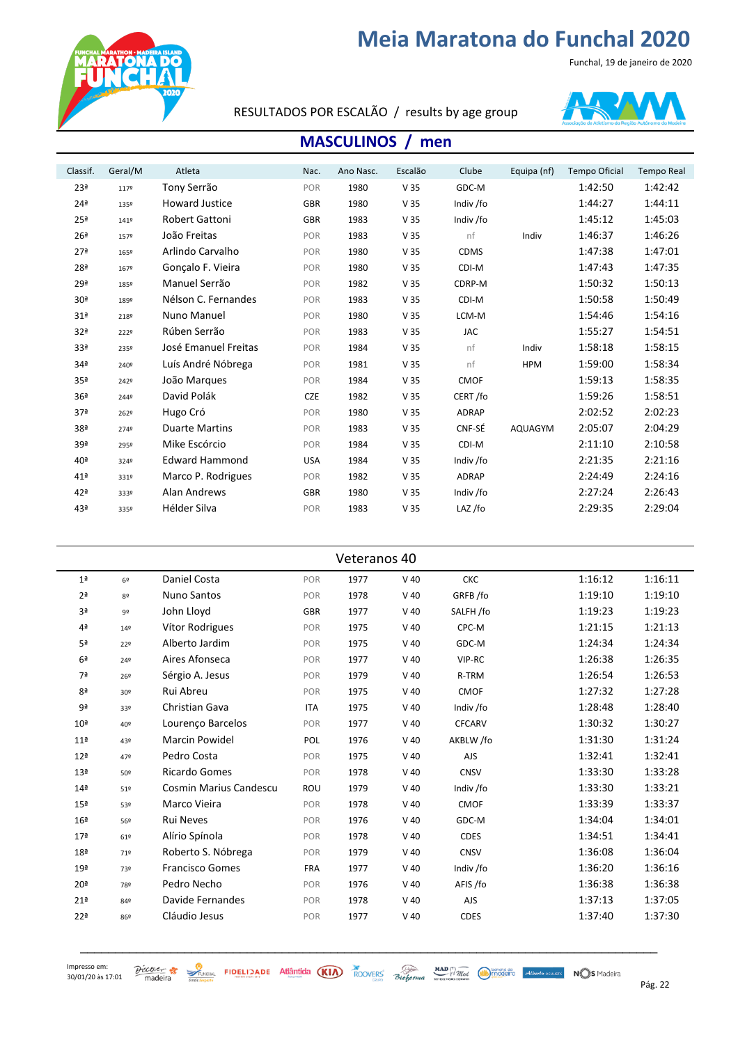Funchal, 19 de janeiro de 2020



#### RESULTADOS POR ESCALÃO / results by age group



#### **MASCULINOS** / men

| Classif.        | Geral/M | Atleta                | Nac.       | Ano Nasc. | Escalão         | Clube        | Equipa (nf) | <b>Tempo Oficial</b> | <b>Tempo Real</b> |
|-----------------|---------|-----------------------|------------|-----------|-----------------|--------------|-------------|----------------------|-------------------|
| 23 <sup>a</sup> | 1179    | Tony Serrão           | POR        | 1980      | V <sub>35</sub> | GDC-M        |             | 1:42:50              | 1:42:42           |
| 24 <sup>a</sup> | 1359    | <b>Howard Justice</b> | GBR        | 1980      | V <sub>35</sub> | Indiv /fo    |             | 1:44:27              | 1:44:11           |
| 25 <sup>a</sup> | 1419    | <b>Robert Gattoni</b> | <b>GBR</b> | 1983      | V <sub>35</sub> | Indiv /fo    |             | 1:45:12              | 1:45:03           |
| 26 <sup>a</sup> | 1579    | João Freitas          | POR        | 1983      | V <sub>35</sub> | nf           | Indiv       | 1:46:37              | 1:46:26           |
| 27 <sup>a</sup> | 165º    | Arlindo Carvalho      | POR        | 1980      | V <sub>35</sub> | <b>CDMS</b>  |             | 1:47:38              | 1:47:01           |
| 28 <sup>a</sup> | 1679    | Gonçalo F. Vieira     | POR        | 1980      | V <sub>35</sub> | CDI-M        |             | 1:47:43              | 1:47:35           |
| 29ª             | 1859    | Manuel Serrão         | POR        | 1982      | V <sub>35</sub> | CDRP-M       |             | 1:50:32              | 1:50:13           |
| 30 <sup>a</sup> | 189º    | Nélson C. Fernandes   | POR        | 1983      | V <sub>35</sub> | CDI-M        |             | 1:50:58              | 1:50:49           |
| 31 <sup>a</sup> | 2189    | Nuno Manuel           | POR        | 1980      | V <sub>35</sub> | LCM-M        |             | 1:54:46              | 1:54:16           |
| 32ª             | 2229    | Rúben Serrão          | POR        | 1983      | V <sub>35</sub> | <b>JAC</b>   |             | 1:55:27              | 1:54:51           |
| 33ª             | 2359    | José Emanuel Freitas  | POR        | 1984      | V <sub>35</sub> | nf           | Indiv       | 1:58:18              | 1:58:15           |
| 34 <sup>a</sup> | 240º    | Luís André Nóbrega    | POR        | 1981      | V <sub>35</sub> | nf           | <b>HPM</b>  | 1:59:00              | 1:58:34           |
| 35ª             | 2429    | João Marques          | POR        | 1984      | V <sub>35</sub> | <b>CMOF</b>  |             | 1:59:13              | 1:58:35           |
| 36 <sup>a</sup> | 2449    | David Polák           | <b>CZE</b> | 1982      | V <sub>35</sub> | CERT/fo      |             | 1:59:26              | 1:58:51           |
| 37 <sup>a</sup> | 262º    | Hugo Cró              | POR        | 1980      | V <sub>35</sub> | <b>ADRAP</b> |             | 2:02:52              | 2:02:23           |
| 38ª             | 2749    | <b>Duarte Martins</b> | POR        | 1983      | V <sub>35</sub> | CNF-SÉ       | AQUAGYM     | 2:05:07              | 2:04:29           |
| 39ª             | 2959    | Mike Escórcio         | POR        | 1984      | V <sub>35</sub> | CDI-M        |             | 2:11:10              | 2:10:58           |
| 40 <sup>a</sup> | 3249    | <b>Edward Hammond</b> | <b>USA</b> | 1984      | V <sub>35</sub> | Indiv /fo    |             | 2:21:35              | 2:21:16           |
| 41 <sup>a</sup> | 331º    | Marco P. Rodrigues    | POR        | 1982      | V <sub>35</sub> | ADRAP        |             | 2:24:49              | 2:24:16           |
| 42ª             | 3339    | Alan Andrews          | GBR        | 1980      | V <sub>35</sub> | Indiv /fo    |             | 2:27:24              | 2:26:43           |
| 43ª             | 3359    | Hélder Silva          | POR        | 1983      | V <sub>35</sub> | LAZ /fo      |             | 2:29:35              | 2:29:04           |
|                 |         |                       |            |           |                 |              |             |                      |                   |

| Veteranos 40    |                 |                               |            |      |        |               |         |         |  |  |
|-----------------|-----------------|-------------------------------|------------|------|--------|---------------|---------|---------|--|--|
| 1 <sup>a</sup>  | 6 <sup>°</sup>  | Daniel Costa                  | POR        | 1977 | $V$ 40 | <b>CKC</b>    | 1:16:12 | 1:16:11 |  |  |
| 2 <sup>a</sup>  | 82              | Nuno Santos                   | POR        | 1978 | $V$ 40 | GRFB /fo      | 1:19:10 | 1:19:10 |  |  |
| 3 <sup>a</sup>  | 92              | John Lloyd                    | GBR        | 1977 | $V$ 40 | SALFH /fo     | 1:19:23 | 1:19:23 |  |  |
| $4^a$           | 149             | Vítor Rodrigues               | POR        | 1975 | $V$ 40 | CPC-M         | 1:21:15 | 1:21:13 |  |  |
| 5 <sup>a</sup>  | 22 <sup>°</sup> | Alberto Jardim                | POR        | 1975 | $V$ 40 | GDC-M         | 1:24:34 | 1:24:34 |  |  |
| 6 <sup>a</sup>  | 24º             | Aires Afonseca                | POR        | 1977 | $V$ 40 | VIP-RC        | 1:26:38 | 1:26:35 |  |  |
| 7ª              | 26º             | Sérgio A. Jesus               | POR        | 1979 | $V$ 40 | R-TRM         | 1:26:54 | 1:26:53 |  |  |
| 8 <sup>a</sup>  | 30º             | Rui Abreu                     | POR        | 1975 | $V$ 40 | <b>CMOF</b>   | 1:27:32 | 1:27:28 |  |  |
| 9ª              | 33º             | Christian Gava                | <b>ITA</b> | 1975 | $V$ 40 | Indiv /fo     | 1:28:48 | 1:28:40 |  |  |
| 10 <sup>a</sup> | 40º             | Lourenço Barcelos             | POR        | 1977 | $V$ 40 | <b>CFCARV</b> | 1:30:32 | 1:30:27 |  |  |
| 11 <sup>a</sup> | 43º             | Marcin Powidel                | <b>POL</b> | 1976 | $V$ 40 | AKBLW /fo     | 1:31:30 | 1:31:24 |  |  |
| 12 <sup>a</sup> | 47º             | Pedro Costa                   | POR        | 1975 | $V$ 40 | AJS           | 1:32:41 | 1:32:41 |  |  |
| 13 <sup>a</sup> | 50º             | Ricardo Gomes                 | POR        | 1978 | $V$ 40 | CNSV          | 1:33:30 | 1:33:28 |  |  |
| 14 <sup>a</sup> | 51º             | <b>Cosmin Marius Candescu</b> | ROU        | 1979 | $V$ 40 | Indiv /fo     | 1:33:30 | 1:33:21 |  |  |
| 15 <sup>a</sup> | 53º             | Marco Vieira                  | POR        | 1978 | $V$ 40 | <b>CMOF</b>   | 1:33:39 | 1:33:37 |  |  |
| 16 <sup>a</sup> | 56º             | <b>Rui Neves</b>              | POR        | 1976 | $V$ 40 | GDC-M         | 1:34:04 | 1:34:01 |  |  |
| 17 <sup>a</sup> | 61º             | Alírio Spínola                | POR        | 1978 | $V$ 40 | <b>CDES</b>   | 1:34:51 | 1:34:41 |  |  |
| 18 <sup>a</sup> | 71º             | Roberto S. Nóbrega            | POR        | 1979 | $V$ 40 | CNSV          | 1:36:08 | 1:36:04 |  |  |
| 19 <sup>a</sup> | 73º             | <b>Francisco Gomes</b>        | <b>FRA</b> | 1977 | $V$ 40 | Indiv /fo     | 1:36:20 | 1:36:16 |  |  |
| 20 <sup>a</sup> | 78º             | Pedro Necho                   | POR        | 1976 | $V$ 40 | AFIS /fo      | 1:36:38 | 1:36:38 |  |  |
| 21 <sup>a</sup> | 84º             | Davide Fernandes              | POR        | 1978 | $V$ 40 | AJS           | 1:37:13 | 1:37:05 |  |  |
| 22 <sup>a</sup> | 86º             | Cláudio Jesus                 | POR        | 1977 | $V$ 40 | CDES          | 1:37:40 | 1:37:30 |  |  |

\_\_\_\_\_\_\_\_\_\_\_\_\_\_\_\_\_\_\_\_\_\_\_\_\_\_\_\_\_\_\_\_\_\_\_\_\_\_\_\_\_\_\_\_\_\_\_\_\_\_\_\_\_\_\_\_\_\_\_\_\_\_\_\_\_\_\_\_\_\_\_\_\_\_\_\_\_\_\_\_\_\_\_

 $\frac{\partial$  *S*  $\frac{1}{2}$   $\frac{1}{2}$   $\frac{1}{2}$   $\frac{1}{2}$  **FIDELIZADE** Atlântida (KIA) ROOVERS Bioforma **MAD**  $\frac{1}{2}$   $\frac{1}{2}$   $\frac{1}{2}$   $\frac{1}{2}$   $\frac{1}{2}$   $\frac{1}{2}$   $\frac{1}{2}$   $\frac{1}{2}$   $\frac{1}{2}$   $\frac{1}{2}$   $\frac{1}{2}$   $\frac{1}{2}$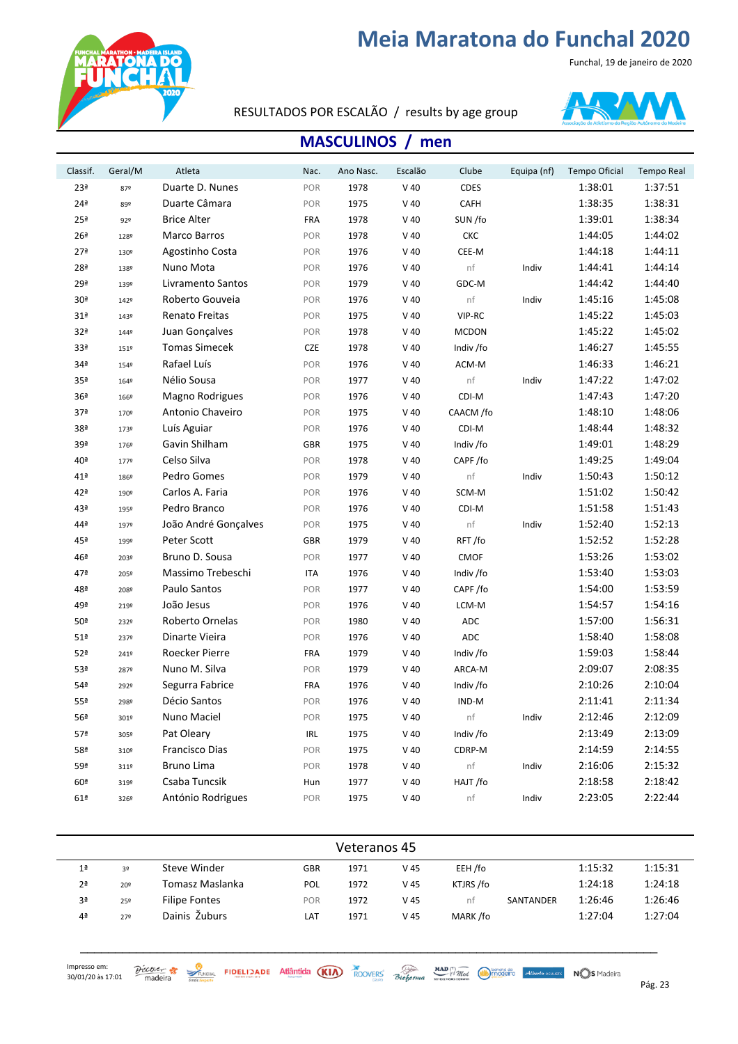Funchal, 19 de janeiro de 2020



RESULTADOS POR ESCALÃO / results by age group



#### **MASCULINOS** / men

| Classif.        | Geral/M | Atleta                | Nac.       | Ano Nasc. | Escalão | Clube        | Equipa (nf) | Tempo Oficial | <b>Tempo Real</b> |
|-----------------|---------|-----------------------|------------|-----------|---------|--------------|-------------|---------------|-------------------|
| 23ª             | 87º     | Duarte D. Nunes       | POR        | 1978      | $V$ 40  | <b>CDES</b>  |             | 1:38:01       | 1:37:51           |
| 24 <sup>a</sup> | 89º     | Duarte Câmara         | POR        | 1975      | $V$ 40  | CAFH         |             | 1:38:35       | 1:38:31           |
| 25 <sup>a</sup> | 92º     | <b>Brice Alter</b>    | <b>FRA</b> | 1978      | $V$ 40  | SUN/fo       |             | 1:39:01       | 1:38:34           |
| 26 <sup>a</sup> | 128º    | Marco Barros          | POR        | 1978      | $V$ 40  | CKC          |             | 1:44:05       | 1:44:02           |
| 27 <sup>a</sup> | 130º    | Agostinho Costa       | POR        | 1976      | $V$ 40  | CEE-M        |             | 1:44:18       | 1:44:11           |
| 28ª             | 138º    | Nuno Mota             | POR        | 1976      | $V$ 40  | nf           | Indiv       | 1:44:41       | 1:44:14           |
| 29ª             | 139º    | Livramento Santos     | POR        | 1979      | $V$ 40  | GDC-M        |             | 1:44:42       | 1:44:40           |
| 30 <sup>a</sup> | 142º    | Roberto Gouveia       | POR        | 1976      | $V$ 40  | nf           | Indiv       | 1:45:16       | 1:45:08           |
| 31 <sup>a</sup> | 143º    | <b>Renato Freitas</b> | POR        | 1975      | $V$ 40  | VIP-RC       |             | 1:45:22       | 1:45:03           |
| 32 <sup>a</sup> | 1449    | Juan Gonçalves        | POR        | 1978      | $V$ 40  | <b>MCDON</b> |             | 1:45:22       | 1:45:02           |
| 33ª             | 151º    | <b>Tomas Simecek</b>  | <b>CZE</b> | 1978      | $V$ 40  | Indiv /fo    |             | 1:46:27       | 1:45:55           |
| 34 <sup>a</sup> | 1549    | Rafael Luís           | POR        | 1976      | $V$ 40  | ACM-M        |             | 1:46:33       | 1:46:21           |
| 35 <sup>a</sup> | 1649    | Nélio Sousa           | POR        | 1977      | $V$ 40  | nf           | Indiv       | 1:47:22       | 1:47:02           |
| 36 <sup>a</sup> | 166º    | Magno Rodrigues       | POR        | 1976      | $V$ 40  | CDI-M        |             | 1:47:43       | 1:47:20           |
| 37 <sup>a</sup> | 170º    | Antonio Chaveiro      | POR        | 1975      | $V$ 40  | CAACM /fo    |             | 1:48:10       | 1:48:06           |
| 38ª             | 173º    | Luís Aguiar           | POR        | 1976      | $V$ 40  | CDI-M        |             | 1:48:44       | 1:48:32           |
| 39ª             | 1769    | Gavin Shilham         | <b>GBR</b> | 1975      | $V$ 40  | Indiv /fo    |             | 1:49:01       | 1:48:29           |
| 40ª             | 1779    | Celso Silva           | POR        | 1978      | $V$ 40  | CAPF/fo      |             | 1:49:25       | 1:49:04           |
| 41ª             | 186º    | Pedro Gomes           | POR        | 1979      | $V$ 40  | nf           | Indiv       | 1:50:43       | 1:50:12           |
| 42ª             | 190º    | Carlos A. Faria       | POR        | 1976      | $V$ 40  | SCM-M        |             | 1:51:02       | 1:50:42           |
| 43ª             | 195º    | Pedro Branco          | POR        | 1976      | $V$ 40  | CDI-M        |             | 1:51:58       | 1:51:43           |
| 44ª             | 197º    | João André Gonçalves  | POR        | 1975      | $V$ 40  | nf           | Indiv       | 1:52:40       | 1:52:13           |
| 45ª             | 199º    | Peter Scott           | <b>GBR</b> | 1979      | $V$ 40  | RFT/fo       |             | 1:52:52       | 1:52:28           |
| 46ª             | 203º    | Bruno D. Sousa        | POR        | 1977      | $V$ 40  | <b>CMOF</b>  |             | 1:53:26       | 1:53:02           |
| 47ª             | 205º    | Massimo Trebeschi     | <b>ITA</b> | 1976      | $V$ 40  | Indiv /fo    |             | 1:53:40       | 1:53:03           |
| 48ª             | 208º    | Paulo Santos          | POR        | 1977      | $V$ 40  | CAPF/fo      |             | 1:54:00       | 1:53:59           |
| 49ª             | 219º    | João Jesus            | POR        | 1976      | $V$ 40  | LCM-M        |             | 1:54:57       | 1:54:16           |
| 50ª             | 232º    | Roberto Ornelas       | POR        | 1980      | $V$ 40  | <b>ADC</b>   |             | 1:57:00       | 1:56:31           |
| 51 <sup>a</sup> | 237º    | Dinarte Vieira        | POR        | 1976      | $V$ 40  | <b>ADC</b>   |             | 1:58:40       | 1:58:08           |
| 52ª             | 241º    | Roecker Pierre        | <b>FRA</b> | 1979      | $V$ 40  | Indiv /fo    |             | 1:59:03       | 1:58:44           |
| 53ª             | 2879    | Nuno M. Silva         | POR        | 1979      | $V$ 40  | ARCA-M       |             | 2:09:07       | 2:08:35           |
| 54ª             | 292º    | Segurra Fabrice       | <b>FRA</b> | 1976      | $V$ 40  | Indiv /fo    |             | 2:10:26       | 2:10:04           |
| 55ª             | 2989    | Décio Santos          | POR        | 1976      | $V$ 40  | IND-M        |             | 2:11:41       | 2:11:34           |
| 56ª             | 301º    | Nuno Maciel           | POR        | 1975      | $V$ 40  | nf           | Indiv       | 2:12:46       | 2:12:09           |
| 57ª             | 305º    | Pat Oleary            | <b>IRL</b> | 1975      | $V$ 40  | Indiv /fo    |             | 2:13:49       | 2:13:09           |
| 58ª             | 310º    | Francisco Dias        | POR        | 1975      | $V$ 40  | CDRP-M       |             | 2:14:59       | 2:14:55           |
| 59ª             | 311º    | Bruno Lima            | POR        | 1978      | $V$ 40  | nf           | Indiv       | 2:16:06       | 2:15:32           |
| 60 <sup>a</sup> | 319º    | Csaba Tuncsik         | Hun        | 1977      | $V$ 40  | HAJT/fo      |             | 2:18:58       | 2:18:42           |
| 61 <sup>a</sup> | 326º    | António Rodrigues     | POR        | 1975      | $V$ 40  | nf           | Indiv       | 2:23:05       | 2:22:44           |

| Veteranos 45   |     |                      |            |      |      |           |           |         |         |  |  |  |
|----------------|-----|----------------------|------------|------|------|-----------|-----------|---------|---------|--|--|--|
| 1 <sup>a</sup> | 3º  | Steve Winder         | <b>GBR</b> | 1971 | V 45 | EEH /fo   |           | 1:15:32 | 1:15:31 |  |  |  |
| 2 <sup>a</sup> | 20º | Tomasz Maslanka      | POL        | 1972 | V 45 | KTJRS /fo |           | 1:24:18 | 1:24:18 |  |  |  |
| 3ª             | 25º | <b>Filipe Fontes</b> | POR        | 1972 | V 45 | nt        | SANTANDER | 1:26:46 | 1:26:46 |  |  |  |
| 4 <sup>a</sup> | 27º | Dainis Žuburs        | LAT        | 1971 | V 45 | MARK/fo   |           | 1:27:04 | 1:27:04 |  |  |  |

\_\_\_\_\_\_\_\_\_\_\_\_\_\_\_\_\_\_\_\_\_\_\_\_\_\_\_\_\_\_\_\_\_\_\_\_\_\_\_\_\_\_\_\_\_\_\_\_\_\_\_\_\_\_\_\_\_\_\_\_\_\_\_\_\_\_\_\_\_\_\_\_\_\_\_\_\_\_\_\_\_\_\_

 $\frac{\partial$  *SCOVER* **23 EXAMPLE SAGE Attântida (KIA)** ROOVERS *Bioforma MAD MAD MAD Made* Counse *NOS* Madeira **Pág. 23 Pág. 23**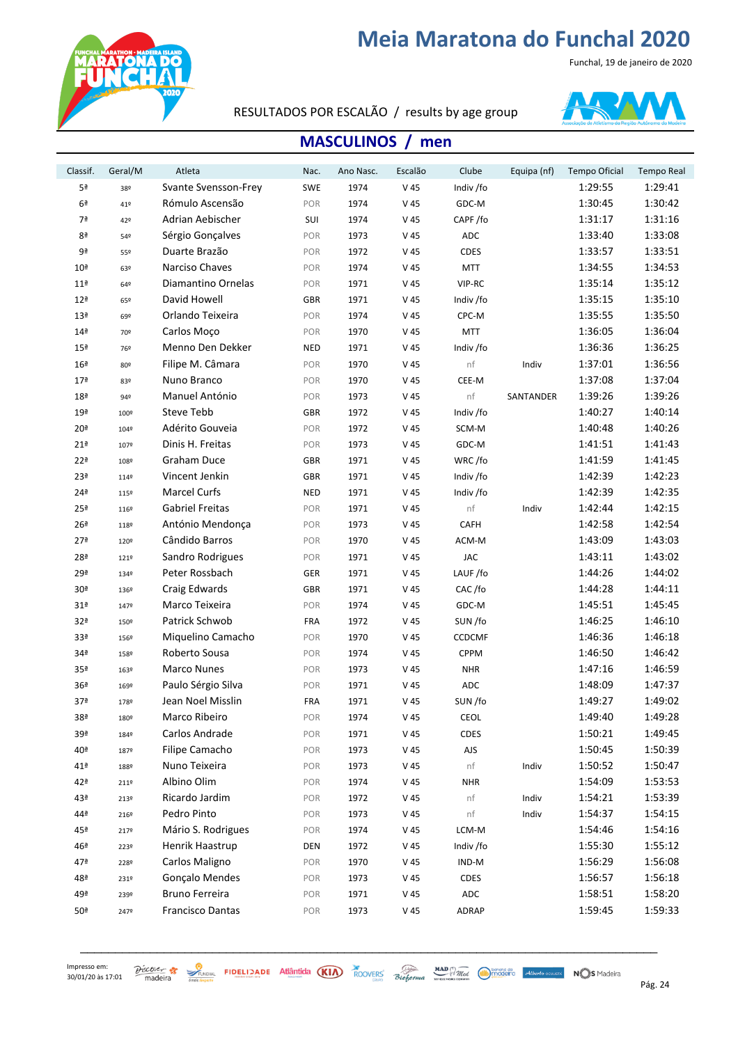Funchal, 19 de janeiro de 2020



#### RESULTADOS POR ESCALÃO / results by age group



#### **MASCULINOS** / men

| Classif.        | Geral/M | Atleta                  | Nac.       | Ano Nasc. | Escalão         | Clube         | Equipa (nf) | Tempo Oficial | <b>Tempo Real</b> |
|-----------------|---------|-------------------------|------------|-----------|-----------------|---------------|-------------|---------------|-------------------|
| 5ª              | 38º     | Svante Svensson-Frey    | SWE        | 1974      | V 45            | Indiv /fo     |             | 1:29:55       | 1:29:41           |
| 6 <sup>a</sup>  | 41º     | Rómulo Ascensão         | POR        | 1974      | V 45            | GDC-M         |             | 1:30:45       | 1:30:42           |
| 7ª              | 42º     | Adrian Aebischer        | SUI        | 1974      | V 45            | CAPF/fo       |             | 1:31:17       | 1:31:16           |
| 8ª              | 54º     | Sérgio Gonçalves        | POR        | 1973      | V 45            | ADC           |             | 1:33:40       | 1:33:08           |
| 9ª              | 55º     | Duarte Brazão           | POR        | 1972      | V 45            | <b>CDES</b>   |             | 1:33:57       | 1:33:51           |
| 10 <sup>a</sup> | 63º     | Narciso Chaves          | POR        | 1974      | V 45            | <b>MTT</b>    |             | 1:34:55       | 1:34:53           |
| 11 <sup>a</sup> | 64º     | Diamantino Ornelas      | POR        | 1971      | V 45            | VIP-RC        |             | 1:35:14       | 1:35:12           |
| 12 <sup>a</sup> | 65º     | David Howell            | <b>GBR</b> | 1971      | V 45            | Indiv /fo     |             | 1:35:15       | 1:35:10           |
| 13 <sup>a</sup> | 69º     | Orlando Teixeira        | POR        | 1974      | V 45            | CPC-M         |             | 1:35:55       | 1:35:50           |
| 14 <sup>a</sup> | 70º     | Carlos Moço             | POR        | 1970      | V 45            | <b>MTT</b>    |             | 1:36:05       | 1:36:04           |
| 15 <sup>a</sup> | 76º     | Menno Den Dekker        | <b>NED</b> | 1971      | $V$ 45          | Indiv /fo     |             | 1:36:36       | 1:36:25           |
| 16 <sup>a</sup> | 80º     | Filipe M. Câmara        | POR        | 1970      | V 45            | nf            | Indiv       | 1:37:01       | 1:36:56           |
| 17 <sup>a</sup> | 83º     | Nuno Branco             | POR        | 1970      | V 45            | CEE-M         |             | 1:37:08       | 1:37:04           |
| 18 <sup>a</sup> | 94º     | Manuel António          | POR        | 1973      | V 45            | nf            | SANTANDER   | 1:39:26       | 1:39:26           |
| 19ª             | 100º    | Steve Tebb              | GBR        | 1972      | V 45            | Indiv /fo     |             | 1:40:27       | 1:40:14           |
| 20 <sup>a</sup> | 104º    | Adérito Gouveia         | POR        | 1972      | V 45            | SCM-M         |             | 1:40:48       | 1:40:26           |
| 21 <sup>a</sup> | 107º    | Dinis H. Freitas        | POR        | 1973      | V 45            | GDC-M         |             | 1:41:51       | 1:41:43           |
| 22 <sup>a</sup> | 108º    | <b>Graham Duce</b>      | <b>GBR</b> | 1971      | V 45            | WRC/fo        |             | 1:41:59       | 1:41:45           |
| 23ª             | 114º    | Vincent Jenkin          | <b>GBR</b> | 1971      | V 45            | Indiv /fo     |             | 1:42:39       | 1:42:23           |
| 24 <sup>a</sup> | 115º    | <b>Marcel Curfs</b>     | <b>NED</b> | 1971      | V 45            | Indiv /fo     |             | 1:42:39       | 1:42:35           |
| 25 <sup>a</sup> | 116º    | Gabriel Freitas         | POR        | 1971      | V 45            | $\sf nf$      | Indiv       | 1:42:44       | 1:42:15           |
| 26 <sup>a</sup> | 118º    | António Mendonça        | POR        | 1973      | V 45            | <b>CAFH</b>   |             | 1:42:58       | 1:42:54           |
| 27 <sup>a</sup> | 120º    | Cândido Barros          | POR        | 1970      | V 45            | ACM-M         |             | 1:43:09       | 1:43:03           |
| 28ª             | 121º    | Sandro Rodrigues        | POR        | 1971      | V 45            | <b>JAC</b>    |             | 1:43:11       | 1:43:02           |
| 29ª             | 134º    | Peter Rossbach          | GER        | 1971      | V 45            | LAUF /fo      |             | 1:44:26       | 1:44:02           |
| 30 <sup>a</sup> | 136º    | Craig Edwards           | <b>GBR</b> | 1971      | V 45            | CAC/fo        |             | 1:44:28       | 1:44:11           |
| 31 <sup>a</sup> | 147º    | Marco Teixeira          | POR        | 1974      | V 45            | GDC-M         |             | 1:45:51       | 1:45:45           |
| 32ª             | 150º    | Patrick Schwob          | <b>FRA</b> | 1972      | V 45            | SUN/fo        |             | 1:46:25       | 1:46:10           |
| 33ª             | 156º    | Miquelino Camacho       | POR        | 1970      | V 45            | <b>CCDCMF</b> |             | 1:46:36       | 1:46:18           |
| 34ª             | 158º    | Roberto Sousa           | POR        | 1974      | V 45            | <b>CPPM</b>   |             | 1:46:50       | 1:46:42           |
| 35 <sup>a</sup> | 163º    | Marco Nunes             | POR        | 1973      | V 45            | <b>NHR</b>    |             | 1:47:16       | 1:46:59           |
| 36 <sup>a</sup> | 169º    | Paulo Sérgio Silva      | POR        | 1971      | V 45            | ADC           |             | 1:48:09       | 1:47:37           |
| 37ª             | 1789    | Jean Noel Misslin       | <b>FRA</b> | 1971      | V 45            | SUN/fo        |             | 1:49:27       | 1:49:02           |
| 38ª             | 180º    | Marco Ribeiro           | POR        | 1974      | V 45            | CEOL          |             | 1:49:40       | 1:49:28           |
| 39ª             | 1849    | Carlos Andrade          | POR        | 1971      | V 45            | <b>CDES</b>   |             | 1:50:21       | 1:49:45           |
| 40ª             | 187º    | Filipe Camacho          | POR        | 1973      | V <sub>45</sub> | AJS           |             | 1:50:45       | 1:50:39           |
| 41ª             | 188º    | Nuno Teixeira           | POR        | 1973      | V 45            | nf            | Indiv       | 1:50:52       | 1:50:47           |
| 42ª             | 2119    | Albino Olim             | POR        | 1974      | V 45            | <b>NHR</b>    |             | 1:54:09       | 1:53:53           |
| 43ª             | 213º    | Ricardo Jardim          | POR        | 1972      | V 45            | nf            | Indiv       | 1:54:21       | 1:53:39           |
| 44ª             | 2169    | Pedro Pinto             | POR        | 1973      | V 45            | nf            | Indiv       | 1:54:37       | 1:54:15           |
| 45ª             | 2179    | Mário S. Rodrigues      | POR        | 1974      | V 45            | LCM-M         |             | 1:54:46       | 1:54:16           |
| 46ª             | 223º    | Henrik Haastrup         | DEN        | 1972      | V 45            | Indiv /fo     |             | 1:55:30       | 1:55:12           |
| 47ª             | 228º    | Carlos Maligno          | POR        | 1970      | V 45            | IND-M         |             | 1:56:29       | 1:56:08           |
| 48ª             | 231º    | Gonçalo Mendes          | POR        | 1973      | V 45            | <b>CDES</b>   |             | 1:56:57       | 1:56:18           |
| 49ª             | 239º    | Bruno Ferreira          | POR        | 1971      | V <sub>45</sub> | $\sf ADC$     |             | 1:58:51       | 1:58:20           |
| 50 <sup>a</sup> | 247º    | <b>Francisco Dantas</b> | POR        | 1973      | V 45            | ADRAP         |             | 1:59:45       | 1:59:33           |

\_\_\_\_\_\_\_\_\_\_\_\_\_\_\_\_\_\_\_\_\_\_\_\_\_\_\_\_\_\_\_\_\_\_\_\_\_\_\_\_\_\_\_\_\_\_\_\_\_\_\_\_\_\_\_\_\_\_\_\_\_\_\_\_\_\_\_\_\_\_\_\_\_\_\_\_\_\_\_\_\_\_\_

 $\frac{\partial$  *SCOVER*  $\frac{1}{2}$   $\frac{1}{2}$   $\frac{1}{2}$   $\frac{1}{2}$   $\frac{1}{2}$   $\frac{1}{2}$   $\frac{1}{2}$   $\frac{1}{2}$   $\frac{1}{2}$   $\frac{1}{2}$   $\frac{1}{2}$   $\frac{1}{2}$   $\frac{1}{2}$   $\frac{1}{2}$   $\frac{1}{2}$   $\frac{1}{2}$   $\frac{1}{2}$   $\frac{1}{2}$   $\frac{1}{2}$   $\frac{1}{2}$   $\frac{1$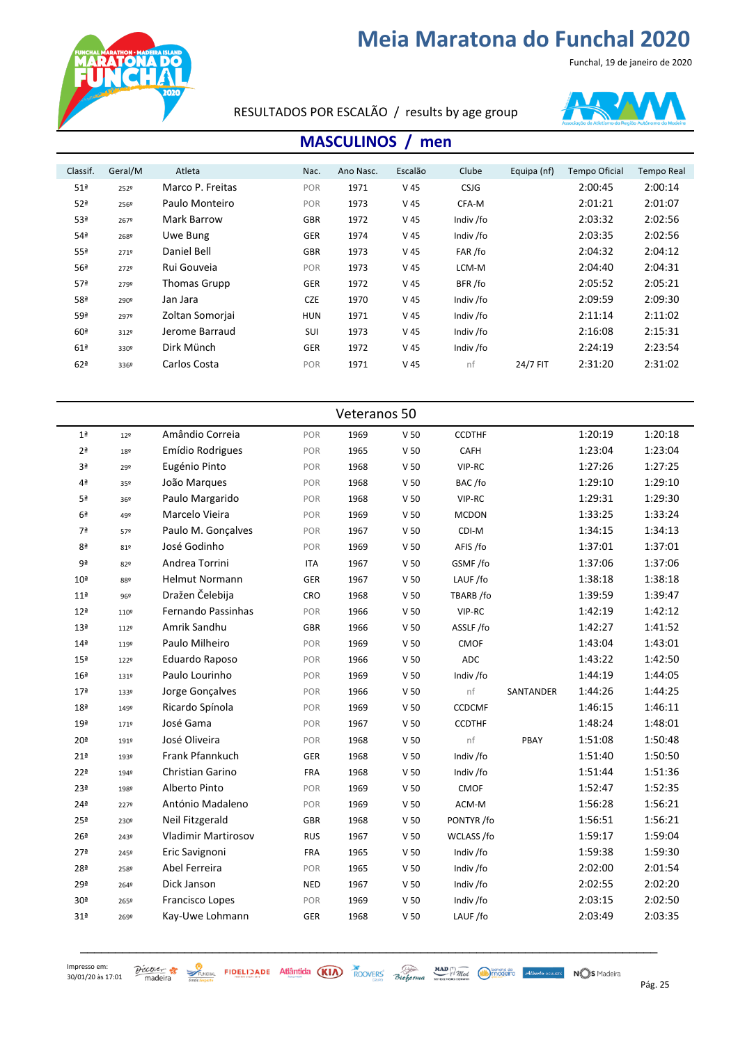Funchal, 19 de janeiro de 2020



RESULTADOS POR ESCALÃO / results by age group



#### **MASCULINOS** / men

| Classif.        | Geral/M | Atleta           | Nac.       | Ano Nasc. | Escalão         | Clube       | Equipa (nf) | <b>Tempo Oficial</b> | <b>Tempo Real</b> |
|-----------------|---------|------------------|------------|-----------|-----------------|-------------|-------------|----------------------|-------------------|
| 51 <sup>a</sup> | 2529    | Marco P. Freitas | POR        | 1971      | V 45            | <b>CSJG</b> |             | 2:00:45              | 2:00:14           |
| 52ª             | 2569    | Paulo Monteiro   | POR        | 1973      | V 45            | CFA-M       |             | 2:01:21              | 2:01:07           |
| 53ª             | 267º    | Mark Barrow      | <b>GBR</b> | 1972      | V 45            | Indiv /fo   |             | 2:03:32              | 2:02:56           |
| 54ª             | 268º    | Uwe Bung         | GER        | 1974      | V 45            | Indiv /fo   |             | 2:03:35              | 2:02:56           |
| 55ª             | 2719    | Daniel Bell      | <b>GBR</b> | 1973      | V 45            | FAR /fo     |             | 2:04:32              | 2:04:12           |
| 56ª             | 2729    | Rui Gouveia      | POR        | 1973      | V 45            | LCM-M       |             | 2:04:40              | 2:04:31           |
| 57 <sup>a</sup> | 2799    | Thomas Grupp     | <b>GER</b> | 1972      | V <sub>45</sub> | BFR/fo      |             | 2:05:52              | 2:05:21           |
| 58ª             | 290º    | Jan Jara         | <b>CZE</b> | 1970      | V <sub>45</sub> | Indiv /fo   |             | 2:09:59              | 2:09:30           |
| 59ª             | 2979    | Zoltan Somorjai  | <b>HUN</b> | 1971      | V 45            | Indiv /fo   |             | 2:11:14              | 2:11:02           |
| 60 <sup>a</sup> | 3129    | Jerome Barraud   | SUI        | 1973      | V 45            | Indiv /fo   |             | 2:16:08              | 2:15:31           |
| 61 <sup>a</sup> | 330°    | Dirk Münch       | <b>GER</b> | 1972      | V <sub>45</sub> | Indiv /fo   |             | 2:24:19              | 2:23:54           |
| 62 <sup>a</sup> | 336º    | Carlos Costa     | POR        | 1971      | V 45            | nf          | 24/7 FIT    | 2:31:20              | 2:31:02           |
|                 |         |                  |            |           |                 |             |             |                      |                   |

| Veteranos 50    |                 |                            |            |      |                 |               |           |         |         |  |  |  |
|-----------------|-----------------|----------------------------|------------|------|-----------------|---------------|-----------|---------|---------|--|--|--|
| 1 <sup>a</sup>  | 12 <sup>°</sup> | Amândio Correia            | POR        | 1969 | V <sub>50</sub> | <b>CCDTHF</b> |           | 1:20:19 | 1:20:18 |  |  |  |
| 2 <sup>a</sup>  | 18º             | Emídio Rodrigues           | POR        | 1965 | V <sub>50</sub> | CAFH          |           | 1:23:04 | 1:23:04 |  |  |  |
| 3ª              | 29º             | Eugénio Pinto              | POR        | 1968 | V <sub>50</sub> | VIP-RC        |           | 1:27:26 | 1:27:25 |  |  |  |
| 4ª              | 35º             | João Marques               | POR        | 1968 | V <sub>50</sub> | BAC/fo        |           | 1:29:10 | 1:29:10 |  |  |  |
| 5ª              | 36º             | Paulo Margarido            | POR        | 1968 | V <sub>50</sub> | VIP-RC        |           | 1:29:31 | 1:29:30 |  |  |  |
| 6 <sup>a</sup>  | 49º             | Marcelo Vieira             | POR        | 1969 | V <sub>50</sub> | <b>MCDON</b>  |           | 1:33:25 | 1:33:24 |  |  |  |
| 7ª              | 57º             | Paulo M. Gonçalves         | POR        | 1967 | V <sub>50</sub> | CDI-M         |           | 1:34:15 | 1:34:13 |  |  |  |
| 8ª              | 81º             | José Godinho               | POR        | 1969 | V <sub>50</sub> | AFIS/fo       |           | 1:37:01 | 1:37:01 |  |  |  |
| 9ª              | 82º             | Andrea Torrini             | <b>ITA</b> | 1967 | V <sub>50</sub> | GSMF/fo       |           | 1:37:06 | 1:37:06 |  |  |  |
| 10 <sup>a</sup> | 88º             | <b>Helmut Normann</b>      | GER        | 1967 | V <sub>50</sub> | LAUF /fo      |           | 1:38:18 | 1:38:18 |  |  |  |
| 11 <sup>a</sup> | 96º             | Dražen Čelebija            | CRO        | 1968 | V <sub>50</sub> | TBARB /fo     |           | 1:39:59 | 1:39:47 |  |  |  |
| 12 <sup>a</sup> | 110º            | Fernando Passinhas         | POR        | 1966 | V <sub>50</sub> | VIP-RC        |           | 1:42:19 | 1:42:12 |  |  |  |
| 13 <sup>a</sup> | 1129            | Amrik Sandhu               | <b>GBR</b> | 1966 | V <sub>50</sub> | ASSLF /fo     |           | 1:42:27 | 1:41:52 |  |  |  |
| 14 <sup>a</sup> | 119º            | Paulo Milheiro             | POR        | 1969 | V <sub>50</sub> | <b>CMOF</b>   |           | 1:43:04 | 1:43:01 |  |  |  |
| 15 <sup>a</sup> | 1229            | Eduardo Raposo             | POR        | 1966 | $\vee$ 50       | ADC           |           | 1:43:22 | 1:42:50 |  |  |  |
| 16 <sup>a</sup> | 131º            | Paulo Lourinho             | POR        | 1969 | V <sub>50</sub> | Indiv /fo     |           | 1:44:19 | 1:44:05 |  |  |  |
| 17 <sup>a</sup> | 133º            | Jorge Gonçalves            | POR        | 1966 | V <sub>50</sub> | nf            | SANTANDER | 1:44:26 | 1:44:25 |  |  |  |
| 18 <sup>a</sup> | 149º            | Ricardo Spínola            | POR        | 1969 | V <sub>50</sub> | <b>CCDCMF</b> |           | 1:46:15 | 1:46:11 |  |  |  |
| 19 <sup>a</sup> | 1719            | José Gama                  | POR        | 1967 | V <sub>50</sub> | <b>CCDTHF</b> |           | 1:48:24 | 1:48:01 |  |  |  |
| 20 <sup>a</sup> | 191º            | José Oliveira              | POR        | 1968 | V <sub>50</sub> | nf            | PBAY      | 1:51:08 | 1:50:48 |  |  |  |
| 21 <sup>a</sup> | 193º            | Frank Pfannkuch            | GER        | 1968 | V <sub>50</sub> | Indiv /fo     |           | 1:51:40 | 1:50:50 |  |  |  |
| 22 <sup>a</sup> | 194º            | Christian Garino           | <b>FRA</b> | 1968 | V <sub>50</sub> | Indiv /fo     |           | 1:51:44 | 1:51:36 |  |  |  |
| 23ª             | 1989            | Alberto Pinto              | POR        | 1969 | V <sub>50</sub> | <b>CMOF</b>   |           | 1:52:47 | 1:52:35 |  |  |  |
| 24 <sup>a</sup> | 2279            | António Madaleno           | POR        | 1969 | V <sub>50</sub> | ACM-M         |           | 1:56:28 | 1:56:21 |  |  |  |
| 25 <sup>a</sup> | 230º            | Neil Fitzgerald            | GBR        | 1968 | V <sub>50</sub> | PONTYR /fo    |           | 1:56:51 | 1:56:21 |  |  |  |
| 26 <sup>a</sup> | 2439            | <b>Vladimir Martirosov</b> | <b>RUS</b> | 1967 | V <sub>50</sub> | WCLASS /fo    |           | 1:59:17 | 1:59:04 |  |  |  |
| 27 <sup>a</sup> | 2459            | Eric Savignoni             | <b>FRA</b> | 1965 | V <sub>50</sub> | Indiv /fo     |           | 1:59:38 | 1:59:30 |  |  |  |
| 28ª             | 2589            | Abel Ferreira              | POR        | 1965 | V <sub>50</sub> | Indiv /fo     |           | 2:02:00 | 2:01:54 |  |  |  |
| 29ª             | 2649            | Dick Janson                | <b>NED</b> | 1967 | V <sub>50</sub> | Indiv /fo     |           | 2:02:55 | 2:02:20 |  |  |  |
| 30 <sup>a</sup> | 265º            | <b>Francisco Lopes</b>     | POR        | 1969 | V <sub>50</sub> | Indiv /fo     |           | 2:03:15 | 2:02:50 |  |  |  |
| 31ª             | 269º            | Kay-Uwe Lohmann            | GER        | 1968 | V <sub>50</sub> | LAUF/fo       |           | 2:03:49 | 2:03:35 |  |  |  |
|                 |                 |                            |            |      |                 |               |           |         |         |  |  |  |

\_\_\_\_\_\_\_\_\_\_\_\_\_\_\_\_\_\_\_\_\_\_\_\_\_\_\_\_\_\_\_\_\_\_\_\_\_\_\_\_\_\_\_\_\_\_\_\_\_\_\_\_\_\_\_\_\_\_\_\_\_\_\_\_\_\_\_\_\_\_\_\_\_\_\_\_\_\_\_\_\_\_\_

 $\frac{\partial$  *SCOVER* **25 AUGUST STATE STATE AND AND AND AND AND AND CONVERS** Bioforma *Secondal COMMA* **Converged Alterto course NOS** Madeira Pág. 25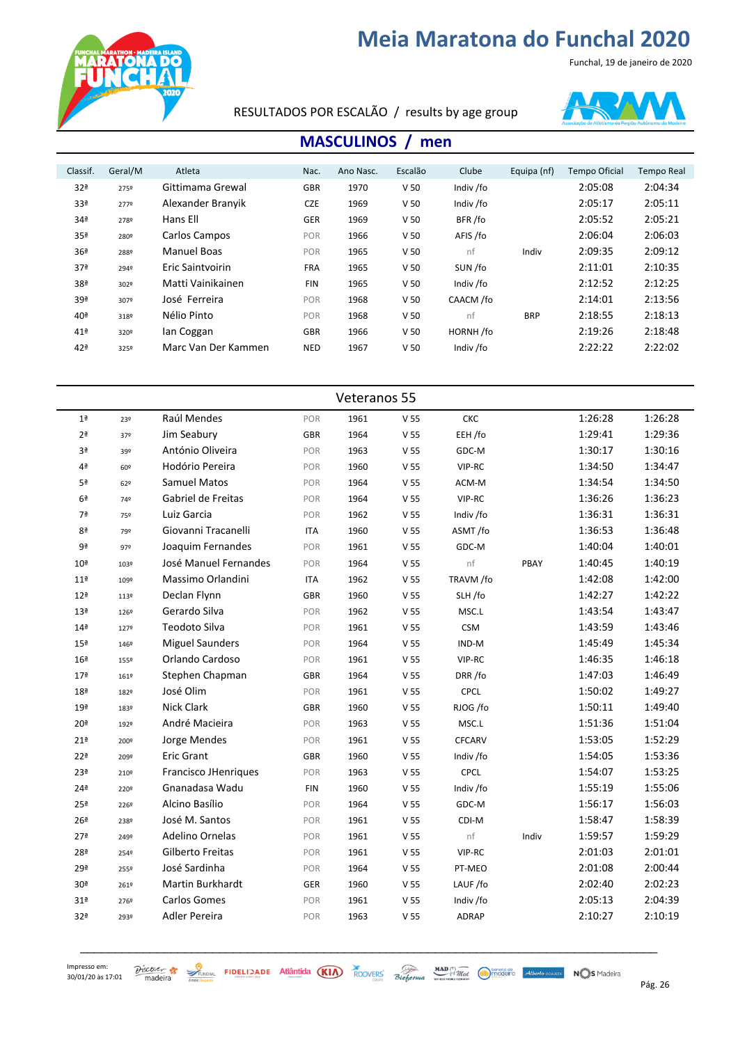Funchal, 19 de janeiro de 2020



RESULTADOS POR ESCALÃO / results by age group



#### **MASCULINOS** / men

| Classif.        | Geral/M | Atleta              | Nac.       | Ano Nasc. | Escalão         | Clube     | Equipa (nf) | <b>Tempo Oficial</b> | <b>Tempo Real</b> |
|-----------------|---------|---------------------|------------|-----------|-----------------|-----------|-------------|----------------------|-------------------|
| 32 <sup>a</sup> | 2759    | Gittimama Grewal    | <b>GBR</b> | 1970      | V <sub>50</sub> | Indiv /fo |             | 2:05:08              | 2:04:34           |
| 33ª             | 2779    | Alexander Branyik   | <b>CZE</b> | 1969      | V <sub>50</sub> | Indiv /fo |             | 2:05:17              | 2:05:11           |
| 34 <sup>a</sup> | 2789    | Hans Ell            | <b>GER</b> | 1969      | V <sub>50</sub> | BFR/fo    |             | 2:05:52              | 2:05:21           |
| 35 <sup>a</sup> | 2809    | Carlos Campos       | <b>POR</b> | 1966      | V <sub>50</sub> | AFIS /fo  |             | 2:06:04              | 2:06:03           |
| 36 <sup>a</sup> | 2889    | Manuel Boas         | POR        | 1965      | V <sub>50</sub> | nf        | Indiv       | 2:09:35              | 2:09:12           |
| 37 <sup>a</sup> | 2949    | Eric Saintvoirin    | <b>FRA</b> | 1965      | V <sub>50</sub> | SUN /fo   |             | 2:11:01              | 2:10:35           |
| 38ª             | 3029    | Matti Vainikainen   | <b>FIN</b> | 1965      | V <sub>50</sub> | Indiv /fo |             | 2:12:52              | 2:12:25           |
| 39ª             | 3079    | José Ferreira       | <b>POR</b> | 1968      | V <sub>50</sub> | CAACM /fo |             | 2:14:01              | 2:13:56           |
| 40 <sup>a</sup> | 318º    | Nélio Pinto         | POR        | 1968      | V <sub>50</sub> | nf        | <b>BRP</b>  | 2:18:55              | 2:18:13           |
| 41 <sup>a</sup> | 320°    | Ian Coggan          | <b>GBR</b> | 1966      | V <sub>50</sub> | HORNH/fo  |             | 2:19:26              | 2:18:48           |
| 42 <sup>a</sup> | 3259    | Marc Van Der Kammen | <b>NED</b> | 1967      | V <sub>50</sub> | Indiv /fo |             | 2:22:22              | 2:22:02           |
|                 |         |                     |            |           |                 |           |             |                      |                   |

|                 |      |                             |            | Veteranos 55 |                 |               |       |         |         |
|-----------------|------|-----------------------------|------------|--------------|-----------------|---------------|-------|---------|---------|
| 1 <sup>a</sup>  | 23º  | Raúl Mendes                 | POR        | 1961         | V <sub>55</sub> | CKC           |       | 1:26:28 | 1:26:28 |
| 2 <sup>a</sup>  | 37º  | Jim Seabury                 | GBR        | 1964         | V <sub>55</sub> | EEH /fo       |       | 1:29:41 | 1:29:36 |
| 3ª              | 39º  | António Oliveira            | POR        | 1963         | V <sub>55</sub> | GDC-M         |       | 1:30:17 | 1:30:16 |
| 4ª              | 60º  | Hodório Pereira             | POR        | 1960         | V <sub>55</sub> | VIP-RC        |       | 1:34:50 | 1:34:47 |
| 5ª              | 62°  | <b>Samuel Matos</b>         | POR        | 1964         | V <sub>55</sub> | ACM-M         |       | 1:34:54 | 1:34:50 |
| 6 <sup>a</sup>  | 74º  | Gabriel de Freitas          | POR        | 1964         | V <sub>55</sub> | VIP-RC        |       | 1:36:26 | 1:36:23 |
| 7ª              | 75º  | Luiz Garcia                 | POR        | 1962         | V <sub>55</sub> | Indiv /fo     |       | 1:36:31 | 1:36:31 |
| 8ª              | 79º  | Giovanni Tracanelli         | <b>ITA</b> | 1960         | V <sub>55</sub> | ASMT/fo       |       | 1:36:53 | 1:36:48 |
| 9ª              | 972  | Joaquim Fernandes           | POR        | 1961         | V <sub>55</sub> | GDC-M         |       | 1:40:04 | 1:40:01 |
| 10 <sup>a</sup> | 103º | José Manuel Fernandes       | POR        | 1964         | V <sub>55</sub> | nf            | PBAY  | 1:40:45 | 1:40:19 |
| 11 <sup>a</sup> | 109º | Massimo Orlandini           | <b>ITA</b> | 1962         | V <sub>55</sub> | TRAVM /fo     |       | 1:42:08 | 1:42:00 |
| 12 <sup>a</sup> | 113º | Declan Flynn                | <b>GBR</b> | 1960         | V <sub>55</sub> | SLH/fo        |       | 1:42:27 | 1:42:22 |
| 13 <sup>a</sup> | 126º | Gerardo Silva               | POR        | 1962         | V <sub>55</sub> | MSC.L         |       | 1:43:54 | 1:43:47 |
| 14 <sup>a</sup> | 1279 | Teodoto Silva               | POR        | 1961         | V <sub>55</sub> | <b>CSM</b>    |       | 1:43:59 | 1:43:46 |
| 15 <sup>a</sup> | 146º | <b>Miguel Saunders</b>      | POR        | 1964         | V <sub>55</sub> | IND-M         |       | 1:45:49 | 1:45:34 |
| 16 <sup>a</sup> | 1559 | Orlando Cardoso             | POR        | 1961         | V <sub>55</sub> | VIP-RC        |       | 1:46:35 | 1:46:18 |
| 17 <sup>a</sup> | 161º | Stephen Chapman             | <b>GBR</b> | 1964         | V <sub>55</sub> | DRR/fo        |       | 1:47:03 | 1:46:49 |
| 18 <sup>a</sup> | 182º | José Olim                   | POR        | 1961         | $\rm V$ 55      | CPCL          |       | 1:50:02 | 1:49:27 |
| 19 <sup>a</sup> | 183º | Nick Clark                  | GBR        | 1960         | V <sub>55</sub> | RJOG /fo      |       | 1:50:11 | 1:49:40 |
| 20 <sup>a</sup> | 192º | André Macieira              | POR        | 1963         | V <sub>55</sub> | MSC.L         |       | 1:51:36 | 1:51:04 |
| 21 <sup>a</sup> | 200º | Jorge Mendes                | POR        | 1961         | V <sub>55</sub> | <b>CFCARV</b> |       | 1:53:05 | 1:52:29 |
| 22 <sup>a</sup> | 209º | <b>Eric Grant</b>           | GBR        | 1960         | $\rm V$ 55      | Indiv /fo     |       | 1:54:05 | 1:53:36 |
| 23ª             | 210º | <b>Francisco JHenriques</b> | POR        | 1963         | V <sub>55</sub> | <b>CPCL</b>   |       | 1:54:07 | 1:53:25 |
| 24 <sup>a</sup> | 220º | Gnanadasa Wadu              | <b>FIN</b> | 1960         | V <sub>55</sub> | Indiv /fo     |       | 1:55:19 | 1:55:06 |
| 25 <sup>a</sup> | 226º | Alcino Basílio              | POR        | 1964         | V <sub>55</sub> | GDC-M         |       | 1:56:17 | 1:56:03 |
| 26 <sup>a</sup> | 238º | José M. Santos              | POR        | 1961         | V <sub>55</sub> | CDI-M         |       | 1:58:47 | 1:58:39 |
| 27 <sup>a</sup> | 249º | Adelino Ornelas             | POR        | 1961         | V <sub>55</sub> | nf            | Indiv | 1:59:57 | 1:59:29 |
| 28ª             | 2549 | Gilberto Freitas            | POR        | 1961         | V <sub>55</sub> | VIP-RC        |       | 2:01:03 | 2:01:01 |
| 29ª             | 255º | José Sardinha               | POR        | 1964         | V <sub>55</sub> | PT-MEO        |       | 2:01:08 | 2:00:44 |
| 30 <sup>a</sup> | 261º | Martin Burkhardt            | GER        | 1960         | V <sub>55</sub> | LAUF /fo      |       | 2:02:40 | 2:02:23 |
| 31 <sup>a</sup> | 2769 | <b>Carlos Gomes</b>         | POR        | 1961         | V <sub>55</sub> | Indiv /fo     |       | 2:05:13 | 2:04:39 |
| 32ª             | 293º | Adler Pereira               | POR        | 1963         | V <sub>55</sub> | <b>ADRAP</b>  |       | 2:10:27 | 2:10:19 |
|                 |      |                             |            |              |                 |               |       |         |         |

\_\_\_\_\_\_\_\_\_\_\_\_\_\_\_\_\_\_\_\_\_\_\_\_\_\_\_\_\_\_\_\_\_\_\_\_\_\_\_\_\_\_\_\_\_\_\_\_\_\_\_\_\_\_\_\_\_\_\_\_\_\_\_\_\_\_\_\_\_\_\_\_\_\_\_\_\_\_\_\_\_\_\_

Impresso em: 30/01/20 às 17:01

 $\frac{\partial$  *SCOVER*  $\frac{1}{\sqrt{2}}$   $\frac{1}{\sqrt{2}}$  **FIDELIZADE** Atlântida (KIA) ROOVERS Bioforma **MAD** *MAD Mad Musica Atlanta COS* Madeira Pág. 26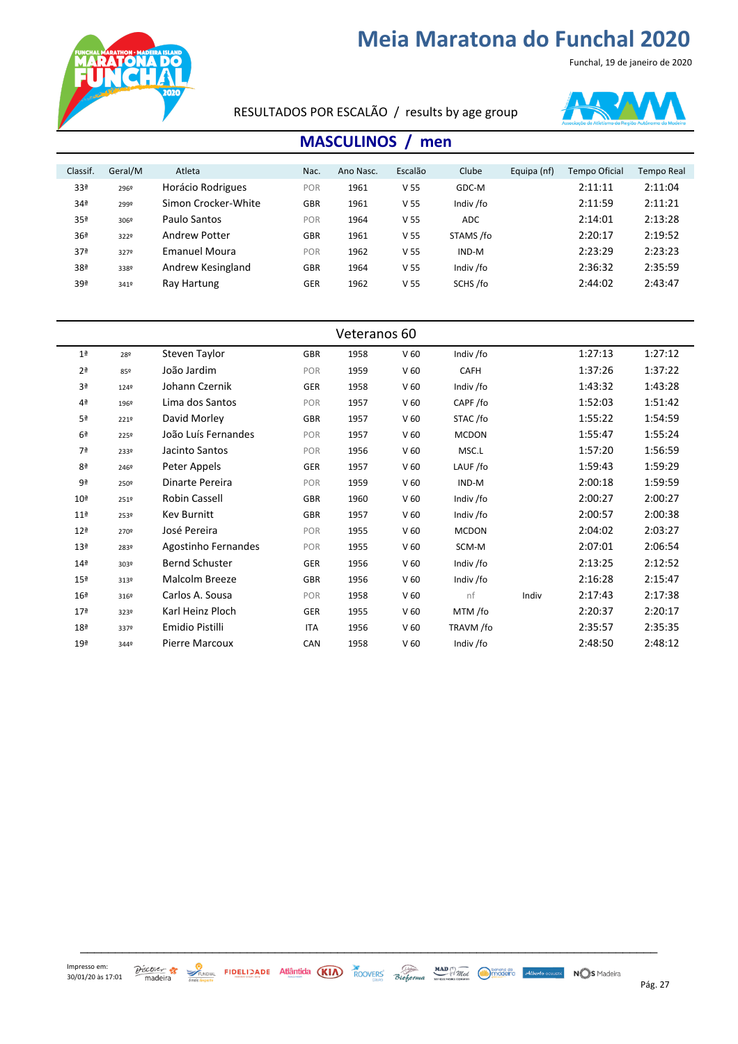



RESULTADOS POR ESCALÃO / results by age group



#### **MASCULINOS** / men

| Classif.        | Geral/M | Atleta               | Nac.       | Ano Nasc. | Escalão         | Clube      | Equipa (nf) | Tempo Oficial | Tempo Real |
|-----------------|---------|----------------------|------------|-----------|-----------------|------------|-------------|---------------|------------|
| 33ª             | 2969    | Horácio Rodrigues    | POR        | 1961      | V <sub>55</sub> | GDC-M      |             | 2:11:11       | 2:11:04    |
| 34 <sup>a</sup> | 2999    | Simon Crocker-White  | <b>GBR</b> | 1961      | V <sub>55</sub> | Indiv /fo  |             | 2:11:59       | 2:11:21    |
| 35 <sup>a</sup> | 3069    | Paulo Santos         | POR        | 1964      | V <sub>55</sub> | <b>ADC</b> |             | 2:14:01       | 2:13:28    |
| 36 <sup>a</sup> | 3229    | Andrew Potter        | <b>GBR</b> | 1961      | V <sub>55</sub> | STAMS /fo  |             | 2:20:17       | 2:19:52    |
| 37 <sup>a</sup> | 3279    | <b>Emanuel Moura</b> | POR        | 1962      | V <sub>55</sub> | IND-M      |             | 2:23:29       | 2:23:23    |
| 38 <sup>a</sup> | 3389    | Andrew Kesingland    | <b>GBR</b> | 1964      | V <sub>55</sub> | Indiv /fo  |             | 2:36:32       | 2:35:59    |
| 39ª             | 3419    | Ray Hartung          | <b>GER</b> | 1962      | V <sub>55</sub> | SCHS/fo    |             | 2:44:02       | 2:43:47    |
|                 |         |                      |            |           |                 |            |             |               |            |

| Veteranos 60    |      |                       |            |      |                 |              |       |         |         |
|-----------------|------|-----------------------|------------|------|-----------------|--------------|-------|---------|---------|
| 1 <sup>a</sup>  | 28º  | Steven Taylor         | <b>GBR</b> | 1958 | V <sub>60</sub> | Indiv /fo    |       | 1:27:13 | 1:27:12 |
| 2 <sup>a</sup>  | 85º  | João Jardim           | POR        | 1959 | V <sub>60</sub> | <b>CAFH</b>  |       | 1:37:26 | 1:37:22 |
| 3 <sup>a</sup>  | 1249 | Johann Czernik        | <b>GER</b> | 1958 | V <sub>60</sub> | Indiv /fo    |       | 1:43:32 | 1:43:28 |
| 4 <sup>a</sup>  | 1969 | Lima dos Santos       | POR        | 1957 | V <sub>60</sub> | CAPF/fo      |       | 1:52:03 | 1:51:42 |
| 5 <sup>a</sup>  | 2219 | David Morley          | <b>GBR</b> | 1957 | V <sub>60</sub> | STAC/fo      |       | 1:55:22 | 1:54:59 |
| 6 <sup>a</sup>  | 2259 | João Luís Fernandes   | POR        | 1957 | V <sub>60</sub> | <b>MCDON</b> |       | 1:55:47 | 1:55:24 |
| 7ª              | 2339 | Jacinto Santos        | POR        | 1956 | V <sub>60</sub> | MSC.L        |       | 1:57:20 | 1:56:59 |
| 8ª              | 2469 | Peter Appels          | <b>GER</b> | 1957 | V <sub>60</sub> | LAUF/fo      |       | 1:59:43 | 1:59:29 |
| 9ª              | 2509 | Dinarte Pereira       | POR        | 1959 | V <sub>60</sub> | IND-M        |       | 2:00:18 | 1:59:59 |
| 10 <sup>a</sup> | 2519 | Robin Cassell         | <b>GBR</b> | 1960 | V <sub>60</sub> | Indiv /fo    |       | 2:00:27 | 2:00:27 |
| 11 <sup>a</sup> | 2539 | Kev Burnitt           | GBR        | 1957 | V <sub>60</sub> | Indiv /fo    |       | 2:00:57 | 2:00:38 |
| 12 <sup>a</sup> | 2709 | José Pereira          | POR        | 1955 | V <sub>60</sub> | <b>MCDON</b> |       | 2:04:02 | 2:03:27 |
| 13 <sup>a</sup> | 283º | Agostinho Fernandes   | POR        | 1955 | V <sub>60</sub> | SCM-M        |       | 2:07:01 | 2:06:54 |
| 14 <sup>a</sup> | 303º | <b>Bernd Schuster</b> | <b>GER</b> | 1956 | V <sub>60</sub> | Indiv /fo    |       | 2:13:25 | 2:12:52 |
| 15 <sup>a</sup> | 313º | Malcolm Breeze        | <b>GBR</b> | 1956 | V <sub>60</sub> | Indiv /fo    |       | 2:16:28 | 2:15:47 |
| 16 <sup>a</sup> | 3169 | Carlos A. Sousa       | POR        | 1958 | V <sub>60</sub> | nf           | Indiv | 2:17:43 | 2:17:38 |
| 17 <sup>a</sup> | 323º | Karl Heinz Ploch      | GER        | 1955 | V <sub>60</sub> | MTM /fo      |       | 2:20:37 | 2:20:17 |
| 18 <sup>a</sup> | 3379 | Emidio Pistilli       | <b>ITA</b> | 1956 | V <sub>60</sub> | TRAVM /fo    |       | 2:35:57 | 2:35:35 |
| 19 <sup>a</sup> | 3449 | Pierre Marcoux        | CAN        | 1958 | V <sub>60</sub> | Indiv /fo    |       | 2:48:50 | 2:48:12 |